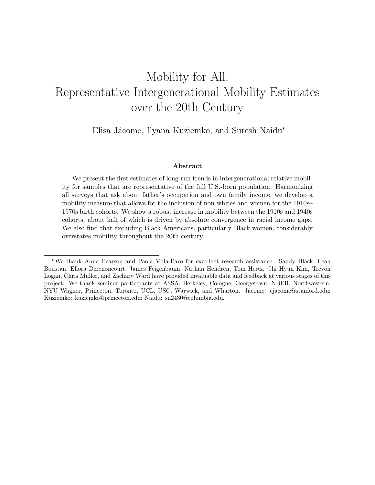# Mobility for All: Representative Intergenerational Mobility Estimates over the 20th Century

Elisa Jácome, Ilyana Kuziemko, and Suresh Naidu\*

#### Abstract

We present the first estimates of long-run trends in intergenerational relative mobility for samples that are representative of the full U.S.-born population. Harmonizing all surveys that ask about father's occupation and own family income, we develop a mobility measure that allows for the inclusion of non-whites and women for the 1910s– 1970s birth cohorts. We show a robust increase in mobility between the 1910s and 1940s cohorts, about half of which is driven by absolute convergence in racial income gaps. We also find that excluding Black Americans, particularly Black women, considerably overstates mobility throughout the 20th century.

<sup>\*</sup>We thank Ahna Pearson and Paola Villa-Paro for excellent research assistance. Sandy Black, Leah Boustan, Ellora Derenoncourt, James Feigenbaum, Nathan Hendren, Tom Hertz, Chi Hyun Kim, Trevon Logan, Chris Muller, and Zachary Ward have provided invaluable data and feedback at various stages of this project. We thank seminar participants at ASSA, Berkeley, Cologne, Georgetown, NBER, Northwestern, NYU Wagner, Princeton, Toronto, UCL, USC, Warwick, and Wharton. Jácome: ejacome@stanford.edu; Kuziemko: kuziemko@princeton.edu; Naidu: sn2430@columbia.edu.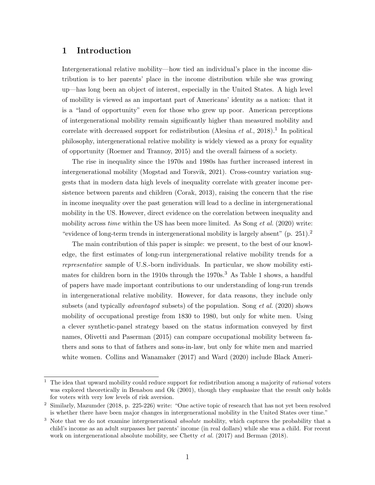# 1 Introduction

Intergenerational relative mobility—how tied an individual's place in the income distribution is to her parents' place in the income distribution while she was growing up—has long been an object of interest, especially in the United States. A high level of mobility is viewed as an important part of Americans' identity as a nation: that it is a "land of opportunity" even for those who grew up poor. American perceptions of intergenerational mobility remain significantly higher than measured mobility and correlate with decreased support for redistribution (Alesina *et al.*, 2018).<sup>1</sup> In political philosophy, intergenerational relative mobility is widely viewed as a proxy for equality of opportunity (Roemer and Trannoy, 2015) and the overall fairness of a society.

The rise in inequality since the 1970s and 1980s has further increased interest in intergenerational mobility (Mogstad and Torsvik, 2021). Cross-country variation suggests that in modern data high levels of inequality correlate with greater income persistence between parents and children (Corak, 2013), raising the concern that the rise in income inequality over the past generation will lead to a decline in intergenerational mobility in the US. However, direct evidence on the correlation between inequality and mobility across *time* within the US has been more limited. As Song *et al.* (2020) write: "evidence of long-term trends in intergenerational mobility is largely absent" (p.  $251$ ).<sup>2</sup>

The main contribution of this paper is simple: we present, to the best of our knowledge, the first estimates of long-run intergenerational relative mobility trends for a representative sample of U.S.-born individuals. In particular, we show mobility estimates for children born in the 1910s through the  $1970s<sup>3</sup>$  As Table 1 shows, a handful of papers have made important contributions to our understanding of long-run trends in intergenerational relative mobility. However, for data reasons, they include only subsets (and typically *advantaged* subsets) of the population. Song *et al.* (2020) shows mobility of occupational prestige from 1830 to 1980, but only for white men. Using a clever synthetic-panel strategy based on the status information conveyed by first names, Olivetti and Paserman (2015) can compare occupational mobility between fathers and sons to that of fathers and sons-in-law, but only for white men and married white women. Collins and Wanamaker (2017) and Ward (2020) include Black Ameri-

<sup>&</sup>lt;sup>1</sup> The idea that upward mobility could reduce support for redistribution among a majority of *rational* voters was explored theoretically in Benabou and Ok (2001), though they emphasize that the result only holds for voters with very low levels of risk aversion.

<sup>&</sup>lt;sup>2</sup> Similarly, Mazumder (2018, p. 225-226) write: "One active topic of research that has not yet been resolved is whether there have been major changes in intergenerational mobility in the United States over time."

<sup>&</sup>lt;sup>3</sup> Note that we do not examine intergenerational *absolute* mobility, which captures the probability that a child's income as an adult surpasses her parents' income (in real dollars) while she was a child. For recent work on intergenerational absolute mobility, see Chetty *et al.* (2017) and Berman (2018).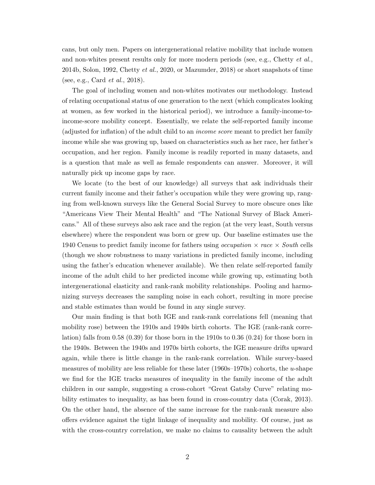cans, but only men. Papers on intergenerational relative mobility that include women and non-whites present results only for more modern periods (see, e.g., Chetty *et al.*, 2014b, Solon, 1992, Chetty et al., 2020, or Mazumder, 2018) or short snapshots of time (see, e.g., Card et al., 2018).

The goal of including women and non-whites motivates our methodology. Instead of relating occupational status of one generation to the next (which complicates looking at women, as few worked in the historical period), we introduce a family-income-toincome-score mobility concept. Essentially, we relate the self-reported family income (adjusted for inflation) of the adult child to an income score meant to predict her family income while she was growing up, based on characteristics such as her race, her father's occupation, and her region. Family income is readily reported in many datasets, and is a question that male as well as female respondents can answer. Moreover, it will naturally pick up income gaps by race.

We locate (to the best of our knowledge) all surveys that ask individuals their current family income and their father's occupation while they were growing up, ranging from well-known surveys like the General Social Survey to more obscure ones like "Americans View Their Mental Health" and "The National Survey of Black Americans." All of these surveys also ask race and the region (at the very least, South versus elsewhere) where the respondent was born or grew up. Our baseline estimates use the 1940 Census to predict family income for fathers using *occupation*  $\times$  race  $\times$  South cells (though we show robustness to many variations in predicted family income, including using the father's education whenever available). We then relate self-reported family income of the adult child to her predicted income while growing up, estimating both intergenerational elasticity and rank-rank mobility relationships. Pooling and harmonizing surveys decreases the sampling noise in each cohort, resulting in more precise and stable estimates than would be found in any single survey.

Our main finding is that both IGE and rank-rank correlations fell (meaning that mobility rose) between the 1910s and 1940s birth cohorts. The IGE (rank-rank correlation) falls from 0.58 (0.39) for those born in the 1910s to 0.36 (0.24) for those born in the 1940s. Between the 1940s and 1970s birth cohorts, the IGE measure drifts upward again, while there is little change in the rank-rank correlation. While survey-based measures of mobility are less reliable for these later  $(1960s-1970s)$  cohorts, the u-shape we find for the IGE tracks measures of inequality in the family income of the adult children in our sample, suggesting a cross-cohort "Great Gatsby Curve" relating mobility estimates to inequality, as has been found in cross-country data (Corak, 2013). On the other hand, the absence of the same increase for the rank-rank measure also offers evidence against the tight linkage of inequality and mobility. Of course, just as with the cross-country correlation, we make no claims to causality between the adult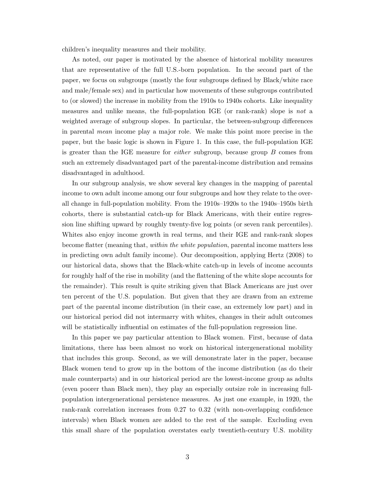children's inequality measures and their mobility.

As noted, our paper is motivated by the absence of historical mobility measures that are representative of the full U.S.-born population. In the second part of the paper, we focus on subgroups (mostly the four subgroups defined by Black/white race and male/female sex) and in particular how movements of these subgroups contributed to (or slowed) the increase in mobility from the 1910s to 1940s cohorts. Like inequality measures and unlike means, the full-population IGE (or rank-rank) slope is not a weighted average of subgroup slopes. In particular, the between-subgroup differences in parental mean income play a major role. We make this point more precise in the paper, but the basic logic is shown in Figure 1. In this case, the full-population IGE is greater than the IGE measure for either subgroup, because group B comes from such an extremely disadvantaged part of the parental-income distribution and remains disadvantaged in adulthood.

In our subgroup analysis, we show several key changes in the mapping of parental income to own adult income among our four subgroups and how they relate to the overall change in full-population mobility. From the 1910s–1920s to the 1940s–1950s birth cohorts, there is substantial catch-up for Black Americans, with their entire regression line shifting upward by roughly twenty-five log points (or seven rank percentiles). Whites also enjoy income growth in real terms, and their IGE and rank-rank slopes become flatter (meaning that, *within the white population*, parental income matters less in predicting own adult family income). Our decomposition, applying Hertz (2008) to our historical data, shows that the Black-white catch-up in levels of income accounts for roughly half of the rise in mobility (and the flattening of the white slope accounts for the remainder). This result is quite striking given that Black Americans are just over ten percent of the U.S. population. But given that they are drawn from an extreme part of the parental income distribution (in their case, an extremely low part) and in our historical period did not intermarry with whites, changes in their adult outcomes will be statistically influential on estimates of the full-population regression line.

In this paper we pay particular attention to Black women. First, because of data limitations, there has been almost no work on historical intergenerational mobility that includes this group. Second, as we will demonstrate later in the paper, because Black women tend to grow up in the bottom of the income distribution (as do their male counterparts) and in our historical period are the lowest-income group as adults (even poorer than Black men), they play an especially outsize role in increasing fullpopulation intergenerational persistence measures. As just one example, in 1920, the rank-rank correlation increases from 0.27 to 0.32 (with non-overlapping confidence intervals) when Black women are added to the rest of the sample. Excluding even this small share of the population overstates early twentieth-century U.S. mobility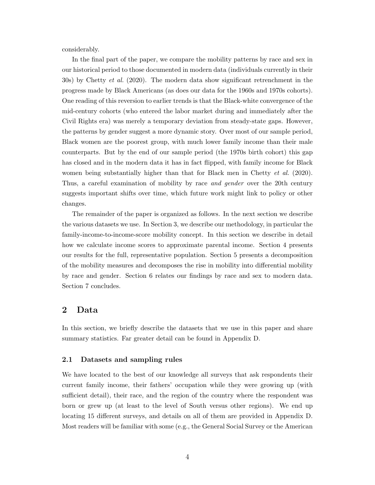considerably.

In the final part of the paper, we compare the mobility patterns by race and sex in our historical period to those documented in modern data (individuals currently in their 30s) by Chetty et al. (2020). The modern data show significant retrenchment in the progress made by Black Americans (as does our data for the 1960s and 1970s cohorts). One reading of this reversion to earlier trends is that the Black-white convergence of the mid-century cohorts (who entered the labor market during and immediately after the Civil Rights era) was merely a temporary deviation from steady-state gaps. However, the patterns by gender suggest a more dynamic story. Over most of our sample period, Black women are the poorest group, with much lower family income than their male counterparts. But by the end of our sample period (the 1970s birth cohort) this gap has closed and in the modern data it has in fact flipped, with family income for Black women being substantially higher than that for Black men in Chetty *et al.* (2020). Thus, a careful examination of mobility by race and gender over the 20th century suggests important shifts over time, which future work might link to policy or other changes.

The remainder of the paper is organized as follows. In the next section we describe the various datasets we use. In Section 3, we describe our methodology, in particular the family-income-to-income-score mobility concept. In this section we describe in detail how we calculate income scores to approximate parental income. Section 4 presents our results for the full, representative population. Section 5 presents a decomposition of the mobility measures and decomposes the rise in mobility into differential mobility by race and gender. Section 6 relates our findings by race and sex to modern data. Section 7 concludes.

## 2 Data

In this section, we briefly describe the datasets that we use in this paper and share summary statistics. Far greater detail can be found in Appendix D.

#### 2.1 Datasets and sampling rules

We have located to the best of our knowledge all surveys that ask respondents their current family income, their fathers' occupation while they were growing up (with sufficient detail), their race, and the region of the country where the respondent was born or grew up (at least to the level of South versus other regions). We end up locating 15 different surveys, and details on all of them are provided in Appendix D. Most readers will be familiar with some (e.g., the General Social Survey or the American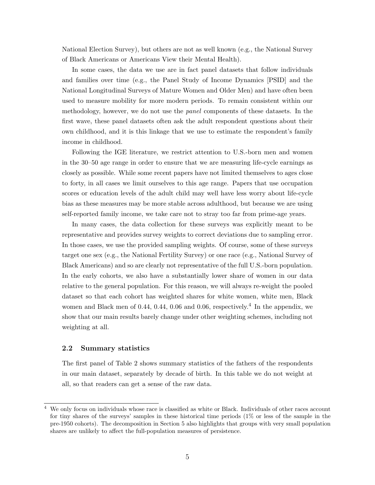National Election Survey), but others are not as well known (e.g., the National Survey of Black Americans or Americans View their Mental Health).

In some cases, the data we use are in fact panel datasets that follow individuals and families over time (e.g., the Panel Study of Income Dynamics [PSID] and the National Longitudinal Surveys of Mature Women and Older Men) and have often been used to measure mobility for more modern periods. To remain consistent within our methodology, however, we do not use the panel components of these datasets. In the first wave, these panel datasets often ask the adult respondent questions about their own childhood, and it is this linkage that we use to estimate the respondent's family income in childhood.

Following the IGE literature, we restrict attention to U.S.-born men and women in the 30–50 age range in order to ensure that we are measuring life-cycle earnings as closely as possible. While some recent papers have not limited themselves to ages close to forty, in all cases we limit ourselves to this age range. Papers that use occupation scores or education levels of the adult child may well have less worry about life-cycle bias as these measures may be more stable across adulthood, but because we are using self-reported family income, we take care not to stray too far from prime-age years.

In many cases, the data collection for these surveys was explicitly meant to be representative and provides survey weights to correct deviations due to sampling error. In those cases, we use the provided sampling weights. Of course, some of these surveys target one sex (e.g., the National Fertility Survey) or one race (e.g., National Survey of Black Americans) and so are clearly not representative of the full U.S.-born population. In the early cohorts, we also have a substantially lower share of women in our data relative to the general population. For this reason, we will always re-weight the pooled dataset so that each cohort has weighted shares for white women, white men, Black women and Black men of 0.44, 0.44, 0.06 and 0.06, respectively.<sup>4</sup> In the appendix, we show that our main results barely change under other weighting schemes, including not weighting at all.

#### 2.2 Summary statistics

The first panel of Table 2 shows summary statistics of the fathers of the respondents in our main dataset, separately by decade of birth. In this table we do not weight at all, so that readers can get a sense of the raw data.

<sup>&</sup>lt;sup>4</sup> We only focus on individuals whose race is classified as white or Black. Individuals of other races account for tiny shares of the surveys' samples in these historical time periods (1% or less of the sample in the pre-1950 cohorts). The decomposition in Section 5 also highlights that groups with very small population shares are unlikely to affect the full-population measures of persistence.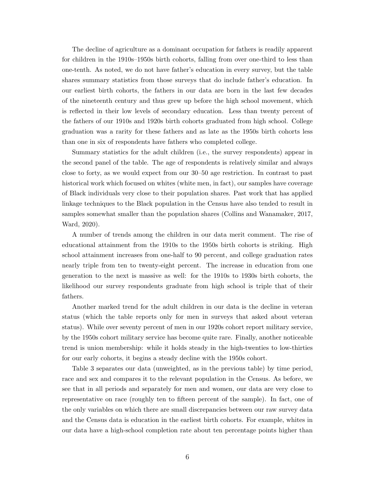The decline of agriculture as a dominant occupation for fathers is readily apparent for children in the 1910s–1950s birth cohorts, falling from over one-third to less than one-tenth. As noted, we do not have father's education in every survey, but the table shares summary statistics from those surveys that do include father's education. In our earliest birth cohorts, the fathers in our data are born in the last few decades of the nineteenth century and thus grew up before the high school movement, which is reflected in their low levels of secondary education. Less than twenty percent of the fathers of our 1910s and 1920s birth cohorts graduated from high school. College graduation was a rarity for these fathers and as late as the 1950s birth cohorts less than one in six of respondents have fathers who completed college.

Summary statistics for the adult children (i.e., the survey respondents) appear in the second panel of the table. The age of respondents is relatively similar and always close to forty, as we would expect from our 30–50 age restriction. In contrast to past historical work which focused on whites (white men, in fact), our samples have coverage of Black individuals very close to their population shares. Past work that has applied linkage techniques to the Black population in the Census have also tended to result in samples somewhat smaller than the population shares (Collins and Wanamaker, 2017, Ward, 2020).

A number of trends among the children in our data merit comment. The rise of educational attainment from the 1910s to the 1950s birth cohorts is striking. High school attainment increases from one-half to 90 percent, and college graduation rates nearly triple from ten to twenty-eight percent. The increase in education from one generation to the next is massive as well: for the 1910s to 1930s birth cohorts, the likelihood our survey respondents graduate from high school is triple that of their fathers.

Another marked trend for the adult children in our data is the decline in veteran status (which the table reports only for men in surveys that asked about veteran status). While over seventy percent of men in our 1920s cohort report military service, by the 1950s cohort military service has become quite rare. Finally, another noticeable trend is union membership: while it holds steady in the high-twenties to low-thirties for our early cohorts, it begins a steady decline with the 1950s cohort.

Table 3 separates our data (unweighted, as in the previous table) by time period, race and sex and compares it to the relevant population in the Census. As before, we see that in all periods and separately for men and women, our data are very close to representative on race (roughly ten to fifteen percent of the sample). In fact, one of the only variables on which there are small discrepancies between our raw survey data and the Census data is education in the earliest birth cohorts. For example, whites in our data have a high-school completion rate about ten percentage points higher than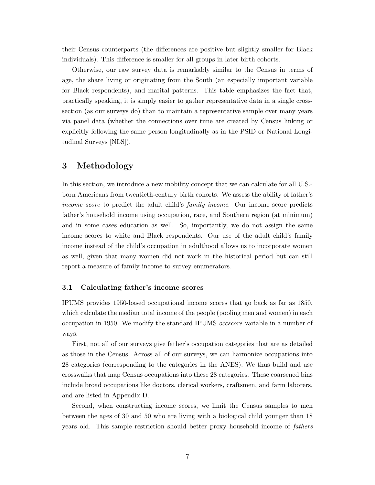their Census counterparts (the differences are positive but slightly smaller for Black individuals). This difference is smaller for all groups in later birth cohorts.

Otherwise, our raw survey data is remarkably similar to the Census in terms of age, the share living or originating from the South (an especially important variable for Black respondents), and marital patterns. This table emphasizes the fact that, practically speaking, it is simply easier to gather representative data in a single crosssection (as our surveys do) than to maintain a representative sample over many years via panel data (whether the connections over time are created by Census linking or explicitly following the same person longitudinally as in the PSID or National Longitudinal Surveys [NLS]).

# 3 Methodology

In this section, we introduce a new mobility concept that we can calculate for all U.S. born Americans from twentieth-century birth cohorts. We assess the ability of father's income score to predict the adult child's family income. Our income score predicts father's household income using occupation, race, and Southern region (at minimum) and in some cases education as well. So, importantly, we do not assign the same income scores to white and Black respondents. Our use of the adult child's family income instead of the child's occupation in adulthood allows us to incorporate women as well, given that many women did not work in the historical period but can still report a measure of family income to survey enumerators.

#### 3.1 Calculating father's income scores

IPUMS provides 1950-based occupational income scores that go back as far as 1850, which calculate the median total income of the people (pooling men and women) in each occupation in 1950. We modify the standard IPUMS occscore variable in a number of ways.

First, not all of our surveys give father's occupation categories that are as detailed as those in the Census. Across all of our surveys, we can harmonize occupations into 28 categories (corresponding to the categories in the ANES). We thus build and use crosswalks that map Census occupations into these 28 categories. These coarsened bins include broad occupations like doctors, clerical workers, craftsmen, and farm laborers, and are listed in Appendix D.

Second, when constructing income scores, we limit the Census samples to men between the ages of 30 and 50 who are living with a biological child younger than 18 years old. This sample restriction should better proxy household income of fathers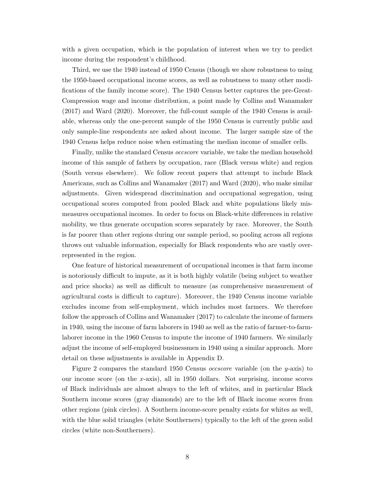with a given occupation, which is the population of interest when we try to predict income during the respondent's childhood.

Third, we use the 1940 instead of 1950 Census (though we show robustness to using the 1950-based occupational income scores, as well as robustness to many other modifications of the family income score). The 1940 Census better captures the pre-Great-Compression wage and income distribution, a point made by Collins and Wanamaker (2017) and Ward (2020). Moreover, the full-count sample of the 1940 Census is available, whereas only the one-percent sample of the 1950 Census is currently public and only sample-line respondents are asked about income. The larger sample size of the 1940 Census helps reduce noise when estimating the median income of smaller cells.

Finally, unlike the standard Census occscore variable, we take the median household income of this sample of fathers by occupation, race (Black versus white) and region (South versus elsewhere). We follow recent papers that attempt to include Black Americans, such as Collins and Wanamaker (2017) and Ward (2020), who make similar adjustments. Given widespread discrimination and occupational segregation, using occupational scores computed from pooled Black and white populations likely mismeasures occupational incomes. In order to focus on Black-white differences in relative mobility, we thus generate occupation scores separately by race. Moreover, the South is far poorer than other regions during our sample period, so pooling across all regions throws out valuable information, especially for Black respondents who are vastly overrepresented in the region.

One feature of historical measurement of occupational incomes is that farm income is notoriously difficult to impute, as it is both highly volatile (being subject to weather and price shocks) as well as difficult to measure (as comprehensive measurement of agricultural costs is difficult to capture). Moreover, the 1940 Census income variable excludes income from self-employment, which includes most farmers. We therefore follow the approach of Collins and Wanamaker (2017) to calculate the income of farmers in 1940, using the income of farm laborers in 1940 as well as the ratio of farmer-to-farmlaborer income in the 1960 Census to impute the income of 1940 farmers. We similarly adjust the income of self-employed businessmen in 1940 using a similar approach. More detail on these adjustments is available in Appendix D.

Figure 2 compares the standard 1950 Census occscore variable (on the y-axis) to our income score (on the x-axis), all in 1950 dollars. Not surprising, income scores of Black individuals are almost always to the left of whites, and in particular Black Southern income scores (gray diamonds) are to the left of Black income scores from other regions (pink circles). A Southern income-score penalty exists for whites as well, with the blue solid triangles (white Southerners) typically to the left of the green solid circles (white non-Southerners).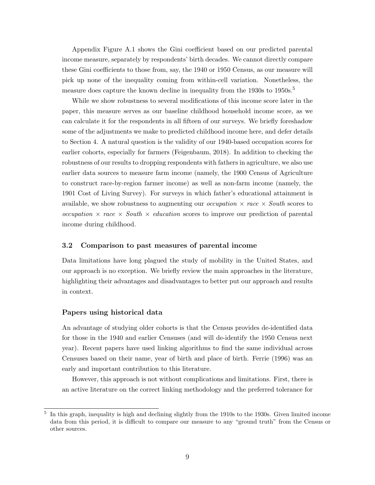Appendix Figure A.1 shows the Gini coefficient based on our predicted parental income measure, separately by respondents' birth decades. We cannot directly compare these Gini coefficients to those from, say, the 1940 or 1950 Census, as our measure will pick up none of the inequality coming from within-cell variation. Nonetheless, the measure does capture the known decline in inequality from the 1930s to 1950s.<sup>5</sup>

While we show robustness to several modifications of this income score later in the paper, this measure serves as our baseline childhood household income score, as we can calculate it for the respondents in all fifteen of our surveys. We briefly foreshadow some of the adjustments we make to predicted childhood income here, and defer details to Section 4. A natural question is the validity of our 1940-based occupation scores for earlier cohorts, especially for farmers (Feigenbaum, 2018). In addition to checking the robustness of our results to dropping respondents with fathers in agriculture, we also use earlier data sources to measure farm income (namely, the 1900 Census of Agriculture to construct race-by-region farmer income) as well as non-farm income (namely, the 1901 Cost of Living Survey). For surveys in which father's educational attainment is available, we show robustness to augmenting our *occupation*  $\times$  race  $\times$  South scores to occupation  $\times$  race  $\times$  South  $\times$  education scores to improve our prediction of parental income during childhood.

#### 3.2 Comparison to past measures of parental income

Data limitations have long plagued the study of mobility in the United States, and our approach is no exception. We briefly review the main approaches in the literature, highlighting their advantages and disadvantages to better put our approach and results in context.

#### Papers using historical data

An advantage of studying older cohorts is that the Census provides de-identified data for those in the 1940 and earlier Censuses (and will de-identify the 1950 Census next year). Recent papers have used linking algorithms to find the same individual across Censuses based on their name, year of birth and place of birth. Ferrie (1996) was an early and important contribution to this literature.

However, this approach is not without complications and limitations. First, there is an active literature on the correct linking methodology and the preferred tolerance for

<sup>5</sup> In this graph, inequality is high and declining slightly from the 1910s to the 1930s. Given limited income data from this period, it is difficult to compare our measure to any "ground truth" from the Census or other sources.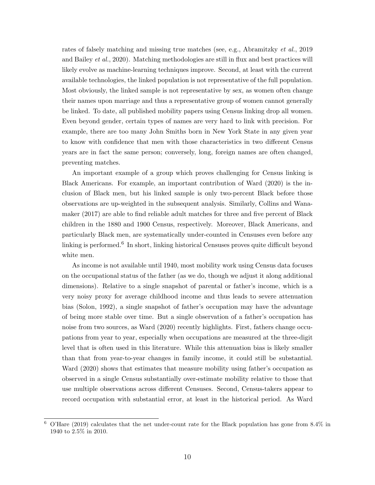rates of falsely matching and missing true matches (see, e.g., Abramitzky *et al.*, 2019) and Bailey et al., 2020). Matching methodologies are still in flux and best practices will likely evolve as machine-learning techniques improve. Second, at least with the current available technologies, the linked population is not representative of the full population. Most obviously, the linked sample is not representative by sex, as women often change their names upon marriage and thus a representative group of women cannot generally be linked. To date, all published mobility papers using Census linking drop all women. Even beyond gender, certain types of names are very hard to link with precision. For example, there are too many John Smiths born in New York State in any given year to know with confidence that men with those characteristics in two different Census years are in fact the same person; conversely, long, foreign names are often changed, preventing matches.

An important example of a group which proves challenging for Census linking is Black Americans. For example, an important contribution of Ward (2020) is the inclusion of Black men, but his linked sample is only two-percent Black before those observations are up-weighted in the subsequent analysis. Similarly, Collins and Wanamaker (2017) are able to find reliable adult matches for three and five percent of Black children in the 1880 and 1900 Census, respectively. Moreover, Black Americans, and particularly Black men, are systematically under-counted in Censuses even before any linking is performed.<sup>6</sup> In short, linking historical Censuses proves quite difficult beyond white men.

As income is not available until 1940, most mobility work using Census data focuses on the occupational status of the father (as we do, though we adjust it along additional dimensions). Relative to a single snapshot of parental or father's income, which is a very noisy proxy for average childhood income and thus leads to severe attenuation bias (Solon, 1992), a single snapshot of father's occupation may have the advantage of being more stable over time. But a single observation of a father's occupation has noise from two sources, as Ward (2020) recently highlights. First, fathers change occupations from year to year, especially when occupations are measured at the three-digit level that is often used in this literature. While this attenuation bias is likely smaller than that from year-to-year changes in family income, it could still be substantial. Ward (2020) shows that estimates that measure mobility using father's occupation as observed in a single Census substantially over-estimate mobility relative to those that use multiple observations across different Censuses. Second, Census-takers appear to record occupation with substantial error, at least in the historical period. As Ward

<sup>6</sup> O'Hare (2019) calculates that the net under-count rate for the Black population has gone from 8.4% in 1940 to 2.5% in 2010.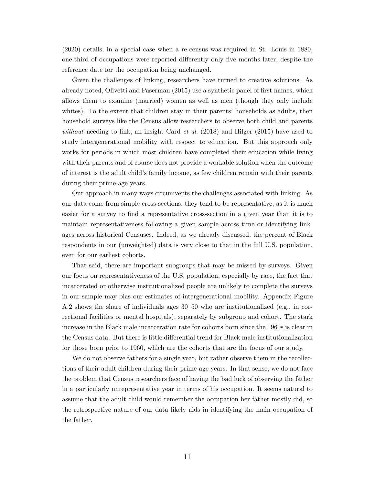(2020) details, in a special case when a re-census was required in St. Louis in 1880, one-third of occupations were reported differently only five months later, despite the reference date for the occupation being unchanged.

Given the challenges of linking, researchers have turned to creative solutions. As already noted, Olivetti and Paserman (2015) use a synthetic panel of first names, which allows them to examine (married) women as well as men (though they only include whites). To the extent that children stay in their parents' households as adults, then household surveys like the Census allow researchers to observe both child and parents without needing to link, an insight Card *et al.* (2018) and Hilger (2015) have used to study intergenerational mobility with respect to education. But this approach only works for periods in which most children have completed their education while living with their parents and of course does not provide a workable solution when the outcome of interest is the adult child's family income, as few children remain with their parents during their prime-age years.

Our approach in many ways circumvents the challenges associated with linking. As our data come from simple cross-sections, they tend to be representative, as it is much easier for a survey to find a representative cross-section in a given year than it is to maintain representativeness following a given sample across time or identifying linkages across historical Censuses. Indeed, as we already discussed, the percent of Black respondents in our (unweighted) data is very close to that in the full U.S. population, even for our earliest cohorts.

That said, there are important subgroups that may be missed by surveys. Given our focus on representativeness of the U.S. population, especially by race, the fact that incarcerated or otherwise institutionalized people are unlikely to complete the surveys in our sample may bias our estimates of intergenerational mobility. Appendix Figure A.2 shows the share of individuals ages 30–50 who are institutionalized (e.g., in correctional facilities or mental hospitals), separately by subgroup and cohort. The stark increase in the Black male incarceration rate for cohorts born since the 1960s is clear in the Census data. But there is little differential trend for Black male institutionalization for those born prior to 1960, which are the cohorts that are the focus of our study.

We do not observe fathers for a single year, but rather observe them in the recollections of their adult children during their prime-age years. In that sense, we do not face the problem that Census researchers face of having the bad luck of observing the father in a particularly unrepresentative year in terms of his occupation. It seems natural to assume that the adult child would remember the occupation her father mostly did, so the retrospective nature of our data likely aids in identifying the main occupation of the father.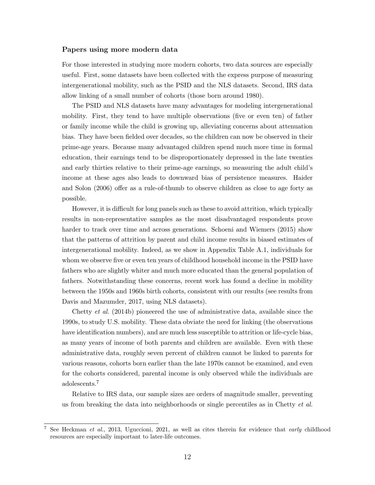#### Papers using more modern data

For those interested in studying more modern cohorts, two data sources are especially useful. First, some datasets have been collected with the express purpose of measuring intergenerational mobility, such as the PSID and the NLS datasets. Second, IRS data allow linking of a small number of cohorts (those born around 1980).

The PSID and NLS datasets have many advantages for modeling intergenerational mobility. First, they tend to have multiple observations (five or even ten) of father or family income while the child is growing up, alleviating concerns about attenuation bias. They have been fielded over decades, so the children can now be observed in their prime-age years. Because many advantaged children spend much more time in formal education, their earnings tend to be disproportionately depressed in the late twenties and early thirties relative to their prime-age earnings, so measuring the adult child's income at these ages also leads to downward bias of persistence measures. Haider and Solon (2006) offer as a rule-of-thumb to observe children as close to age forty as possible.

However, it is difficult for long panels such as these to avoid attrition, which typically results in non-representative samples as the most disadvantaged respondents prove harder to track over time and across generations. Schoeni and Wiemers (2015) show that the patterns of attrition by parent and child income results in biased estimates of intergenerational mobility. Indeed, as we show in Appendix Table A.1, individuals for whom we observe five or even ten years of childhood household income in the PSID have fathers who are slightly whiter and much more educated than the general population of fathers. Notwithstanding these concerns, recent work has found a decline in mobility between the 1950s and 1960s birth cohorts, consistent with our results (see results from Davis and Mazumder, 2017, using NLS datasets).

Chetty et al. (2014b) pioneered the use of administrative data, available since the 1990s, to study U.S. mobility. These data obviate the need for linking (the observations have identification numbers), and are much less susceptible to attrition or life-cycle bias, as many years of income of both parents and children are available. Even with these administrative data, roughly seven percent of children cannot be linked to parents for various reasons, cohorts born earlier than the late 1970s cannot be examined, and even for the cohorts considered, parental income is only observed while the individuals are adolescents.<sup>7</sup>

Relative to IRS data, our sample sizes are orders of magnitude smaller, preventing us from breaking the data into neighborhoods or single percentiles as in Chetty  $et$  al.

<sup>7</sup> See Heckman et al., 2013, Uguccioni, 2021, as well as cites therein for evidence that early childhood resources are especially important to later-life outcomes.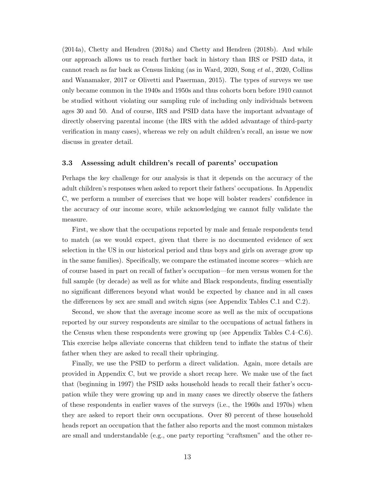(2014a), Chetty and Hendren (2018a) and Chetty and Hendren (2018b). And while our approach allows us to reach further back in history than IRS or PSID data, it cannot reach as far back as Census linking (as in Ward, 2020, Song et al., 2020, Collins and Wanamaker, 2017 or Olivetti and Paserman, 2015). The types of surveys we use only became common in the 1940s and 1950s and thus cohorts born before 1910 cannot be studied without violating our sampling rule of including only individuals between ages 30 and 50. And of course, IRS and PSID data have the important advantage of directly observing parental income (the IRS with the added advantage of third-party verification in many cases), whereas we rely on adult children's recall, an issue we now discuss in greater detail.

#### 3.3 Assessing adult children's recall of parents' occupation

Perhaps the key challenge for our analysis is that it depends on the accuracy of the adult children's responses when asked to report their fathers' occupations. In Appendix C, we perform a number of exercises that we hope will bolster readers' confidence in the accuracy of our income score, while acknowledging we cannot fully validate the measure.

First, we show that the occupations reported by male and female respondents tend to match (as we would expect, given that there is no documented evidence of sex selection in the US in our historical period and thus boys and girls on average grow up in the same families). Specifically, we compare the estimated income scores—which are of course based in part on recall of father's occupation—for men versus women for the full sample (by decade) as well as for white and Black respondents, finding essentially no significant differences beyond what would be expected by chance and in all cases the differences by sex are small and switch signs (see Appendix Tables C.1 and C.2).

Second, we show that the average income score as well as the mix of occupations reported by our survey respondents are similar to the occupations of actual fathers in the Census when these respondents were growing up (see Appendix Tables C.4–C.6). This exercise helps alleviate concerns that children tend to inflate the status of their father when they are asked to recall their upbringing.

Finally, we use the PSID to perform a direct validation. Again, more details are provided in Appendix C, but we provide a short recap here. We make use of the fact that (beginning in 1997) the PSID asks household heads to recall their father's occupation while they were growing up and in many cases we directly observe the fathers of these respondents in earlier waves of the surveys (i.e., the 1960s and 1970s) when they are asked to report their own occupations. Over 80 percent of these household heads report an occupation that the father also reports and the most common mistakes are small and understandable (e.g., one party reporting "craftsmen" and the other re-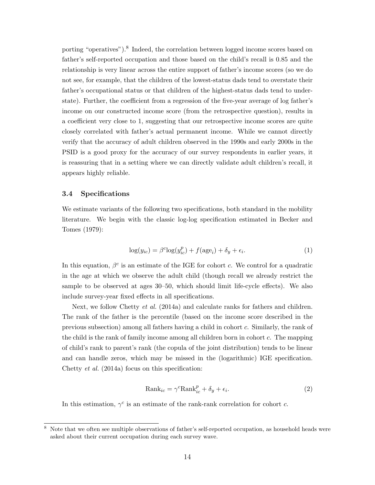porting "operatives").<sup>8</sup> Indeed, the correlation between logged income scores based on father's self-reported occupation and those based on the child's recall is 0.85 and the relationship is very linear across the entire support of father's income scores (so we do not see, for example, that the children of the lowest-status dads tend to overstate their father's occupational status or that children of the highest-status dads tend to understate). Further, the coefficient from a regression of the five-year average of log father's income on our constructed income score (from the retrospective question), results in a coefficient very close to 1, suggesting that our retrospective income scores are quite closely correlated with father's actual permanent income. While we cannot directly verify that the accuracy of adult children observed in the 1990s and early 2000s in the PSID is a good proxy for the accuracy of our survey respondents in earlier years, it is reassuring that in a setting where we can directly validate adult children's recall, it appears highly reliable.

#### 3.4 Specifications

We estimate variants of the following two specifications, both standard in the mobility literature. We begin with the classic log-log specification estimated in Becker and Tomes (1979):

$$
\log(y_{ic}) = \beta^{c} \log(y_{ic}^{p}) + f(\text{age}_{i}) + \delta_{y} + \epsilon_{i}.
$$
\n(1)

In this equation,  $\beta^c$  is an estimate of the IGE for cohort c. We control for a quadratic in the age at which we observe the adult child (though recall we already restrict the sample to be observed at ages 30–50, which should limit life-cycle effects). We also include survey-year fixed effects in all specifications.

Next, we follow Chetty et al. (2014a) and calculate ranks for fathers and children. The rank of the father is the percentile (based on the income score described in the previous subsection) among all fathers having a child in cohort c. Similarly, the rank of the child is the rank of family income among all children born in cohort c. The mapping of child's rank to parent's rank (the copula of the joint distribution) tends to be linear and can handle zeros, which may be missed in the (logarithmic) IGE specification. Chetty et al. (2014a) focus on this specification:

$$
Rank_{ic} = \gamma^c Rank_{ic}^p + \delta_y + \epsilon_i.
$$
\n(2)

In this estimation,  $\gamma^c$  is an estimate of the rank-rank correlation for cohort c.

<sup>8</sup> Note that we often see multiple observations of father's self-reported occupation, as household heads were asked about their current occupation during each survey wave.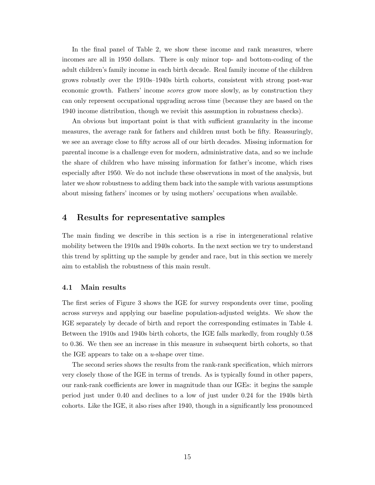In the final panel of Table 2, we show these income and rank measures, where incomes are all in 1950 dollars. There is only minor top- and bottom-coding of the adult children's family income in each birth decade. Real family income of the children grows robustly over the 1910s–1940s birth cohorts, consistent with strong post-war economic growth. Fathers' income scores grow more slowly, as by construction they can only represent occupational upgrading across time (because they are based on the 1940 income distribution, though we revisit this assumption in robustness checks).

An obvious but important point is that with sufficient granularity in the income measures, the average rank for fathers and children must both be fifty. Reassuringly, we see an average close to fifty across all of our birth decades. Missing information for parental income is a challenge even for modern, administrative data, and so we include the share of children who have missing information for father's income, which rises especially after 1950. We do not include these observations in most of the analysis, but later we show robustness to adding them back into the sample with various assumptions about missing fathers' incomes or by using mothers' occupations when available.

## 4 Results for representative samples

The main finding we describe in this section is a rise in intergenerational relative mobility between the 1910s and 1940s cohorts. In the next section we try to understand this trend by splitting up the sample by gender and race, but in this section we merely aim to establish the robustness of this main result.

#### 4.1 Main results

The first series of Figure 3 shows the IGE for survey respondents over time, pooling across surveys and applying our baseline population-adjusted weights. We show the IGE separately by decade of birth and report the corresponding estimates in Table 4. Between the 1910s and 1940s birth cohorts, the IGE falls markedly, from roughly 0.58 to 0.36. We then see an increase in this measure in subsequent birth cohorts, so that the IGE appears to take on a  $u$ -shape over time.

The second series shows the results from the rank-rank specification, which mirrors very closely those of the IGE in terms of trends. As is typically found in other papers, our rank-rank coefficients are lower in magnitude than our IGEs: it begins the sample period just under 0.40 and declines to a low of just under 0.24 for the 1940s birth cohorts. Like the IGE, it also rises after 1940, though in a significantly less pronounced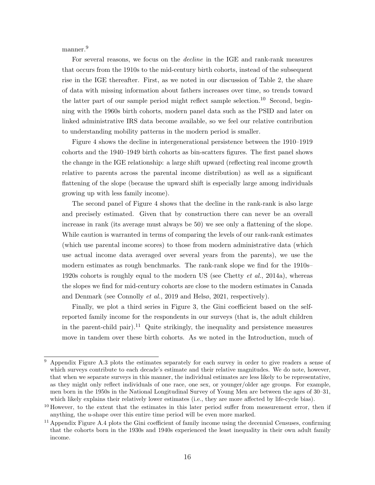manner.<sup>9</sup>

For several reasons, we focus on the decline in the IGE and rank-rank measures that occurs from the 1910s to the mid-century birth cohorts, instead of the subsequent rise in the IGE thereafter. First, as we noted in our discussion of Table 2, the share of data with missing information about fathers increases over time, so trends toward the latter part of our sample period might reflect sample selection.<sup>10</sup> Second, beginning with the 1960s birth cohorts, modern panel data such as the PSID and later on linked administrative IRS data become available, so we feel our relative contribution to understanding mobility patterns in the modern period is smaller.

Figure 4 shows the decline in intergenerational persistence between the 1910–1919 cohorts and the 1940–1949 birth cohorts as bin-scatters figures. The first panel shows the change in the IGE relationship: a large shift upward (reflecting real income growth relative to parents across the parental income distribution) as well as a significant flattening of the slope (because the upward shift is especially large among individuals growing up with less family income).

The second panel of Figure 4 shows that the decline in the rank-rank is also large and precisely estimated. Given that by construction there can never be an overall increase in rank (its average must always be 50) we see only a flattening of the slope. While caution is warranted in terms of comparing the levels of our rank-rank estimates (which use parental income scores) to those from modern administrative data (which use actual income data averaged over several years from the parents), we use the modern estimates as rough benchmarks. The rank-rank slope we find for the 1910s– 1920s cohorts is roughly equal to the modern US (see Chetty  $et al., 2014a$ ), whereas the slopes we find for mid-century cohorts are close to the modern estimates in Canada and Denmark (see Connolly et al., 2019 and Helsø, 2021, respectively).

Finally, we plot a third series in Figure 3, the Gini coefficient based on the selfreported family income for the respondents in our surveys (that is, the adult children in the parent-child pair).<sup>11</sup> Quite strikingly, the inequality and persistence measures move in tandem over these birth cohorts. As we noted in the Introduction, much of

Appendix Figure A.3 plots the estimates separately for each survey in order to give readers a sense of which surveys contribute to each decade's estimate and their relative magnitudes. We do note, however, that when we separate surveys in this manner, the individual estimates are less likely to be representative, as they might only reflect individuals of one race, one sex, or younger/older age groups. For example, men born in the 1950s in the National Longitudinal Survey of Young Men are between the ages of 30–31, which likely explains their relatively lower estimates (i.e., they are more affected by life-cycle bias).

<sup>&</sup>lt;sup>10</sup> However, to the extent that the estimates in this later period suffer from measurement error, then if anything, the u-shape over this entire time period will be even more marked.

<sup>&</sup>lt;sup>11</sup> Appendix Figure A.4 plots the Gini coefficient of family income using the decennial Censuses, confirming that the cohorts born in the 1930s and 1940s experienced the least inequality in their own adult family income.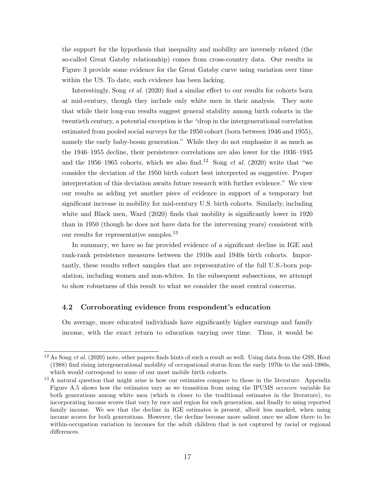the support for the hypothesis that inequality and mobility are inversely related (the so-called Great Gatsby relationship) comes from cross-country data. Our results in Figure 3 provide some evidence for the Great Gatsby curve using variation over time within the US. To date, such evidence has been lacking.

Interestingly, Song et al. (2020) find a similar effect to our results for cohorts born at mid-century, though they include only white men in their analysis. They note that while their long-run results suggest general stability among birth cohorts in the twentieth century, a potential exception is the "drop in the intergenerational correlation estimated from pooled social surveys for the 1950 cohort (born between 1946 and 1955), namely the early baby-boom generation." While they do not emphasize it as much as the 1946–1955 decline, their persistence correlations are also lower for the 1936–1945 and the 1956–1965 cohorts, which we also find.<sup>12</sup> Song et al. (2020) write that "we consider the deviation of the 1950 birth cohort best interpreted as suggestive. Proper interpretation of this deviation awaits future research with further evidence." We view our results as adding yet another piece of evidence in support of a temporary but significant increase in mobility for mid-century U.S. birth cohorts. Similarly, including white and Black men, Ward (2020) finds that mobility is significantly lower in 1920 than in 1950 (though he does not have data for the intervening years) consistent with our results for representative samples.<sup>13</sup>

In summary, we have so far provided evidence of a significant decline in IGE and rank-rank persistence measures between the 1910s and 1940s birth cohorts. Importantly, these results reflect samples that are representative of the full U.S.-born population, including women and non-whites. In the subsequent subsections, we attempt to show robustness of this result to what we consider the most central concerns.

#### 4.2 Corroborating evidence from respondent's education

On average, more educated individuals have significantly higher earnings and family income, with the exact return to education varying over time. Thus, it would be

 $12$  As Song *et al.* (2020) note, other papers finds hints of such a result as well. Using data from the GSS, Hout (1988) find rising intergenerational mobility of occupational status from the early 1970s to the mid-1980s, which would correspond to some of our most mobile birth cohorts.

<sup>&</sup>lt;sup>13</sup> A natural question that might arise is how our estimates compare to those in the literature. Appendix Figure A.5 shows how the estimates vary as we transition from using the IPUMS *occscore* variable for both generations among white men (which is closer to the traditional estimates in the literature), to incorporating income scores that vary by race and region for each generation, and finally to using reported family income. We see that the decline in IGE estimates is present, albeit less marked, when using income scores for both generations. However, the decline become more salient once we allow there to be within-occupation variation in incomes for the adult children that is not captured by racial or regional differences.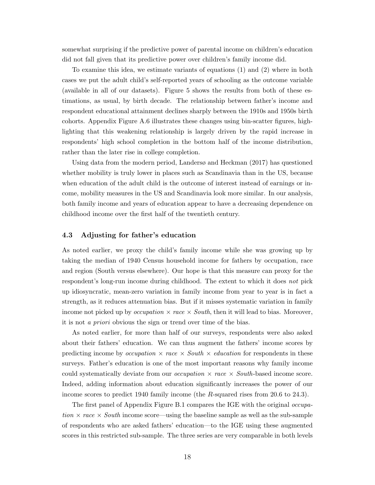somewhat surprising if the predictive power of parental income on children's education did not fall given that its predictive power over children's family income did.

To examine this idea, we estimate variants of equations (1) and (2) where in both cases we put the adult child's self-reported years of schooling as the outcome variable (available in all of our datasets). Figure 5 shows the results from both of these estimations, as usual, by birth decade. The relationship between father's income and respondent educational attainment declines sharply between the 1910s and 1950s birth cohorts. Appendix Figure A.6 illustrates these changes using bin-scatter figures, highlighting that this weakening relationship is largely driven by the rapid increase in respondents' high school completion in the bottom half of the income distribution, rather than the later rise in college completion.

Using data from the modern period, Landersø and Heckman (2017) has questioned whether mobility is truly lower in places such as Scandinavia than in the US, because when education of the adult child is the outcome of interest instead of earnings or income, mobility measures in the US and Scandinavia look more similar. In our analysis, both family income and years of education appear to have a decreasing dependence on childhood income over the first half of the twentieth century.

#### 4.3 Adjusting for father's education

As noted earlier, we proxy the child's family income while she was growing up by taking the median of 1940 Census household income for fathers by occupation, race and region (South versus elsewhere). Our hope is that this measure can proxy for the respondent's long-run income during childhood. The extent to which it does not pick up idiosyncratic, mean-zero variation in family income from year to year is in fact a strength, as it reduces attenuation bias. But if it misses systematic variation in family income not picked up by *occupation*  $\times$  race  $\times$  South, then it will lead to bias. Moreover, it is not a priori obvious the sign or trend over time of the bias.

As noted earlier, for more than half of our surveys, respondents were also asked about their fathers' education. We can thus augment the fathers' income scores by predicting income by *occupation*  $\times$  race  $\times$  South  $\times$  education for respondents in these surveys. Father's education is one of the most important reasons why family income could systematically deviate from our *occupation*  $\times$  race  $\times$  South-based income score. Indeed, adding information about education significantly increases the power of our income scores to predict 1940 family income (the R-squared rises from 20.6 to 24.3).

The first panel of Appendix Figure B.1 compares the IGE with the original occupation  $\times$  race  $\times$  South income score—using the baseline sample as well as the sub-sample of respondents who are asked fathers' education—to the IGE using these augmented scores in this restricted sub-sample. The three series are very comparable in both levels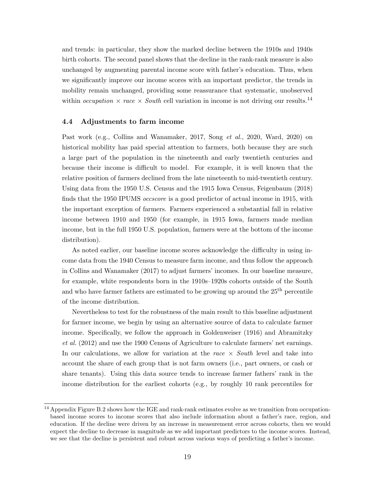and trends: in particular, they show the marked decline between the 1910s and 1940s birth cohorts. The second panel shows that the decline in the rank-rank measure is also unchanged by augmenting parental income score with father's education. Thus, when we significantly improve our income scores with an important predictor, the trends in mobility remain unchanged, providing some reassurance that systematic, unobserved within *occupation*  $\times$  race  $\times$  South cell variation in income is not driving our results.<sup>14</sup>

#### 4.4 Adjustments to farm income

Past work (e.g., Collins and Wanamaker, 2017, Song et al., 2020, Ward, 2020) on historical mobility has paid special attention to farmers, both because they are such a large part of the population in the nineteenth and early twentieth centuries and because their income is difficult to model. For example, it is well known that the relative position of farmers declined from the late nineteenth to mid-twentieth century. Using data from the 1950 U.S. Census and the 1915 Iowa Census, Feigenbaum (2018) finds that the 1950 IPUMS occscore is a good predictor of actual income in 1915, with the important exception of farmers. Farmers experienced a substantial fall in relative income between 1910 and 1950 (for example, in 1915 Iowa, farmers made median income, but in the full 1950 U.S. population, farmers were at the bottom of the income distribution).

As noted earlier, our baseline income scores acknowledge the difficulty in using income data from the 1940 Census to measure farm income, and thus follow the approach in Collins and Wanamaker (2017) to adjust farmers' incomes. In our baseline measure, for example, white respondents born in the 1910s–1920s cohorts outside of the South and who have farmer fathers are estimated to be growing up around the 25th percentile of the income distribution.

Nevertheless to test for the robustness of the main result to this baseline adjustment for farmer income, we begin by using an alternative source of data to calculate farmer income. Specifically, we follow the approach in Goldenweiser (1916) and Abramitzky et al. (2012) and use the 1900 Census of Agriculture to calculate farmers' net earnings. In our calculations, we allow for variation at the race  $\times$  South level and take into account the share of each group that is not farm owners (i.e., part owners, or cash or share tenants). Using this data source tends to increase farmer fathers' rank in the income distribution for the earliest cohorts (e.g., by roughly 10 rank percentiles for

<sup>&</sup>lt;sup>14</sup> Appendix Figure B.2 shows how the IGE and rank-rank estimates evolve as we transition from occupationbased income scores to income scores that also include information about a father's race, region, and education. If the decline were driven by an increase in measurement error across cohorts, then we would expect the decline to decrease in magnitude as we add important predictors to the income scores. Instead, we see that the decline is persistent and robust across various ways of predicting a father's income.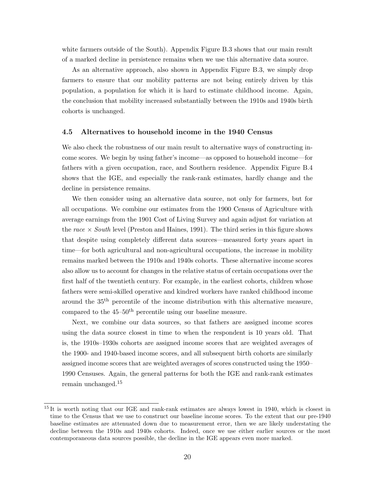white farmers outside of the South). Appendix Figure B.3 shows that our main result of a marked decline in persistence remains when we use this alternative data source.

As an alternative approach, also shown in Appendix Figure B.3, we simply drop farmers to ensure that our mobility patterns are not being entirely driven by this population, a population for which it is hard to estimate childhood income. Again, the conclusion that mobility increased substantially between the 1910s and 1940s birth cohorts is unchanged.

#### 4.5 Alternatives to household income in the 1940 Census

We also check the robustness of our main result to alternative ways of constructing income scores. We begin by using father's income—as opposed to household income—for fathers with a given occupation, race, and Southern residence. Appendix Figure B.4 shows that the IGE, and especially the rank-rank estimates, hardly change and the decline in persistence remains.

We then consider using an alternative data source, not only for farmers, but for all occupations. We combine our estimates from the 1900 Census of Agriculture with average earnings from the 1901 Cost of Living Survey and again adjust for variation at the race  $\times$  South level (Preston and Haines, 1991). The third series in this figure shows that despite using completely different data sources—measured forty years apart in time—for both agricultural and non-agricultural occupations, the increase in mobility remains marked between the 1910s and 1940s cohorts. These alternative income scores also allow us to account for changes in the relative status of certain occupations over the first half of the twentieth century. For example, in the earliest cohorts, children whose fathers were semi-skilled operative and kindred workers have ranked childhood income around the 35th percentile of the income distribution with this alternative measure, compared to the  $45-50$ <sup>th</sup> percentile using our baseline measure.

Next, we combine our data sources, so that fathers are assigned income scores using the data source closest in time to when the respondent is 10 years old. That is, the 1910s–1930s cohorts are assigned income scores that are weighted averages of the 1900- and 1940-based income scores, and all subsequent birth cohorts are similarly assigned income scores that are weighted averages of scores constructed using the 1950– 1990 Censuses. Again, the general patterns for both the IGE and rank-rank estimates remain unchanged.<sup>15</sup>

<sup>&</sup>lt;sup>15</sup> It is worth noting that our IGE and rank-rank estimates are always lowest in 1940, which is closest in time to the Census that we use to construct our baseline income scores. To the extent that our pre-1940 baseline estimates are attenuated down due to measurement error, then we are likely understating the decline between the 1910s and 1940s cohorts. Indeed, once we use either earlier sources or the most contemporaneous data sources possible, the decline in the IGE appears even more marked.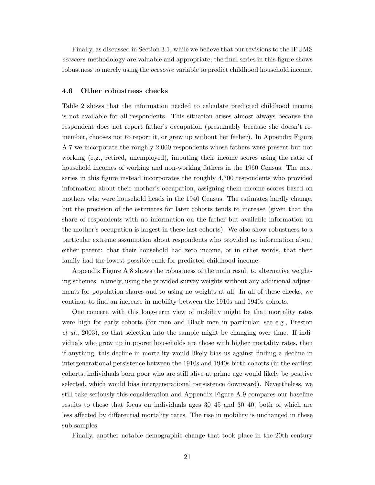Finally, as discussed in Section 3.1, while we believe that our revisions to the IPUMS occscore methodology are valuable and appropriate, the final series in this figure shows robustness to merely using the occscore variable to predict childhood household income.

#### 4.6 Other robustness checks

Table 2 shows that the information needed to calculate predicted childhood income is not available for all respondents. This situation arises almost always because the respondent does not report father's occupation (presumably because she doesn't remember, chooses not to report it, or grew up without her father). In Appendix Figure A.7 we incorporate the roughly 2,000 respondents whose fathers were present but not working (e.g., retired, unemployed), imputing their income scores using the ratio of household incomes of working and non-working fathers in the 1960 Census. The next series in this figure instead incorporates the roughly 4,700 respondents who provided information about their mother's occupation, assigning them income scores based on mothers who were household heads in the 1940 Census. The estimates hardly change, but the precision of the estimates for later cohorts tends to increase (given that the share of respondents with no information on the father but available information on the mother's occupation is largest in these last cohorts). We also show robustness to a particular extreme assumption about respondents who provided no information about either parent: that their household had zero income, or in other words, that their family had the lowest possible rank for predicted childhood income.

Appendix Figure A.8 shows the robustness of the main result to alternative weighting schemes: namely, using the provided survey weights without any additional adjustments for population shares and to using no weights at all. In all of these checks, we continue to find an increase in mobility between the 1910s and 1940s cohorts.

One concern with this long-term view of mobility might be that mortality rates were high for early cohorts (for men and Black men in particular; see e.g., Preston et al., 2003), so that selection into the sample might be changing over time. If individuals who grow up in poorer households are those with higher mortality rates, then if anything, this decline in mortality would likely bias us against finding a decline in intergenerational persistence between the 1910s and 1940s birth cohorts (in the earliest cohorts, individuals born poor who are still alive at prime age would likely be positive selected, which would bias intergenerational persistence downward). Nevertheless, we still take seriously this consideration and Appendix Figure A.9 compares our baseline results to those that focus on individuals ages 30–45 and 30–40, both of which are less affected by differential mortality rates. The rise in mobility is unchanged in these sub-samples.

Finally, another notable demographic change that took place in the 20th century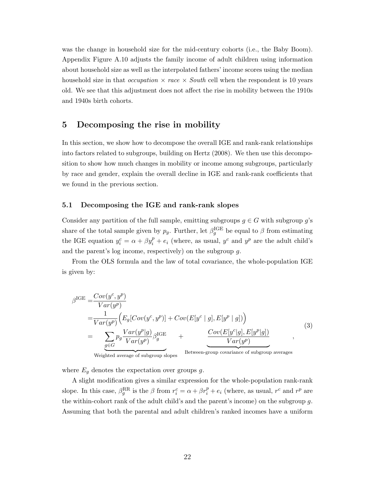was the change in household size for the mid-century cohorts (i.e., the Baby Boom). Appendix Figure A.10 adjusts the family income of adult children using information about household size as well as the interpolated fathers' income scores using the median household size in that *occupation*  $\times$  race  $\times$  South cell when the respondent is 10 years old. We see that this adjustment does not affect the rise in mobility between the 1910s and 1940s birth cohorts.

# 5 Decomposing the rise in mobility

In this section, we show how to decompose the overall IGE and rank-rank relationships into factors related to subgroups, building on Hertz (2008). We then use this decomposition to show how much changes in mobility or income among subgroups, particularly by race and gender, explain the overall decline in IGE and rank-rank coefficients that we found in the previous section.

#### 5.1 Decomposing the IGE and rank-rank slopes

Consider any partition of the full sample, emitting subgroups  $g \in G$  with subgroup g's share of the total sample given by  $p_g$ . Further, let  $\beta_g^{\text{IGE}}$  be equal to  $\beta$  from estimating the IGE equation  $y_i^c = \alpha + \beta y_i^p + e_i$  (where, as usual,  $y^c$  and  $y^p$  are the adult child's and the parent's log income, respectively) on the subgroup g.

From the OLS formula and the law of total covariance, the whole-population IGE is given by:

$$
\beta^{\text{IGE}} = \frac{Cov(y^c, y^p)}{Var(y^p)}
$$
\n
$$
= \frac{1}{Var(y^p)} \Big( E_g[Cov(y^c, y^p)] + Cov(E[y^c | g], E[y^p | g]) \Big)
$$
\n
$$
= \sum_{g \in G} p_g \frac{Var(y^p | g)}{Var(y^p)} \beta_g^{\text{IGE}} + \frac{Cov(E[y^c | g], E[y^p | g])}{Var(y^p)}
$$
\n
$$
\text{Weighted average of subgroup slopes}
$$
\n
$$
\text{Between-group covariance of subgroup averages}
$$
\n
$$
\text{Determine of subgroup average}
$$
\n
$$
\beta^{\text{IGE}} = \frac{Cov(E[y^c | g], E[y^p | g])}{Var(y^p)}
$$
\n
$$
\beta^{\text{IGE}} = \frac{Cov(E[y^c | g], E[y^p | g])}{Var(y^p)}
$$
\n
$$
\beta^{\text{IGE}} = \frac{Cov(E[y^c | g], E[y^p | g])}{Var(y^p)}
$$
\n
$$
\beta^{\text{IGE}} = \frac{Cov(E[y^c | g], E[y^p | g])}{Var(y^p)}
$$
\n
$$
\beta^{\text{IGE}} = \frac{Cov(E[y^c | g], E[y^p | g])}{Var(y^p)}
$$
\n
$$
\beta^{\text{IGE}} = \frac{Cov(E[y^c | g], E[y^p | g])}{Var(y^p)}
$$
\n
$$
\beta^{\text{IGE}} = \frac{Cov(E[y^c | g], E[y^p | g])}{Var(y^p)}
$$
\n
$$
\beta^{\text{IGE}} = \frac{Cov(E[y^c | g], E[y^p | g])}{Var(y^p)}
$$
\n
$$
\beta^{\text{IGE}} = \frac{Cov(E[y^c | g], E[y^p | g])}{Var(y^p)}
$$
\n
$$
\beta^{\text{IGE}} = \frac{Cov(E[y^c | g], E[y^p | g])}{Var(y^p)}
$$
\n
$$
\beta^{\text{IGE}} = \frac{Cov(E[y^c | g], E[y^p | g])}{Var(y^p)}
$$
\n
$$
\beta^{\text{IGE}} = \frac{Cov(E[y^c | g], E[y^p | g])}{Var(y^p)}
$$
\n
$$
\beta^{\text{IGE}} = \frac{Cov(E[y^c | g], E[y^p | g
$$

where  $E_q$  denotes the expectation over groups g.

A slight modification gives a similar expression for the whole-population rank-rank slope. In this case,  $\beta_g^{\text{RR}}$  is the  $\beta$  from  $r_i^c = \alpha + \beta r_i^p + e_i$  (where, as usual,  $r^c$  and  $r^p$  are the within-cohort rank of the adult child's and the parent's income) on the subgroup  $g$ . Assuming that both the parental and adult children's ranked incomes have a uniform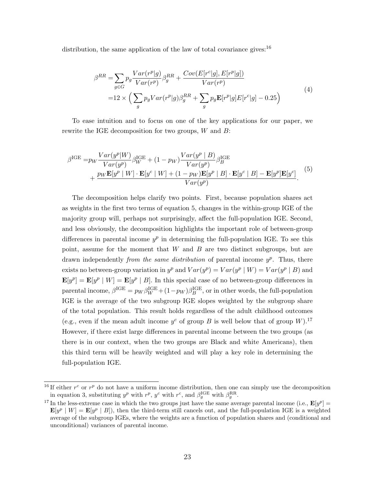distribution, the same application of the law of total covariance gives:  $^{16}$ 

$$
\beta^{RR} = \sum_{g \in G} p_g \frac{Var(r^p|g)}{Var(r^p)} \beta_g^{RR} + \frac{Cov(E[r^c|g], E[r^p|g])}{Var(r^p)}
$$
  
=12 \times \left( \sum\_g p\_g Var(r^p|g) \beta\_g^{RR} + \sum\_g p\_g \mathbf{E}[r^p|g] E[r^c|g] - 0.25 \right) (4)

To ease intuition and to focus on one of the key applications for our paper, we rewrite the IGE decomposition for two groups,  $W$  and  $B$ :

$$
\beta^{\text{IGE}} = p_W \frac{Var(y^p|W)}{Var(y^p)} \beta_W^{\text{IGE}} + (1 - p_W) \frac{Var(y^p | B)}{Var(y^p)} \beta_B^{\text{IGE}} + \frac{p_W \mathbf{E}[y^p | W] \cdot \mathbf{E}[y^c | W] + (1 - p_W) \mathbf{E}[y^p | B] \cdot \mathbf{E}[y^c | B] - \mathbf{E}[y^p] \mathbf{E}[y^c]}{Var(y^p)}.
$$
\n(5)

The decomposition helps clarify two points. First, because population shares act as weights in the first two terms of equation 5, changes in the within-group IGE of the majority group will, perhaps not surprisingly, affect the full-population IGE. Second, and less obviously, the decomposition highlights the important role of between-group differences in parental income  $y^p$  in determining the full-population IGE. To see this point, assume for the moment that  $W$  and  $B$  are two distinct subgroups, but are drawn independently *from the same distribution* of parental income  $y^p$ . Thus, there exists no between-group variation in  $y^p$  and  $Var(y^p) = Var(y^p | W) = Var(y^p | B)$  and  $\mathbf{E}[y^p] = \mathbf{E}[y^p | W] = \mathbf{E}[y^p | B]$ . In this special case of no between-group differences in parental income,  $\beta^{\text{IGE}} = p_W \beta_W^{\text{IGE}} + (1-p_W) \beta_B^{\text{IGE}}$ , or in other words, the full-population IGE is the average of the two subgroup IGE slopes weighted by the subgroup share of the total population. This result holds regardless of the adult childhood outcomes (e.g., even if the mean adult income  $y^c$  of group B is well below that of group W).<sup>17</sup> However, if there exist large differences in parental income between the two groups (as there is in our context, when the two groups are Black and white Americans), then this third term will be heavily weighted and will play a key role in determining the full-population IGE.

<sup>&</sup>lt;sup>16</sup> If either  $r^c$  or  $r^p$  do not have a uniform income distribution, then one can simply use the decomposition in equation 3, substituting  $y^p$  with  $r^p$ ,  $y^c$  with  $r^c$ , and  $\beta_g^{\text{IGE}}$  with  $\beta_g^{\text{RR}}$ .

<sup>&</sup>lt;sup>17</sup> In the less-extreme case in which the two groups just have the same average parental income (i.e.,  $\mathbf{E}[y^p] =$  $\mathbf{E}[y^p | W] = \mathbf{E}[y^p | B]$ , then the third-term still cancels out, and the full-population IGE is a weighted average of the subgroup IGEs, where the weights are a function of population shares and (conditional and unconditional) variances of parental income.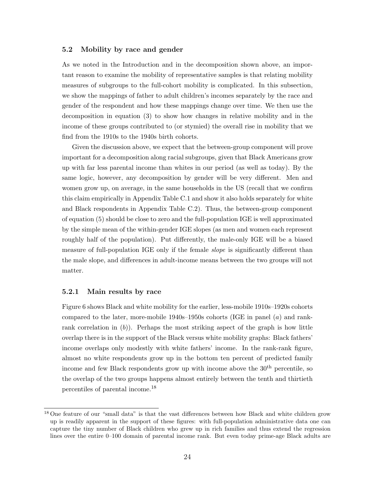#### 5.2 Mobility by race and gender

As we noted in the Introduction and in the decomposition shown above, an important reason to examine the mobility of representative samples is that relating mobility measures of subgroups to the full-cohort mobility is complicated. In this subsection, we show the mappings of father to adult children's incomes separately by the race and gender of the respondent and how these mappings change over time. We then use the decomposition in equation (3) to show how changes in relative mobility and in the income of these groups contributed to (or stymied) the overall rise in mobility that we find from the 1910s to the 1940s birth cohorts.

Given the discussion above, we expect that the between-group component will prove important for a decomposition along racial subgroups, given that Black Americans grow up with far less parental income than whites in our period (as well as today). By the same logic, however, any decomposition by gender will be very different. Men and women grow up, on average, in the same households in the US (recall that we confirm this claim empirically in Appendix Table C.1 and show it also holds separately for white and Black respondents in Appendix Table C.2). Thus, the between-group component of equation (5) should be close to zero and the full-population IGE is well approximated by the simple mean of the within-gender IGE slopes (as men and women each represent roughly half of the population). Put differently, the male-only IGE will be a biased measure of full-population IGE only if the female slope is significantly different than the male slope, and differences in adult-income means between the two groups will not matter.

#### 5.2.1 Main results by race

Figure 6 shows Black and white mobility for the earlier, less-mobile 1910s–1920s cohorts compared to the later, more-mobile  $1940s-1950s$  cohorts (IGE in panel  $(a)$ ) and rankrank correlation in  $(b)$ ). Perhaps the most striking aspect of the graph is how little overlap there is in the support of the Black versus white mobility graphs: Black fathers' income overlaps only modestly with white fathers' income. In the rank-rank figure, almost no white respondents grow up in the bottom ten percent of predicted family income and few Black respondents grow up with income above the  $30<sup>th</sup>$  percentile, so the overlap of the two groups happens almost entirely between the tenth and thirtieth percentiles of parental income.<sup>18</sup>

<sup>&</sup>lt;sup>18</sup> One feature of our "small data" is that the vast differences between how Black and white children grow up is readily apparent in the support of these figures: with full-population administrative data one can capture the tiny number of Black children who grew up in rich families and thus extend the regression lines over the entire 0–100 domain of parental income rank. But even today prime-age Black adults are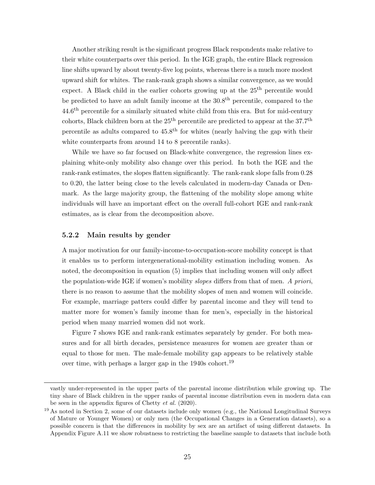Another striking result is the significant progress Black respondents make relative to their white counterparts over this period. In the IGE graph, the entire Black regression line shifts upward by about twenty-five log points, whereas there is a much more modest upward shift for whites. The rank-rank graph shows a similar convergence, as we would expect. A Black child in the earlier cohorts growing up at the 25<sup>th</sup> percentile would be predicted to have an adult family income at the  $30.8<sup>th</sup>$  percentile, compared to the 44.6<sup>th</sup> percentile for a similarly situated white child from this era. But for mid-century cohorts, Black children born at the  $25<sup>th</sup>$  percentile are predicted to appear at the 37.7<sup>th</sup> percentile as adults compared to  $45.8<sup>th</sup>$  for whites (nearly halving the gap with their white counterparts from around 14 to 8 percentile ranks).

While we have so far focused on Black-white convergence, the regression lines explaining white-only mobility also change over this period. In both the IGE and the rank-rank estimates, the slopes flatten significantly. The rank-rank slope falls from 0.28 to 0.20, the latter being close to the levels calculated in modern-day Canada or Denmark. As the large majority group, the flattening of the mobility slope among white individuals will have an important effect on the overall full-cohort IGE and rank-rank estimates, as is clear from the decomposition above.

#### 5.2.2 Main results by gender

A major motivation for our family-income-to-occupation-score mobility concept is that it enables us to perform intergenerational-mobility estimation including women. As noted, the decomposition in equation (5) implies that including women will only affect the population-wide IGE if women's mobility slopes differs from that of men. A priori, there is no reason to assume that the mobility slopes of men and women will coincide. For example, marriage patters could differ by parental income and they will tend to matter more for women's family income than for men's, especially in the historical period when many married women did not work.

Figure 7 shows IGE and rank-rank estimates separately by gender. For both measures and for all birth decades, persistence measures for women are greater than or equal to those for men. The male-female mobility gap appears to be relatively stable over time, with perhaps a larger gap in the  $1940s$  cohort.<sup>19</sup>

vastly under-represented in the upper parts of the parental income distribution while growing up. The tiny share of Black children in the upper ranks of parental income distribution even in modern data can be seen in the appendix figures of Chetty et al. (2020).

<sup>&</sup>lt;sup>19</sup> As noted in Section 2, some of our datasets include only women (e.g., the National Longitudinal Surveys of Mature or Younger Women) or only men (the Occupational Changes in a Generation datasets), so a possible concern is that the differences in mobility by sex are an artifact of using different datasets. In Appendix Figure A.11 we show robustness to restricting the baseline sample to datasets that include both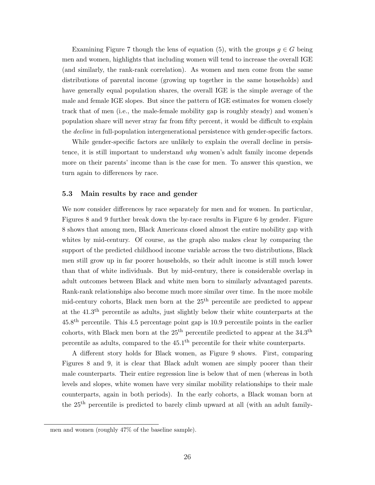Examining Figure 7 though the lens of equation (5), with the groups  $g \in G$  being men and women, highlights that including women will tend to increase the overall IGE (and similarly, the rank-rank correlation). As women and men come from the same distributions of parental income (growing up together in the same households) and have generally equal population shares, the overall IGE is the simple average of the male and female IGE slopes. But since the pattern of IGE estimates for women closely track that of men (i.e., the male-female mobility gap is roughly steady) and women's population share will never stray far from fifty percent, it would be difficult to explain the *decline* in full-population intergenerational persistence with gender-specific factors.

While gender-specific factors are unlikely to explain the overall decline in persistence, it is still important to understand why women's adult family income depends more on their parents' income than is the case for men. To answer this question, we turn again to differences by race.

#### 5.3 Main results by race and gender

We now consider differences by race separately for men and for women. In particular, Figures 8 and 9 further break down the by-race results in Figure 6 by gender. Figure 8 shows that among men, Black Americans closed almost the entire mobility gap with whites by mid-century. Of course, as the graph also makes clear by comparing the support of the predicted childhood income variable across the two distributions, Black men still grow up in far poorer households, so their adult income is still much lower than that of white individuals. But by mid-century, there is considerable overlap in adult outcomes between Black and white men born to similarly advantaged parents. Rank-rank relationships also become much more similar over time. In the more mobile mid-century cohorts, Black men born at the 25th percentile are predicted to appear at the 41.3th percentile as adults, just slightly below their white counterparts at the 45.8th percentile. This 4.5 percentage point gap is 10.9 percentile points in the earlier cohorts, with Black men born at the  $25<sup>th</sup>$  percentile predicted to appear at the  $34.3<sup>th</sup>$ percentile as adults, compared to the  $45.1<sup>th</sup>$  percentile for their white counterparts.

A different story holds for Black women, as Figure 9 shows. First, comparing Figures 8 and 9, it is clear that Black adult women are simply poorer than their male counterparts. Their entire regression line is below that of men (whereas in both levels and slopes, white women have very similar mobility relationships to their male counterparts, again in both periods). In the early cohorts, a Black woman born at the 25th percentile is predicted to barely climb upward at all (with an adult family-

men and women (roughly 47% of the baseline sample).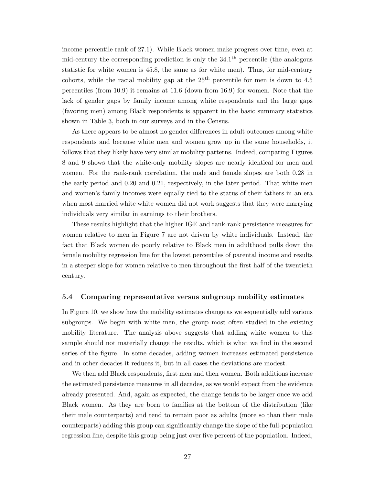income percentile rank of 27.1). While Black women make progress over time, even at mid-century the corresponding prediction is only the  $34.1<sup>th</sup>$  percentile (the analogous statistic for white women is 45.8, the same as for white men). Thus, for mid-century cohorts, while the racial mobility gap at the  $25<sup>th</sup>$  percentile for men is down to 4.5 percentiles (from 10.9) it remains at 11.6 (down from 16.9) for women. Note that the lack of gender gaps by family income among white respondents and the large gaps (favoring men) among Black respondents is apparent in the basic summary statistics shown in Table 3, both in our surveys and in the Census.

As there appears to be almost no gender differences in adult outcomes among white respondents and because white men and women grow up in the same households, it follows that they likely have very similar mobility patterns. Indeed, comparing Figures 8 and 9 shows that the white-only mobility slopes are nearly identical for men and women. For the rank-rank correlation, the male and female slopes are both 0.28 in the early period and 0.20 and 0.21, respectively, in the later period. That white men and women's family incomes were equally tied to the status of their fathers in an era when most married white white women did not work suggests that they were marrying individuals very similar in earnings to their brothers.

These results highlight that the higher IGE and rank-rank persistence measures for women relative to men in Figure 7 are not driven by white individuals. Instead, the fact that Black women do poorly relative to Black men in adulthood pulls down the female mobility regression line for the lowest percentiles of parental income and results in a steeper slope for women relative to men throughout the first half of the twentieth century.

#### 5.4 Comparing representative versus subgroup mobility estimates

In Figure 10, we show how the mobility estimates change as we sequentially add various subgroups. We begin with white men, the group most often studied in the existing mobility literature. The analysis above suggests that adding white women to this sample should not materially change the results, which is what we find in the second series of the figure. In some decades, adding women increases estimated persistence and in other decades it reduces it, but in all cases the deviations are modest.

We then add Black respondents, first men and then women. Both additions increase the estimated persistence measures in all decades, as we would expect from the evidence already presented. And, again as expected, the change tends to be larger once we add Black women. As they are born to families at the bottom of the distribution (like their male counterparts) and tend to remain poor as adults (more so than their male counterparts) adding this group can significantly change the slope of the full-population regression line, despite this group being just over five percent of the population. Indeed,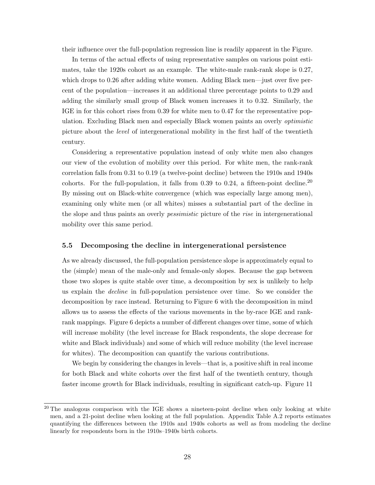their influence over the full-population regression line is readily apparent in the Figure.

In terms of the actual effects of using representative samples on various point estimates, take the 1920s cohort as an example. The white-male rank-rank slope is 0.27, which drops to 0.26 after adding white women. Adding Black men—just over five percent of the population—increases it an additional three percentage points to 0.29 and adding the similarly small group of Black women increases it to 0.32. Similarly, the IGE in for this cohort rises from 0.39 for white men to 0.47 for the representative population. Excluding Black men and especially Black women paints an overly optimistic picture about the level of intergenerational mobility in the first half of the twentieth century.

Considering a representative population instead of only white men also changes our view of the evolution of mobility over this period. For white men, the rank-rank correlation falls from 0.31 to 0.19 (a twelve-point decline) between the 1910s and 1940s cohorts. For the full-population, it falls from 0.39 to 0.24, a fifteen-point decline.<sup>20</sup> By missing out on Black-white convergence (which was especially large among men), examining only white men (or all whites) misses a substantial part of the decline in the slope and thus paints an overly pessimistic picture of the rise in intergenerational mobility over this same period.

#### 5.5 Decomposing the decline in intergenerational persistence

As we already discussed, the full-population persistence slope is approximately equal to the (simple) mean of the male-only and female-only slopes. Because the gap between those two slopes is quite stable over time, a decomposition by sex is unlikely to help us explain the decline in full-population persistence over time. So we consider the decomposition by race instead. Returning to Figure 6 with the decomposition in mind allows us to assess the effects of the various movements in the by-race IGE and rankrank mappings. Figure 6 depicts a number of different changes over time, some of which will increase mobility (the level increase for Black respondents, the slope decrease for white and Black individuals) and some of which will reduce mobility (the level increase for whites). The decomposition can quantify the various contributions.

We begin by considering the changes in levels—that is, a positive shift in real income for both Black and white cohorts over the first half of the twentieth century, though faster income growth for Black individuals, resulting in significant catch-up. Figure 11

 $20$  The analogous comparison with the IGE shows a nineteen-point decline when only looking at white men, and a 21-point decline when looking at the full population. Appendix Table A.2 reports estimates quantifying the differences between the 1910s and 1940s cohorts as well as from modeling the decline linearly for respondents born in the 1910s–1940s birth cohorts.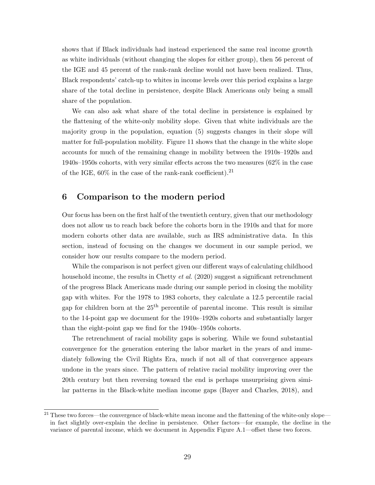shows that if Black individuals had instead experienced the same real income growth as white individuals (without changing the slopes for either group), then 56 percent of the IGE and 45 percent of the rank-rank decline would not have been realized. Thus, Black respondents' catch-up to whites in income levels over this period explains a large share of the total decline in persistence, despite Black Americans only being a small share of the population.

We can also ask what share of the total decline in persistence is explained by the flattening of the white-only mobility slope. Given that white individuals are the majority group in the population, equation (5) suggests changes in their slope will matter for full-population mobility. Figure 11 shows that the change in the white slope accounts for much of the remaining change in mobility between the 1910s–1920s and 1940s–1950s cohorts, with very similar effects across the two measures (62% in the case of the IGE,  $60\%$  in the case of the rank-rank coefficient).<sup>21</sup>

## 6 Comparison to the modern period

Our focus has been on the first half of the twentieth century, given that our methodology does not allow us to reach back before the cohorts born in the 1910s and that for more modern cohorts other data are available, such as IRS administrative data. In this section, instead of focusing on the changes we document in our sample period, we consider how our results compare to the modern period.

While the comparison is not perfect given our different ways of calculating childhood household income, the results in Chetty *et al.* (2020) suggest a significant retrenchment of the progress Black Americans made during our sample period in closing the mobility gap with whites. For the 1978 to 1983 cohorts, they calculate a 12.5 percentile racial gap for children born at the  $25<sup>th</sup>$  percentile of parental income. This result is similar to the 14-point gap we document for the 1910s–1920s cohorts and substantially larger than the eight-point gap we find for the 1940s–1950s cohorts.

The retrenchment of racial mobility gaps is sobering. While we found substantial convergence for the generation entering the labor market in the years of and immediately following the Civil Rights Era, much if not all of that convergence appears undone in the years since. The pattern of relative racial mobility improving over the 20th century but then reversing toward the end is perhaps unsurprising given similar patterns in the Black-white median income gaps (Bayer and Charles, 2018), and

<sup>&</sup>lt;sup>21</sup> These two forces—the convergence of black-white mean income and the flattening of the white-only slope in fact slightly over-explain the decline in persistence. Other factors—for example, the decline in the variance of parental income, which we document in Appendix Figure A.1—offset these two forces.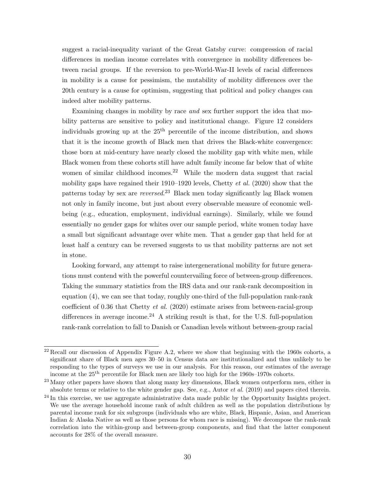suggest a racial-inequality variant of the Great Gatsby curve: compression of racial differences in median income correlates with convergence in mobility differences between racial groups. If the reversion to pre-World-War-II levels of racial differences in mobility is a cause for pessimism, the mutability of mobility differences over the 20th century is a cause for optimism, suggesting that political and policy changes can indeed alter mobility patterns.

Examining changes in mobility by race and sex further support the idea that mobility patterns are sensitive to policy and institutional change. Figure 12 considers individuals growing up at the  $25<sup>th</sup>$  percentile of the income distribution, and shows that it is the income growth of Black men that drives the Black-white convergence: those born at mid-century have nearly closed the mobility gap with white men, while Black women from these cohorts still have adult family income far below that of white women of similar childhood incomes.<sup>22</sup> While the modern data suggest that racial mobility gaps have regained their 1910–1920 levels, Chetty *et al.* (2020) show that the patterns today by sex are *reversed*.<sup>23</sup> Black men today significantly lag Black women not only in family income, but just about every observable measure of economic wellbeing (e.g., education, employment, individual earnings). Similarly, while we found essentially no gender gaps for whites over our sample period, white women today have a small but significant advantage over white men. That a gender gap that held for at least half a century can be reversed suggests to us that mobility patterns are not set in stone.

Looking forward, any attempt to raise intergenerational mobility for future generations must contend with the powerful countervailing force of between-group differences. Taking the summary statistics from the IRS data and our rank-rank decomposition in equation (4), we can see that today, roughly one-third of the full-population rank-rank coefficient of 0.36 that Chetty et al. (2020) estimate arises from between-racial-group differences in average income.<sup>24</sup> A striking result is that, for the U.S. full-population rank-rank correlation to fall to Danish or Canadian levels without between-group racial

<sup>&</sup>lt;sup>22</sup> Recall our discussion of Appendix Figure A.2, where we show that beginning with the 1960s cohorts, a significant share of Black men ages 30–50 in Census data are institutionalized and thus unlikely to be responding to the types of surveys we use in our analysis. For this reason, our estimates of the average income at the 25<sup>th</sup> percentile for Black men are likely too high for the 1960s–1970s cohorts.

<sup>&</sup>lt;sup>23</sup> Many other papers have shown that along many key dimensions, Black women outperform men, either in absolute terms or relative to the white gender gap. See, e.g., Autor et al. (2019) and papers cited therein.

 $^{24}$  In this exercise, we use aggregate administrative data made public by the Opportunity Insights project. We use the average household income rank of adult children as well as the population distributions by parental income rank for six subgroups (individuals who are white, Black, Hispanic, Asian, and American Indian & Alaska Native as well as those persons for whom race is missing). We decompose the rank-rank correlation into the within-group and between-group components, and find that the latter component accounts for 28% of the overall measure.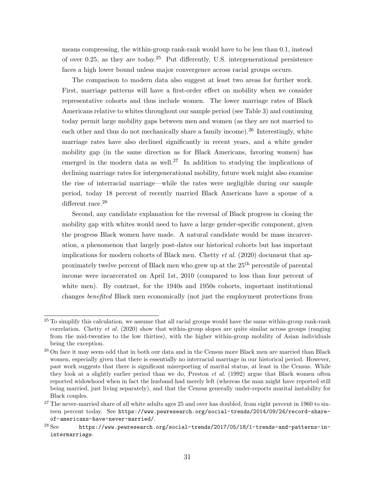means compressing, the within-group rank-rank would have to be less than 0.1, instead of over 0.25, as they are today.<sup>25</sup> Put differently, U.S. intergenerational persistence faces a high lower bound unless major convergence across racial groups occurs.

The comparison to modern data also suggest at least two areas for further work. First, marriage patterns will have a first-order effect on mobility when we consider representative cohorts and thus include women. The lower marriage rates of Black Americans relative to whites throughout our sample period (see Table 3) and continuing today permit large mobility gaps between men and women (as they are not married to each other and thus do not mechanically share a family income).<sup>26</sup> Interestingly, white marriage rates have also declined significantly in recent years, and a white gender mobility gap (in the same direction as for Black Americans, favoring women) has emerged in the modern data as well.<sup>27</sup> In addition to studying the implications of declining marriage rates for intergenerational mobility, future work might also examine the rise of interracial marriage—while the rates were negligible during our sample period, today 18 percent of recently married Black Americans have a spouse of a different race.<sup>28</sup>

Second, any candidate explanation for the reversal of Black progress in closing the mobility gap with whites would need to have a large gender-specific component, given the progress Black women have made. A natural candidate would be mass incarceration, a phenomenon that largely post-dates our historical cohorts but has important implications for modern cohorts of Black men. Chetty *et al.* (2020) document that approximately twelve percent of Black men who grew up at the 25th percentile of parental income were incarcerated on April 1st, 2010 (compared to less than four percent of white men). By contrast, for the 1940s and 1950s cohorts, important institutional changes benefited Black men economically (not just the employment protections from

<sup>&</sup>lt;sup>25</sup> To simplify this calculation, we assume that all racial groups would have the same within-group rank-rank correlation. Chetty *et al.* (2020) show that within-group slopes are quite similar across groups (ranging from the mid-twenties to the low thirties), with the higher within-group mobility of Asian individuals being the exception.

<sup>&</sup>lt;sup>26</sup> On face it may seem odd that in both our data and in the Census more Black men are married than Black women, especially given that there is essentially no interracial marriage in our historical period. However, past work suggests that there is significant misreporting of marital status, at least in the Census. While they look at a slightly earlier period than we do, Preston et al. (1992) argue that Black women often reported widowhood when in fact the husband had merely left (whereas the man might have reported still being married, just living separately), and that the Census generally under-reports marital instability for Black couples.

 $^{27}$  The never-married share of all white adults ages 25 and over has doubled, from eight percent in 1960 to sixteen percent today. See https://www.pewresearch.org/social-trends/2014/09/24/record-shareof-americans-have-never-married/.

<sup>28</sup> See https://www.pewresearch.org/social-trends/2017/05/18/1-trends-and-patterns-inintermarriage.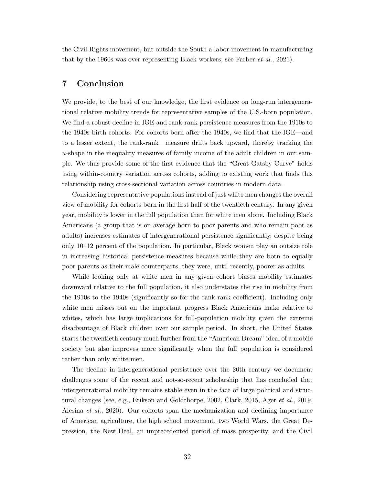the Civil Rights movement, but outside the South a labor movement in manufacturing that by the 1960s was over-representing Black workers; see Farber *et al.*, 2021).

# 7 Conclusion

We provide, to the best of our knowledge, the first evidence on long-run intergenerational relative mobility trends for representative samples of the U.S.-born population. We find a robust decline in IGE and rank-rank persistence measures from the 1910s to the 1940s birth cohorts. For cohorts born after the 1940s, we find that the IGE—and to a lesser extent, the rank-rank—measure drifts back upward, thereby tracking the  $u$ -shape in the inequality measures of family income of the adult children in our sample. We thus provide some of the first evidence that the "Great Gatsby Curve" holds using within-country variation across cohorts, adding to existing work that finds this relationship using cross-sectional variation across countries in modern data.

Considering representative populations instead of just white men changes the overall view of mobility for cohorts born in the first half of the twentieth century. In any given year, mobility is lower in the full population than for white men alone. Including Black Americans (a group that is on average born to poor parents and who remain poor as adults) increases estimates of intergenerational persistence significantly, despite being only 10–12 percent of the population. In particular, Black women play an outsize role in increasing historical persistence measures because while they are born to equally poor parents as their male counterparts, they were, until recently, poorer as adults.

While looking only at white men in any given cohort biases mobility estimates downward relative to the full population, it also understates the rise in mobility from the 1910s to the 1940s (significantly so for the rank-rank coefficient). Including only white men misses out on the important progress Black Americans make relative to whites, which has large implications for full-population mobility given the extreme disadvantage of Black children over our sample period. In short, the United States starts the twentieth century much further from the "American Dream" ideal of a mobile society but also improves more significantly when the full population is considered rather than only white men.

The decline in intergenerational persistence over the 20th century we document challenges some of the recent and not-so-recent scholarship that has concluded that intergenerational mobility remains stable even in the face of large political and structural changes (see, e.g., Erikson and Goldthorpe, 2002, Clark, 2015, Ager et al., 2019, Alesina et al., 2020). Our cohorts span the mechanization and declining importance of American agriculture, the high school movement, two World Wars, the Great Depression, the New Deal, an unprecedented period of mass prosperity, and the Civil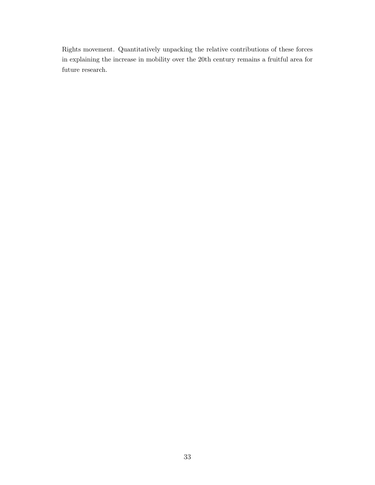Rights movement. Quantitatively unpacking the relative contributions of these forces in explaining the increase in mobility over the 20th century remains a fruitful area for future research.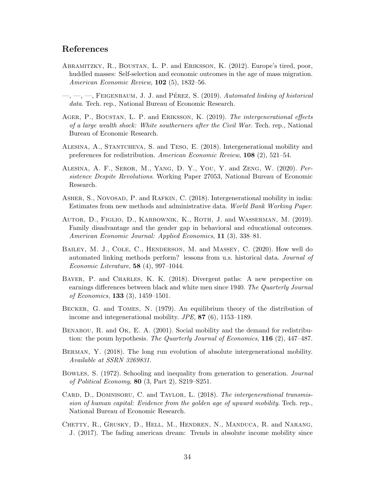# References

Abramitzky, R., Boustan, L. P. and Eriksson, K. (2012). Europe's tired, poor, huddled masses: Self-selection and economic outcomes in the age of mass migration. American Economic Review, 102 (5), 1832–56.

 $\ldots$ ,  $\ldots$ , FEIGENBAUM, J. J. and PÉREZ, S. (2019). Automated linking of historical data. Tech. rep., National Bureau of Economic Research.

- AGER, P., BOUSTAN, L. P. and ERIKSSON, K. (2019). The intergenerational effects of a large wealth shock: White southerners after the Civil War. Tech. rep., National Bureau of Economic Research.
- Alesina, A., Stantcheva, S. and Teso, E. (2018). Intergenerational mobility and preferences for redistribution. American Economic Review, 108 (2), 521–54.
- Alesina, A. F., Seror, M., Yang, D. Y., You, Y. and Zeng, W. (2020). Persistence Despite Revolutions. Working Paper 27053, National Bureau of Economic Research.
- ASHER, S., NOVOSAD, P. and RAFKIN, C. (2018). Intergenerational mobility in india: Estimates from new methods and administrative data. World Bank Working Paper.
- AUTOR, D., FIGLIO, D., KARBOWNIK, K., ROTH, J. and WASSERMAN, M. (2019). Family disadvantage and the gender gap in behavioral and educational outcomes. American Economic Journal: Applied Economics, 11 (3), 338–81.
- BAILEY, M. J., COLE, C., HENDERSON, M. and MASSEY, C. (2020). How well do automated linking methods perform? lessons from u.s. historical data. Journal of Economic Literature, 58 (4), 997–1044.
- Bayer, P. and Charles, K. K. (2018). Divergent paths: A new perspective on earnings differences between black and white men since 1940. The Quarterly Journal of Economics, 133 (3), 1459–1501.
- Becker, G. and Tomes, N. (1979). An equilibrium theory of the distribution of income and integenerational mobility. JPE, 87 (6), 1153–1189.
- BENABOU, R. and OK, E. A. (2001). Social mobility and the demand for redistribution: the poum hypothesis. The Quarterly Journal of Economics, 116 (2), 447–487.
- Berman, Y. (2018). The long run evolution of absolute intergenerational mobility. Available at SSRN 3269831.
- Bowles, S. (1972). Schooling and inequality from generation to generation. Journal of Political Economy,  $80$  (3, Part 2), S219–S251.
- CARD, D., DOMNISORU, C. and TAYLOR, L. (2018). The intergenerational transmission of human capital: Evidence from the golden age of upward mobility. Tech. rep., National Bureau of Economic Research.
- Chetty, R., Grusky, D., Hell, M., Hendren, N., Manduca, R. and Narang, J. (2017). The fading american dream: Trends in absolute income mobility since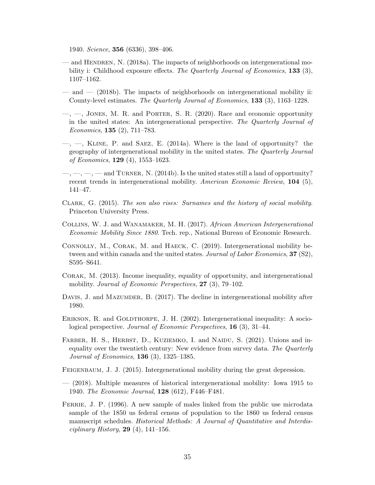1940. Science, 356 (6336), 398–406.

- and HENDREN, N.  $(2018a)$ . The impacts of neighborhoods on intergenerational mobility i: Childhood exposure effects. The Quarterly Journal of Economics, 133 (3), 1107–1162.
- $-$  and  $-$  (2018b). The impacts of neighborhoods on intergenerational mobility ii: County-level estimates. The Quarterly Journal of Economics, 133 (3), 1163–1228.
- $\rightarrow$ ,  $\rightarrow$ , JONES, M. R. and PORTER, S. R. (2020). Race and economic opportunity in the united states: An intergenerational perspective. The Quarterly Journal of Economics, 135 (2), 711–783.
- $\overline{\phantom{a}}$ ,  $\overline{\phantom{a}}$ , KLINE, P. and SAEZ, E. (2014a). Where is the land of opportunity? the geography of intergenerational mobility in the united states. The Quarterly Journal of Economics, 129 (4), 1553–1623.
- $\ldots$ ,  $\ldots$ ,  $\ldots$  and TURNER, N. (2014b). Is the united states still a land of opportunity? recent trends in intergenerational mobility. American Economic Review, 104 (5), 141–47.
- Clark, G. (2015). The son also rises: Surnames and the history of social mobility. Princeton University Press.
- Collins, W. J. and Wanamaker, M. H. (2017). African American Intergenerational Economic Mobility Since 1880. Tech. rep., National Bureau of Economic Research.
- CONNOLLY, M., CORAK, M. and HAECK, C. (2019). Intergenerational mobility between and within canada and the united states. Journal of Labor Economics, 37 (S2), S595–S641.
- Corak, M. (2013). Income inequality, equality of opportunity, and intergenerational mobility. *Journal of Economic Perspectives*, **27** (3), 79–102.
- DAVIS, J. and MAZUMDER, B. (2017). The decline in intergenerational mobility after 1980.
- ERIKSON, R. and GOLDTHORPE, J. H. (2002). Intergenerational inequality: A sociological perspective. Journal of Economic Perspectives, 16 (3), 31–44.
- FARBER, H. S., HERBST, D., KUZIEMKO, I. and NAIDU, S. (2021). Unions and inequality over the twentieth century: New evidence from survey data. The Quarterly Journal of Economics, 136 (3), 1325–1385.
- FEIGENBAUM, J. J. (2015). Intergenerational mobility during the great depression.
- (2018). Multiple measures of historical intergenerational mobility: Iowa 1915 to 1940. The Economic Journal, 128 (612), F446–F481.
- FERRIE, J. P. (1996). A new sample of males linked from the public use microdata sample of the 1850 us federal census of population to the 1860 us federal census manuscript schedules. Historical Methods: A Journal of Quantitative and Interdisciplinary History, **29** (4), 141–156.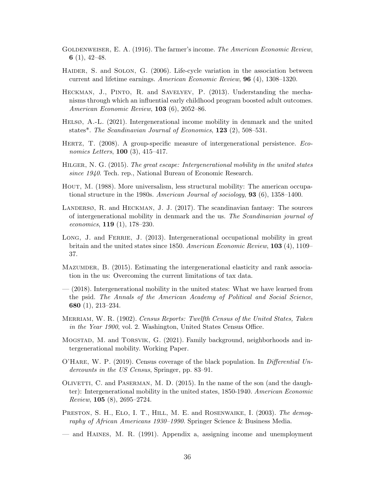- GOLDENWEISER, E. A. (1916). The farmer's income. The American Economic Review, 6  $(1)$ , 42–48.
- HAIDER, S. and SOLON, G. (2006). Life-cycle variation in the association between current and lifetime earnings. American Economic Review, 96 (4), 1308–1320.
- Heckman, J., Pinto, R. and Savelyev, P. (2013). Understanding the mechanisms through which an influential early childhood program boosted adult outcomes. American Economic Review, 103 (6), 2052–86.
- Helsø, A.-L. (2021). Intergenerational income mobility in denmark and the united states\*. The Scandinavian Journal of Economics, 123 (2), 508–531.
- HERTZ, T. (2008). A group-specific measure of intergenerational persistence. Economics Letters, 100 (3), 415–417.
- HILGER, N. G. (2015). The great escape: Intergenerational mobility in the united states since 1940. Tech. rep., National Bureau of Economic Research.
- Hout, M. (1988). More universalism, less structural mobility: The american occupational structure in the 1980s. American Journal of sociology, **93** (6), 1358–1400.
- LANDERSØ, R. and HECKMAN, J. J. (2017). The scandinavian fantasy: The sources of intergenerational mobility in denmark and the us. The Scandinavian journal of economics, 119 (1), 178–230.
- LONG, J. and FERRIE, J. (2013). Intergenerational occupational mobility in great britain and the united states since 1850. American Economic Review, 103 (4), 1109– 37.
- MAZUMDER, B. (2015). Estimating the intergenerational elasticity and rank association in the us: Overcoming the current limitations of tax data.
- (2018). Intergenerational mobility in the united states: What we have learned from the psid. The Annals of the American Academy of Political and Social Science, 680 (1), 213–234.
- Merriam, W. R. (1902). Census Reports: Twelfth Census of the United States, Taken in the Year 1900, vol. 2. Washington, United States Census Office.
- Mogstad, M. and Torsvik, G. (2021). Family background, neighborhoods and intergenerational mobility. Working Paper.
- O'HARE, W. P. (2019). Census coverage of the black population. In *Differential Un*dercounts in the US Census, Springer, pp. 83–91.
- Olivetti, C. and Paserman, M. D. (2015). In the name of the son (and the daughter): Intergenerational mobility in the united states, 1850-1940. American Economic Review, 105 (8), 2695–2724.
- PRESTON, S. H., ELO, I. T., HILL, M. E. and ROSENWAIKE, I. (2003). The demography of African Americans 1930–1990. Springer Science & Business Media.
- and Haines, M. R. (1991). Appendix a, assigning income and unemployment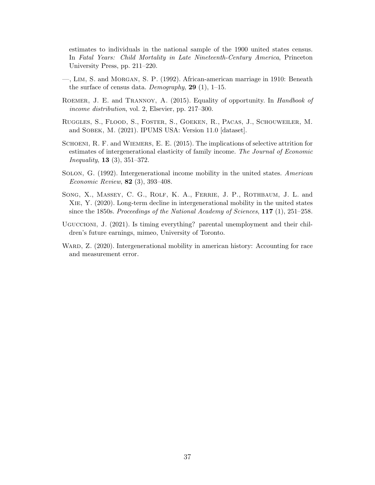estimates to individuals in the national sample of the 1900 united states census. In Fatal Years: Child Mortality in Late Nineteenth-Century America, Princeton University Press, pp. 211–220.

- —, Lim, S. and Morgan, S. P. (1992). African-american marriage in 1910: Beneath the surface of census data. Demography, **29** (1), 1–15.
- Roemer, J. E. and Trannoy, A. (2015). Equality of opportunity. In Handbook of income distribution, vol. 2, Elsevier, pp. 217–300.
- Ruggles, S., Flood, S., Foster, S., Goeken, R., Pacas, J., Schouweiler, M. and Sobek, M. (2021). IPUMS USA: Version 11.0 [dataset].
- Schoeni, R. F. and Wiemers, E. E. (2015). The implications of selective attrition for estimates of intergenerational elasticity of family income. The Journal of Economic Inequality, 13 (3), 351–372.
- Solon, G. (1992). Intergenerational income mobility in the united states. American Economic Review, 82 (3), 393–408.
- Song, X., Massey, C. G., Rolf, K. A., Ferrie, J. P., Rothbaum, J. L. and Xie, Y. (2020). Long-term decline in intergenerational mobility in the united states since the 1850s. Proceedings of the National Academy of Sciences,  $117$  (1), 251–258.
- UGUCCIONI, J. (2021). Is timing everything? parental unemployment and their children's future earnings, mimeo, University of Toronto.
- WARD, Z. (2020). Intergenerational mobility in american history: Accounting for race and measurement error.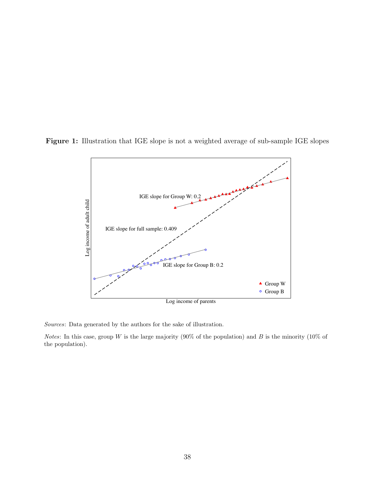

Figure 1: Illustration that IGE slope is not a weighted average of sub-sample IGE slopes

Sources: Data generated by the authors for the sake of illustration.

*Notes*: In this case, group W is the large majority (90% of the population) and B is the minority (10% of the population).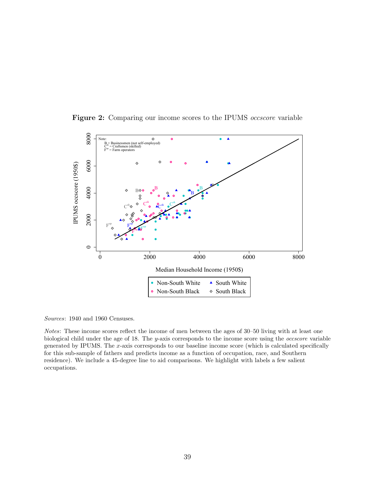

Figure 2: Comparing our income scores to the IPUMS *occscore* variable

Sources: 1940 and 1960 Censuses.

Notes: These income scores reflect the income of men between the ages of 30–50 living with at least one biological child under the age of 18. The y-axis corresponds to the income score using the occscore variable generated by IPUMS. The  $x$ -axis corresponds to our baseline income score (which is calculated specifically for this sub-sample of fathers and predicts income as a function of occupation, race, and Southern residence). We include a 45-degree line to aid comparisons. We highlight with labels a few salient occupations.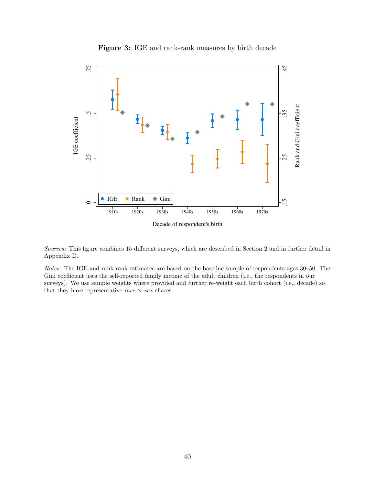

Figure 3: IGE and rank-rank measures by birth decade

Sources: This figure combines 15 different surveys, which are described in Section 2 and in further detail in Appendix D.

Notes: The IGE and rank-rank estimates are based on the baseline sample of respondents ages 30–50. The Gini coefficient uses the self-reported family income of the adult children (i.e., the respondents in our surveys). We use sample weights where provided and further re-weight each birth cohort (i.e., decade) so that they have representative race  $\times$  sex shares.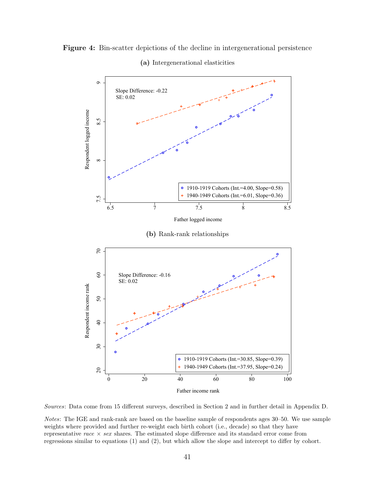Figure 4: Bin-scatter depictions of the decline in intergenerational persistence



(a) Intergenerational elasticities

Sources: Data come from 15 different surveys, described in Section 2 and in further detail in Appendix D.

Notes: The IGE and rank-rank are based on the baseline sample of respondents ages 30–50. We use sample weights where provided and further re-weight each birth cohort (i.e., decade) so that they have representative race  $\times$  sex shares. The estimated slope difference and its standard error come from regressions similar to equations (1) and (2), but which allow the slope and intercept to differ by cohort.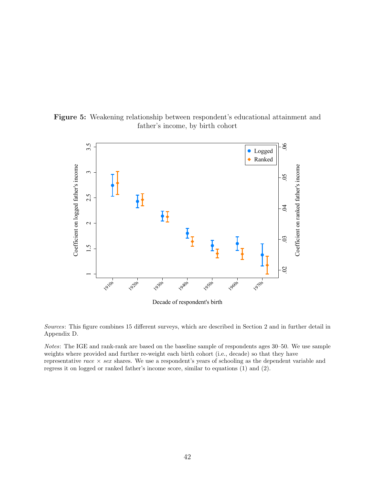



Sources: This figure combines 15 different surveys, which are described in Section 2 and in further detail in Appendix D.

Notes: The IGE and rank-rank are based on the baseline sample of respondents ages 30–50. We use sample weights where provided and further re-weight each birth cohort (i.e., decade) so that they have representative race  $\times$  sex shares. We use a respondent's years of schooling as the dependent variable and regress it on logged or ranked father's income score, similar to equations (1) and (2).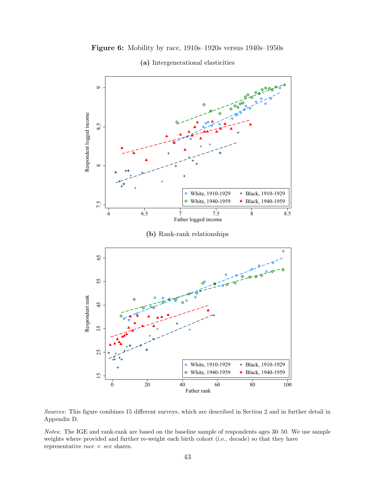Figure 6: Mobility by race, 1910s–1920s versus 1940s–1950s



Sources: This figure combines 15 different surveys, which are described in Section 2 and in further detail in Appendix D.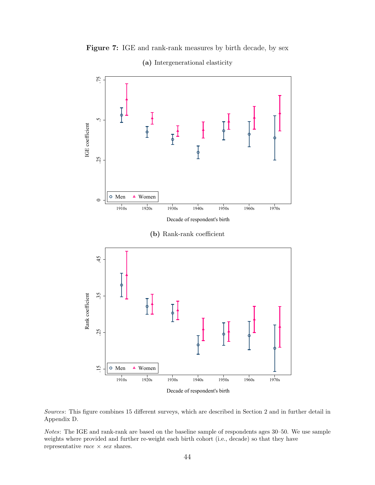

Figure 7: IGE and rank-rank measures by birth decade, by sex

(a) Intergenerational elasticity

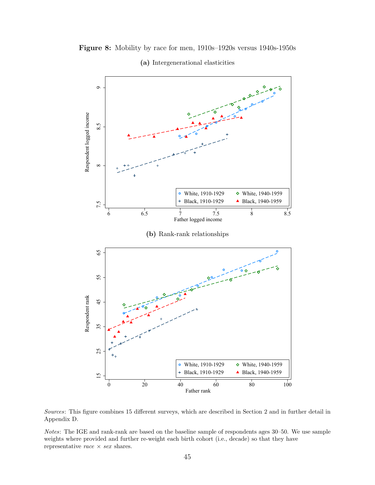

Figure 8: Mobility by race for men, 1910s–1920s versus 1940s-1950s

(a) Intergenerational elasticities

Sources: This figure combines 15 different surveys, which are described in Section 2 and in further detail in Appendix D.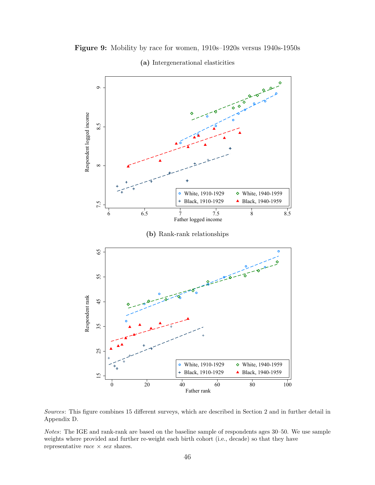

Figure 9: Mobility by race for women, 1910s–1920s versus 1940s-1950s

Sources: This figure combines 15 different surveys, which are described in Section 2 and in further detail in Appendix D.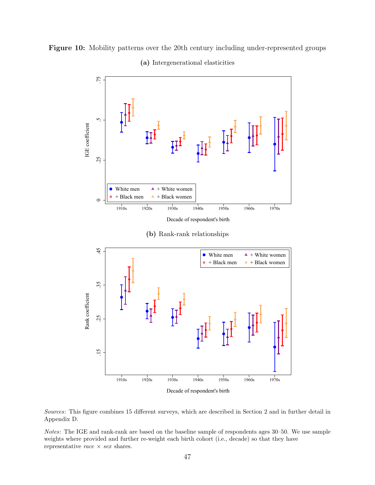



Figure 10: Mobility patterns over the 20th century including under-represented groups

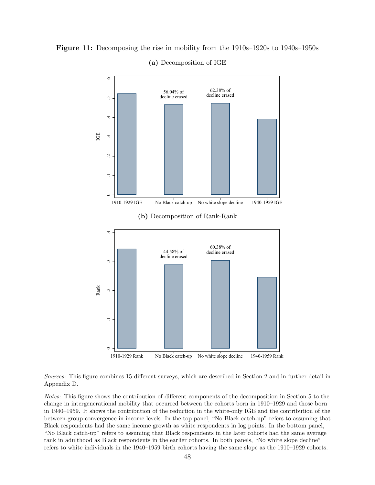

Figure 11: Decomposing the rise in mobility from the 1910s–1920s to 1940s–1950s

(a) Decomposition of IGE

Sources: This figure combines 15 different surveys, which are described in Section 2 and in further detail in Appendix D.

Notes: This figure shows the contribution of different components of the decomposition in Section 5 to the change in intergenerational mobility that occurred between the cohorts born in 1910–1929 and those born in 1940–1959. It shows the contribution of the reduction in the white-only IGE and the contribution of the between-group convergence in income levels. In the top panel, "No Black catch-up" refers to assuming that Black respondents had the same income growth as white respondents in log points. In the bottom panel, "No Black catch-up" refers to assuming that Black respondents in the later cohorts had the same average rank in adulthood as Black respondents in the earlier cohorts. In both panels, "No white slope decline" refers to white individuals in the 1940–1959 birth cohorts having the same slope as the 1910–1929 cohorts.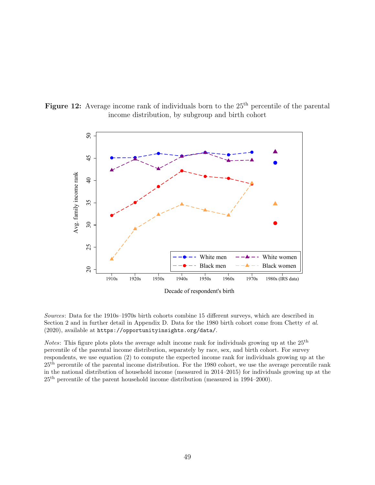



Decade of respondent's birth

Sources: Data for the 1910s–1970s birth cohorts combine 15 different surveys, which are described in Section 2 and in further detail in Appendix D. Data for the 1980 birth cohort come from Chetty et al. (2020), available at https://opportunityinsights.org/data/.

Notes: This figure plots plots the average adult income rank for individuals growing up at the 25th percentile of the parental income distribution, separately by race, sex, and birth cohort. For survey respondents, we use equation (2) to compute the expected income rank for individuals growing up at the 25th percentile of the parental income distribution. For the 1980 cohort, we use the average percentile rank in the national distribution of household income (measured in 2014–2015) for individuals growing up at the 25th percentile of the parent household income distribution (measured in 1994–2000).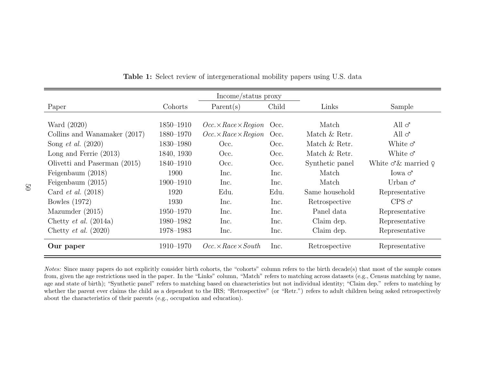| Income/status proxy            |               |                                 |       |                 |                                     |  |
|--------------------------------|---------------|---------------------------------|-------|-----------------|-------------------------------------|--|
| Paper                          | Cohorts       | Parent(s)                       | Child | Links           | Sample                              |  |
|                                |               |                                 |       |                 |                                     |  |
| Ward (2020)                    | 1850-1910     | $Occ \times Race \times Region$ | Occ.  | Match           | All $\sigma$                        |  |
| Collins and Wanamaker (2017)   | 1880-1970     | $Occ \times Race \times Region$ | Occ.  | Match & Retr.   | All $\sigma$                        |  |
| Song <i>et al.</i> $(2020)$    | 1830–1980     | Occ.                            | Occ.  | Match & Retr.   | White $\sigma$                      |  |
| Long and Ferrie $(2013)$       | 1840, 1930    | Occ.                            | Occ.  | Match & Retr.   | White $\sigma$                      |  |
| Olivetti and Paserman (2015)   | 1840-1910     | Occ.                            | Occ.  | Synthetic panel | White $\sigma \&$ married $\varphi$ |  |
| Feigenbaum $(2018)$            | 1900          | Inc.                            | Inc.  | Match           | Iowa $\sigma$                       |  |
| Feigenbaum $(2015)$            | $1900 - 1910$ | Inc.                            | Inc.  | Match           | Urban $\sigma$                      |  |
| Card <i>et al.</i> $(2018)$    | 1920          | Edu.                            | Edu.  | Same household  | Representative                      |  |
| <b>Bowles</b> (1972)           | 1930          | Inc.                            | Inc.  | Retrospective   | $CPS \, \sigma$                     |  |
| Mazumder $(2015)$              | 1950-1970     | Inc.                            | Inc.  | Panel data      | Representative                      |  |
| Chetty <i>et al.</i> $(2014a)$ | 1980-1982     | Inc.                            | Inc.  | Claim dep.      | Representative                      |  |
| Chetty et al. $(2020)$         | 1978-1983     | Inc.                            | Inc.  | Claim dep.      | Representative                      |  |
| Our paper                      | 1910-1970     | $Occ \times Race \times South$  | Inc.  | Retrospective   | Representative                      |  |

Table 1: Select review of intergenerational mobility papers using U.S. data

Notes: Since many papers do not explicitly consider birth cohorts, the "cohorts" column refers to the birth decade(s) that most of the sample comes from, <sup>g</sup>iven the age restrictions used in the paper. In the "Links" column, "Match" refers to matching across datasets (e.g., Census matching by name, age and state of birth); "Synthetic panel" refers to matching based on characteristics but not individual identity; "Claim dep." refers to matching by whether the parent ever claims the child as <sup>a</sup> dependent to the IRS; "Retrospective" (or "Retr.") refers to adult children being asked retrospectivelyabout the characteristics of their parents (e.g., occupation and education).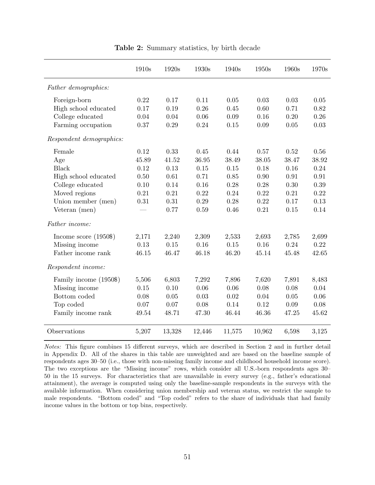|                          | 1910s | 1920s  | 1930s  | 1940s    | 1950s  | 1960s | 1970s |
|--------------------------|-------|--------|--------|----------|--------|-------|-------|
| Father demographics:     |       |        |        |          |        |       |       |
| Foreign-born             | 0.22  | 0.17   | 0.11   | 0.05     | 0.03   | 0.03  | 0.05  |
| High school educated     | 0.17  | 0.19   | 0.26   | 0.45     | 0.60   | 0.71  | 0.82  |
| College educated         | 0.04  | 0.04   | 0.06   | 0.09     | 0.16   | 0.20  | 0.26  |
| Farming occupation       | 0.37  | 0.29   | 0.24   | 0.15     | 0.09   | 0.05  | 0.03  |
| Respondent demographics: |       |        |        |          |        |       |       |
| Female                   | 0.12  | 0.33   | 0.45   | 0.44     | 0.57   | 0.52  | 0.56  |
| Age                      | 45.89 | 41.52  | 36.95  | 38.49    | 38.05  | 38.47 | 38.92 |
| <b>Black</b>             | 0.12  | 0.13   | 0.15   | 0.15     | 0.18   | 0.16  | 0.24  |
| High school educated     | 0.50  | 0.61   | 0.71   | 0.85     | 0.90   | 0.91  | 0.91  |
| College educated         | 0.10  | 0.14   | 0.16   | 0.28     | 0.28   | 0.30  | 0.39  |
| Moved regions            | 0.21  | 0.21   | 0.22   | 0.24     | 0.22   | 0.21  | 0.22  |
| Union member (men)       | 0.31  | 0.31   | 0.29   | 0.28     | 0.22   | 0.17  | 0.13  |
| Veteran (men)            |       | 0.77   | 0.59   | 0.46     | 0.21   | 0.15  | 0.14  |
| Father income:           |       |        |        |          |        |       |       |
| Income score $(1950\$    | 2,171 | 2,240  | 2,309  | 2,533    | 2,693  | 2,785 | 2,699 |
| Missing income           | 0.13  | 0.15   | 0.16   | $0.15\,$ | 0.16   | 0.24  | 0.22  |
| Father income rank       | 46.15 | 46.47  | 46.18  | 46.20    | 45.14  | 45.48 | 42.65 |
| Respondent income:       |       |        |        |          |        |       |       |
| Family income (1950\$)   | 5,506 | 6,803  | 7,292  | 7,896    | 7,620  | 7,891 | 8,483 |
| Missing income           | 0.15  | 0.10   | 0.06   | 0.06     | 0.08   | 0.08  | 0.04  |
| Bottom coded             | 0.08  | 0.05   | 0.03   | 0.02     | 0.04   | 0.05  | 0.06  |
| Top coded                | 0.07  | 0.07   | 0.08   | 0.14     | 0.12   | 0.09  | 0.08  |
| Family income rank       | 49.54 | 48.71  | 47.30  | 46.44    | 46.36  | 47.25 | 45.62 |
| Observations             | 5,207 | 13,328 | 12,446 | 11,575   | 10,962 | 6,598 | 3,125 |

Table 2: Summary statistics, by birth decade

Notes: This figure combines 15 different surveys, which are described in Section 2 and in further detail in Appendix D. All of the shares in this table are unweighted and are based on the baseline sample of respondents ages 30–50 (i.e., those with non-missing family income and childhood household income score). The two exceptions are the "Missing income" rows, which consider all U.S.-born respondents ages 30– 50 in the 15 surveys. For characteristics that are unavailable in every survey (e.g., father's educational attainment), the average is computed using only the baseline-sample respondents in the surveys with the available information. When considering union membership and veteran status, we restrict the sample to male respondents. "Bottom coded" and "Top coded" refers to the share of individuals that had family income values in the bottom or top bins, respectively.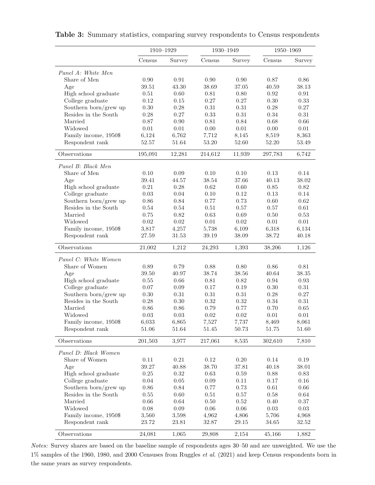|                       | 1910-1929 |          | 1930-1949 |            | 1950-1969 |            |
|-----------------------|-----------|----------|-----------|------------|-----------|------------|
|                       | Census    | Survey   | Census    | Survey     | Census    | Survey     |
| Panel A: White Men    |           |          |           |            |           |            |
| Share of Men          | 0.90      | 0.91     | 0.90      | 0.90       | 0.87      | 0.86       |
| Age                   | 39.51     | 43.30    | 38.69     | 37.05      | 40.59     | 38.13      |
| High school graduate  | 0.51      | 0.60     | 0.81      | 0.80       | 0.92      | 0.91       |
| College graduate      | 0.12      | 0.15     | 0.27      | 0.27       | 0.30      | 0.33       |
| Southern born/grew up | 0.30      | 0.28     | 0.31      | 0.31       | 0.28      | 0.27       |
| Resides in the South  | 0.28      | 0.27     | 0.33      | 0.31       | 0.34      | $\rm 0.31$ |
| Married               | 0.87      | 0.90     | $0.81\,$  | 0.84       | 0.68      | 0.66       |
| Widowed               | 0.01      | $0.01\,$ | 0.00      | 0.01       | 0.00      | 0.01       |
| Family income, 1950\$ | 6,124     | 6,762    | 7,712     | 8,145      | 8,519     | 8,363      |
| Respondent rank       | 52.57     | 51.64    | 53.20     | 52.60      | 52.20     | 53.49      |
| Observations          | 195,091   | 12,281   | 214,612   | 11,939     | 297,783   | 6,742      |
| Panel B: Black Men    |           |          |           |            |           |            |
| Share of Men          | 0.10      | 0.09     | 0.10      | 0.10       | 0.13      | 0.14       |
| Age                   | 39.41     | 44.57    | 38.54     | 37.66      | 40.13     | 38.02      |
| High school graduate  | 0.21      | 0.28     | 0.62      | 0.60       | 0.85      | 0.82       |
| College graduate      | 0.03      | 0.04     | 0.10      | 0.12       | 0.13      | 0.14       |
| Southern born/grew up | $0.86\,$  | 0.84     | 0.77      | 0.73       | 0.60      | 0.62       |
| Resides in the South  | 0.54      | 0.54     | 0.51      | 0.57       | 0.57      | 0.61       |
| Married               | 0.75      | 0.82     | 0.63      | 0.69       | 0.50      | 0.53       |
| Widowed               | 0.02      | 0.02     | 0.01      | 0.02       | 0.01      | 0.01       |
| Family income, 1950\$ | 3,817     | 4,257    | 5,738     | 6,109      | 6,318     | 6,134      |
| Respondent rank       | 27.59     | 31.53    | 39.19     | 38.09      | 38.72     | 40.18      |
| Observations          | 21,002    | 1,212    | 24,293    | 1,393      | 38,206    | 1,126      |
| Panel C: White Women  |           |          |           |            |           |            |
| Share of Women        | 0.89      | 0.79     | 0.88      | 0.80       | 0.86      | 0.81       |
| Age                   | 39.50     | 40.97    | 38.74     | 38.56      | 40.64     | 38.35      |
| High school graduate  | 0.55      | 0.66     | 0.81      | 0.82       | 0.94      | 0.93       |
| College graduate      | 0.07      | 0.09     | 0.17      | 0.19       | 0.30      | 0.31       |
| Southern born/grew up | $0.30\,$  | $0.31\,$ | 0.31      | $\rm 0.31$ | $0.28\,$  | 0.27       |
| Resides in the South  | 0.28      | 0.30     | 0.32      | 0.32       | 0.34      | 0.31       |
| Married               | 0.86      | 0.86     | 0.79      | 0.77       | 0.70      | 0.65       |
| Widowed               | 0.03      | 0.03     | 0.02      | 0.02       | 0.01      | 0.01       |
| Family income, 1950\$ | 6,033     | 6,865    | 7,527     | 7,737      | 8,469     | 8,061      |
| Respondent rank       | 51.06     | 51.64    | 51.45     | 50.73      | 51.75     | 51.60      |
| Observations          | 201,503   | 3,977    | 217,061   | 8,535      | 302,610   | 7,810      |
| Panel D: Black Women  |           |          |           |            |           |            |
| Share of Women        | 0.11      | $0.21\,$ | 0.12      | $0.20\,$   | $0.14\,$  | 0.19       |
| Age                   | 39.27     | 40.88    | 38.70     | 37.81      | 40.18     | 38.01      |
| High school graduate  | 0.25      | 0.32     | 0.63      | $0.59\,$   | 0.88      | 0.83       |
| College graduate      | 0.04      | 0.05     | 0.09      | 0.11       | 0.17      | $0.16\,$   |
| Southern born/grew up | 0.86      | 0.84     | 0.77      | 0.73       | 0.61      | 0.66       |
| Resides in the South  | $0.55\,$  | 0.60     | $0.51\,$  | $0.57\,$   | 0.58      | 0.64       |
| Married               | 0.66      | 0.64     | 0.50      | 0.52       | 0.40      | 0.37       |
| Widowed               | $0.08\,$  | $0.09\,$ | 0.06      | $0.06\,$   | $0.03\,$  | $0.03\,$   |
| Family income, 1950\$ | 3,560     | 3,598    | 4,962     | 4,806      | 5,706     | 4,968      |
| Respondent rank       | 23.72     | 23.81    | 32.87     | 29.15      | 34.65     | 32.52      |
| Observations          | 24,081    | 1,065    | 29,808    | 2,154      | 45,166    | 1,882      |

Table 3: Summary statistics, comparing survey respondents to Census respondents

Notes: Survey shares are based on the baseline sample of respondents ages 30–50 and are unweighted. We use the 1% samples of the 1960, 1980, and 2000 Censuses from Ruggles et al. (2021) and keep Census respondents born in the same years as survey respondents.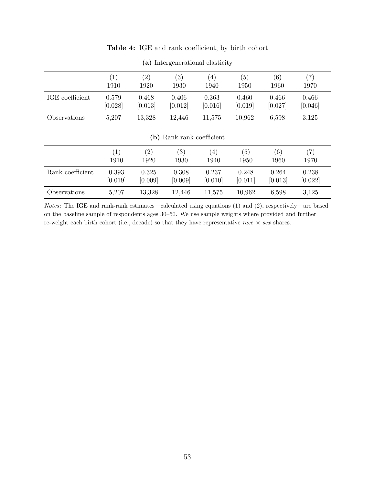|                  | (1)     | $\left( 2\right)$ | (3)                       | $\left( 4\right)$ | (5)     | (6)     | $\left( 7\right)$ |
|------------------|---------|-------------------|---------------------------|-------------------|---------|---------|-------------------|
|                  | 1910    | 1920              | 1930                      | 1940              | 1950    | 1960    | 1970              |
| IGE coefficient  | 0.579   | 0.468             | 0.406                     | 0.363             | 0.460   | 0.466   | 0.466             |
|                  | [0.028] | [0.013]           | [0.012]                   | [0.016]           | [0.019] | [0.027] | [0.046]           |
| Observations     | 5,207   | 13,328            | 12,446                    | 11,575            | 10,962  | 6,598   | 3,125             |
|                  |         |                   | (b) Rank-rank coefficient |                   |         |         |                   |
|                  | (1)     | (2)               | $\left( 3\right)$         | (4)               | (5)     | (6)     | (7)               |
|                  | 1910    | 1920              | 1930                      | 1940              | 1950    | 1960    | 1970              |
| Rank coefficient | 0.393   | 0.325             | 0.308                     | 0.237             | 0.248   | 0.264   | 0.238             |
|                  | [0.019] | [0.009]           | [0.009]                   | [0.010]           | [0.011] | [0.013] | [0.022]           |
| Observations     | 5,207   | 13,328            | 12,446                    | 11,575            | 10,962  | 6,598   | 3,125             |

### Table 4: IGE and rank coefficient, by birth cohort

(a) Intergenerational elasticity

Notes: The IGE and rank-rank estimates—calculated using equations (1) and (2), respectively—are based on the baseline sample of respondents ages 30–50. We use sample weights where provided and further re-weight each birth cohort (i.e., decade) so that they have representative race  $\times$  sex shares.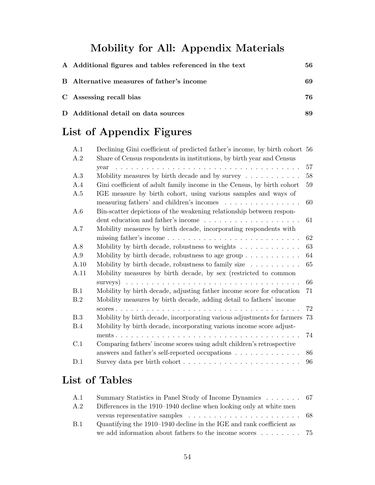# Mobility for All: Appendix Materials

| A Additional figures and tables referenced in the text | 56 |
|--------------------------------------------------------|----|
| B Alternative measures of father's income              | 69 |
| C Assessing recall bias                                | 76 |
| D Additional detail on data sources                    | 89 |

# List of Appendix Figures

| A.1  | Declining Gini coefficient of predicted father's income, by birth cohort 56                    |    |
|------|------------------------------------------------------------------------------------------------|----|
| A.2  | Share of Census respondents in institutions, by birth year and Census                          |    |
|      |                                                                                                | 57 |
| A.3  | Mobility measures by birth decade and by survey $\dots \dots \dots$                            | 58 |
| A.4  | Gini coefficient of adult family income in the Census, by birth cohort                         | 59 |
| A.5  | IGE measure by birth cohort, using various samples and ways of                                 |    |
|      | measuring fathers' and children's incomes                                                      | 60 |
| A.6  | Bin-scatter depictions of the weakening relationship between respon-                           |    |
|      |                                                                                                | 61 |
| A.7  | Mobility measures by birth decade, incorporating respondents with                              |    |
|      |                                                                                                | 62 |
| A.8  | Mobility by birth decade, robustness to weights $\ldots \ldots \ldots$                         | 63 |
| A.9  | Mobility by birth decade, robustness to age group $\dots \dots \dots$                          | 64 |
| A.10 | Mobility by birth decade, robustness to family size $\ldots \ldots \ldots$                     | 65 |
| A.11 | Mobility measures by birth decade, by sex (restricted to common                                |    |
|      | surveys) $\ldots \ldots \ldots \ldots \ldots \ldots \ldots \ldots \ldots \ldots \ldots \ldots$ | 66 |
| B.1  | Mobility by birth decade, adjusting father income score for education                          | 71 |
| B.2  | Mobility measures by birth decade, adding detail to fathers' income                            |    |
|      |                                                                                                | 72 |
| B.3  | Mobility by birth decade, incorporating various adjustments for farmers 73                     |    |
| B.4  | Mobility by birth decade, incorporating various income score adjust-                           |    |
|      |                                                                                                | 74 |
| C.1  | Comparing fathers' income scores using adult children's retrospective                          |    |
|      | answers and father's self-reported occupations                                                 | 86 |
| D.1  | Survey data per birth cohort $\dots \dots \dots \dots \dots \dots \dots \dots$                 | 96 |
|      |                                                                                                |    |

# List of Tables

| A.1   | Summary Statistics in Panel Study of Income Dynamics 67                |  |
|-------|------------------------------------------------------------------------|--|
| A.2   | Differences in the 1910–1940 decline when looking only at white men    |  |
|       |                                                                        |  |
| - B.1 | Quantifying the 1910–1940 decline in the IGE and rank coefficient as   |  |
|       | we add information about fathers to the income scores $\dots \dots$ 75 |  |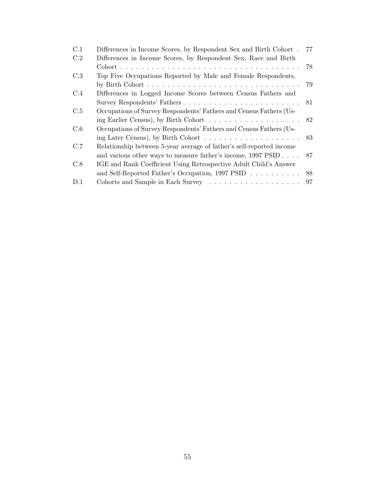| C.1 | Differences in Income Scores, by Respondent Sex and Birth Cohort.                          | -77 |
|-----|--------------------------------------------------------------------------------------------|-----|
| C.2 | Differences in Income Scores, by Respondent Sex, Race and Birth                            |     |
|     |                                                                                            | 78  |
| C.3 | Top Five Occupations Reported by Male and Female Respondents,                              |     |
|     |                                                                                            | 79  |
| C.4 | Differences in Logged Income Scores between Census Fathers and                             |     |
|     |                                                                                            |     |
| C.5 | Occupations of Survey Respondents' Fathers and Census Fathers (Us-                         |     |
|     | ing Earlier Census), by Birth Cohort $\ldots \ldots \ldots \ldots \ldots \ldots \ldots$ 82 |     |
| C.6 | Occupations of Survey Respondents' Fathers and Census Fathers (Us-                         |     |
|     | ing Later Census), by Birth Cohort $\dots \dots \dots \dots \dots \dots \dots \dots$ 83    |     |
| C.7 | Relationship between 5-year average of father's self-reported income                       |     |
|     | and various other ways to measure father's income, $1997$ PSID 87                          |     |
| C.8 | IGE and Rank Coefficient Using Retrospective Adult Child's Answer                          |     |
|     | and Self-Reported Father's Occupation, 1997 PSID 88                                        |     |
| D.1 |                                                                                            |     |
|     |                                                                                            |     |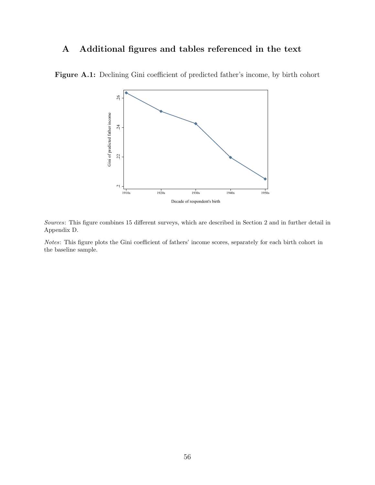### A Additional figures and tables referenced in the text



Figure A.1: Declining Gini coefficient of predicted father's income, by birth cohort

Sources: This figure combines 15 different surveys, which are described in Section 2 and in further detail in Appendix D.

Notes: This figure plots the Gini coefficient of fathers' income scores, separately for each birth cohort in the baseline sample.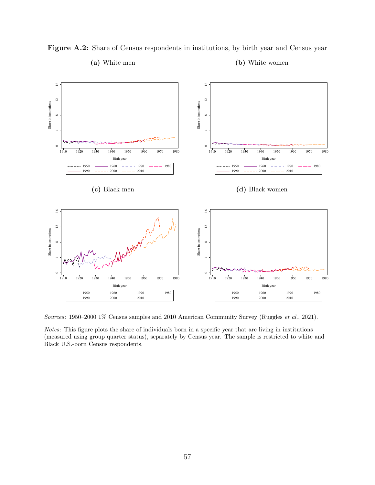Figure A.2: Share of Census respondents in institutions, by birth year and Census year

#### (a) White men

(b) White women



Sources: 1950–2000 1% Census samples and 2010 American Community Survey (Ruggles et al., 2021).

Notes: This figure plots the share of individuals born in a specific year that are living in institutions (measured using group quarter status), separately by Census year. The sample is restricted to white and Black U.S.-born Census respondents.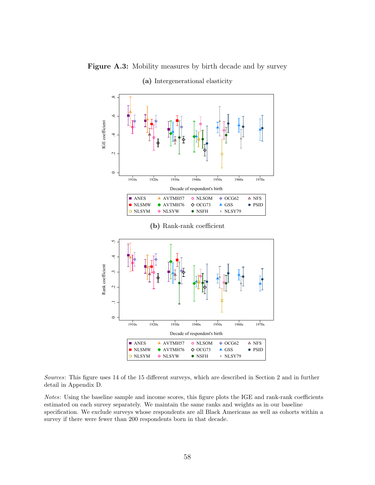

Figure A.3: Mobility measures by birth decade and by survey

Sources: This figure uses 14 of the 15 different surveys, which are described in Section 2 and in further detail in Appendix D.

Notes: Using the baseline sample and income scores, this figure plots the IGE and rank-rank coefficients estimated on each survey separately. We maintain the same ranks and weights as in our baseline specification. We exclude surveys whose respondents are all Black Americans as well as cohorts within a survey if there were fewer than 200 respondents born in that decade.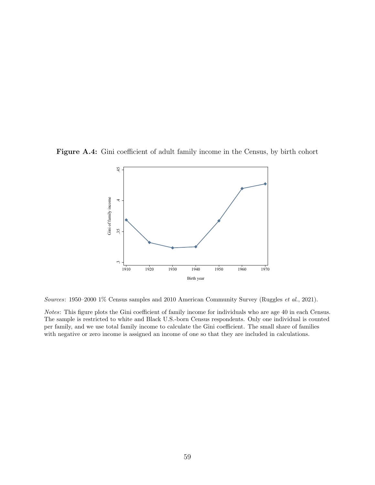Figure A.4: Gini coefficient of adult family income in the Census, by birth cohort



Sources: 1950–2000 1% Census samples and 2010 American Community Survey (Ruggles et al., 2021).

Notes: This figure plots the Gini coefficient of family income for individuals who are age 40 in each Census. The sample is restricted to white and Black U.S.-born Census respondents. Only one individual is counted per family, and we use total family income to calculate the Gini coefficient. The small share of families with negative or zero income is assigned an income of one so that they are included in calculations.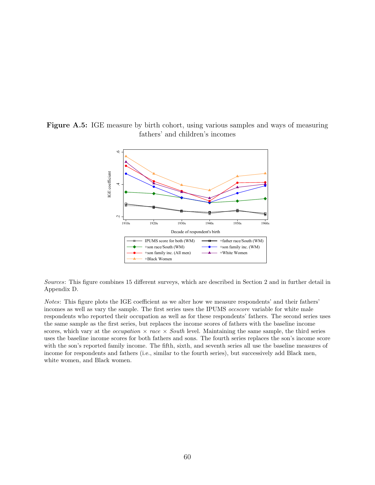



Sources: This figure combines 15 different surveys, which are described in Section 2 and in further detail in Appendix D.

Notes: This figure plots the IGE coefficient as we alter how we measure respondents' and their fathers' incomes as well as vary the sample. The first series uses the IPUMS occscore variable for white male respondents who reported their occupation as well as for these respondents' fathers. The second series uses the same sample as the first series, but replaces the income scores of fathers with the baseline income scores, which vary at the *occupation*  $\times$  race  $\times$  South level. Maintaining the same sample, the third series uses the baseline income scores for both fathers and sons. The fourth series replaces the son's income score with the son's reported family income. The fifth, sixth, and seventh series all use the baseline measures of income for respondents and fathers (i.e., similar to the fourth series), but successively add Black men, white women, and Black women.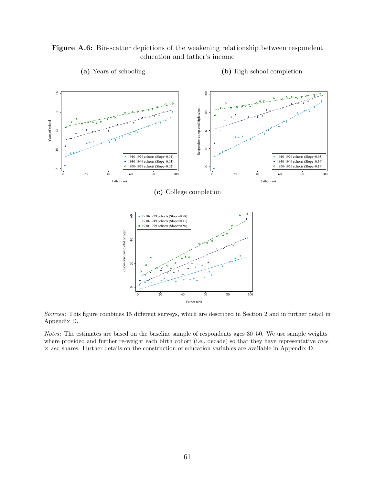Figure A.6: Bin-scatter depictions of the weakening relationship between respondent education and father's income



(a) Years of schooling

(b) High school completion

Sources: This figure combines 15 different surveys, which are described in Section 2 and in further detail in Appendix D.

Notes: The estimates are based on the baseline sample of respondents ages 30–50. We use sample weights where provided and further re-weight each birth cohort (i.e., decade) so that they have representative race  $\times$  sex shares. Further details on the construction of education variables are available in Appendix D.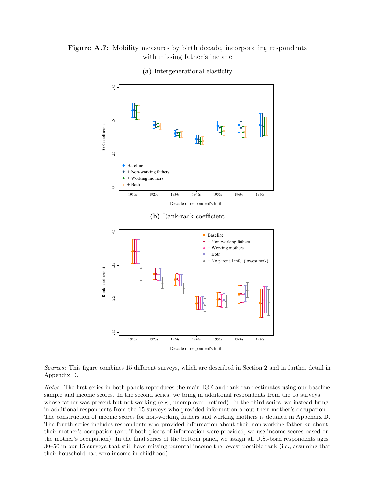Figure A.7: Mobility measures by birth decade, incorporating respondents with missing father's income



Sources: This figure combines 15 different surveys, which are described in Section 2 and in further detail in Appendix D.

Notes: The first series in both panels reproduces the main IGE and rank-rank estimates using our baseline sample and income scores. In the second series, we bring in additional respondents from the 15 surveys whose father was present but not working (e.g., unemployed, retired). In the third series, we instead bring in additional respondents from the 15 surveys who provided information about their mother's occupation. The construction of income scores for non-working fathers and working mothers is detailed in Appendix D. The fourth series includes respondents who provided information about their non-working father or about their mother's occupation (and if both pieces of information were provided, we use income scores based on the mother's occupation). In the final series of the bottom panel, we assign all U.S.-born respondents ages 30–50 in our 15 surveys that still have missing parental income the lowest possible rank (i.e., assuming that their household had zero income in childhood).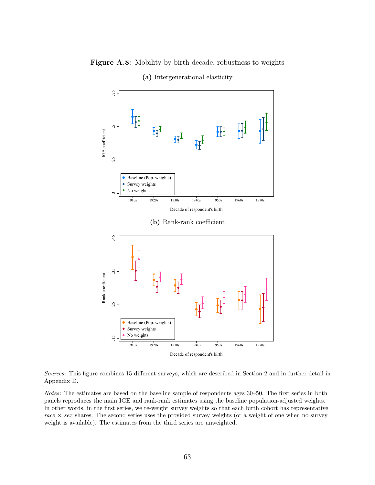

Figure A.8: Mobility by birth decade, robustness to weights



Notes: The estimates are based on the baseline sample of respondents ages 30–50. The first series in both panels reproduces the main IGE and rank-rank estimates using the baseline population-adjusted weights. In other words, in the first series, we re-weight survey weights so that each birth cohort has representative race  $\times$  sex shares. The second series uses the provided survey weights (or a weight of one when no survey weight is available). The estimates from the third series are unweighted.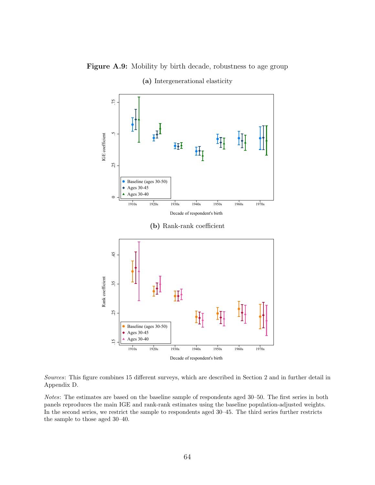

Figure A.9: Mobility by birth decade, robustness to age group

Sources: This figure combines 15 different surveys, which are described in Section 2 and in further detail in Appendix D.

Notes: The estimates are based on the baseline sample of respondents aged 30–50. The first series in both panels reproduces the main IGE and rank-rank estimates using the baseline population-adjusted weights. In the second series, we restrict the sample to respondents aged 30–45. The third series further restricts the sample to those aged 30–40.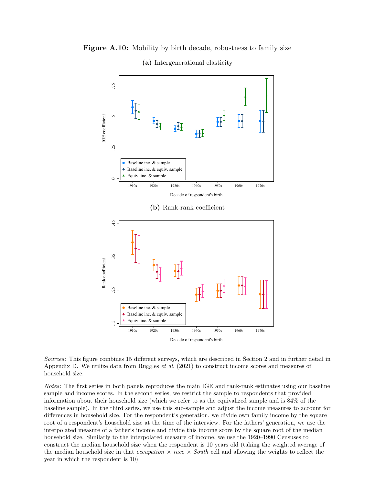

Figure A.10: Mobility by birth decade, robustness to family size

Sources: This figure combines 15 different surveys, which are described in Section 2 and in further detail in Appendix D. We utilize data from Ruggles et al. (2021) to construct income scores and measures of household size.

Notes: The first series in both panels reproduces the main IGE and rank-rank estimates using our baseline sample and income scores. In the second series, we restrict the sample to respondents that provided information about their household size (which we refer to as the equivalized sample and is 84% of the baseline sample). In the third series, we use this sub-sample and adjust the income measures to account for differences in household size. For the respondent's generation, we divide own family income by the square root of a respondent's household size at the time of the interview. For the fathers' generation, we use the interpolated measure of a father's income and divide this income score by the square root of the median household size. Similarly to the interpolated measure of income, we use the 1920–1990 Censuses to construct the median household size when the respondent is 10 years old (taking the weighted average of the median household size in that *occupation*  $\times$  race  $\times$  South cell and allowing the weights to reflect the year in which the respondent is 10).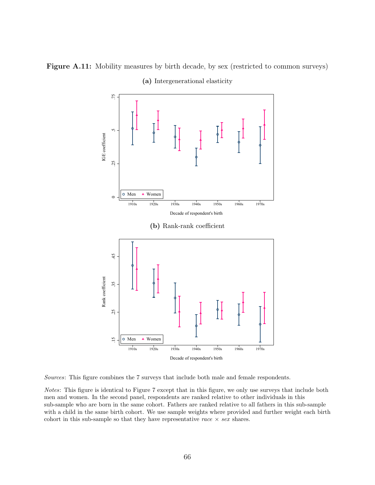Figure A.11: Mobility measures by birth decade, by sex (restricted to common surveys)



Sources: This figure combines the 7 surveys that include both male and female respondents.

Notes: This figure is identical to Figure 7 except that in this figure, we only use surveys that include both men and women. In the second panel, respondents are ranked relative to other individuals in this sub-sample who are born in the same cohort. Fathers are ranked relative to all fathers in this sub-sample with a child in the same birth cohort. We use sample weights where provided and further weight each birth cohort in this sub-sample so that they have representative race  $\times$  sex shares.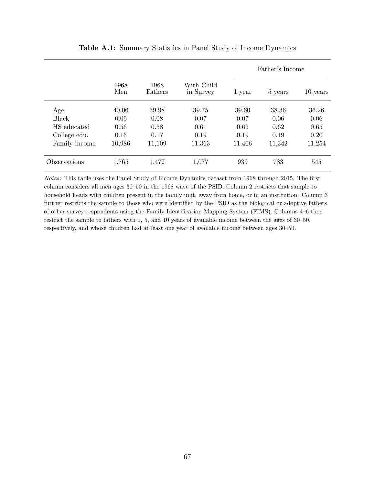|               |             |                 |                         | Father's Income |         |          |
|---------------|-------------|-----------------|-------------------------|-----------------|---------|----------|
|               | 1968<br>Men | 1968<br>Fathers | With Child<br>in Survey | 1 year          | 5 years | 10 years |
| Age           | 40.06       | 39.98           | 39.75                   | 39.60           | 38.36   | 36.26    |
| Black         | 0.09        | 0.08            | 0.07                    | 0.07            | 0.06    | 0.06     |
| HS educated   | 0.56        | 0.58            | 0.61                    | 0.62            | 0.62    | 0.65     |
| College edu.  | 0.16        | 0.17            | 0.19                    | 0.19            | 0.19    | 0.20     |
| Family income | 10,986      | 11,109          | 11,363                  | 11,406          | 11,342  | 11,254   |
| Observations  | 1,765       | 1,472           | 1,077                   | 939             | 783     | 545      |

Table A.1: Summary Statistics in Panel Study of Income Dynamics

Notes: This table uses the Panel Study of Income Dynamics dataset from 1968 through 2015. The first column considers all men ages 30–50 in the 1968 wave of the PSID. Column 2 restricts that sample to household heads with children present in the family unit, away from home, or in an institution. Column 3 further restricts the sample to those who were identified by the PSID as the biological or adoptive fathers of other survey respondents using the Family Identification Mapping System (FIMS). Columns 4–6 then restrict the sample to fathers with 1, 5, and 10 years of available income between the ages of 30–50, respectively, and whose children had at least one year of available income between ages 30–50.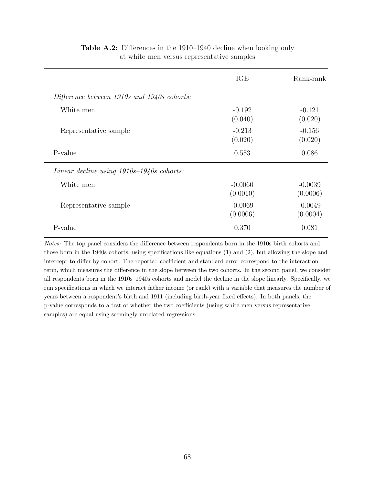|                                                                 | IGE                   | Rank-rank             |
|-----------------------------------------------------------------|-----------------------|-----------------------|
| Difference between $1910s$ and $1940s$ cohorts:                 |                       |                       |
| White men                                                       | $-0.192$<br>(0.040)   | $-0.121$<br>(0.020)   |
| Representative sample                                           | $-0.213$<br>(0.020)   | $-0.156$<br>(0.020)   |
| P-value                                                         | 0.553                 | 0.086                 |
| <i>Linear decline using <math>1910s - 1940s</math> cohorts:</i> |                       |                       |
| White men                                                       | $-0.0060$<br>(0.0010) | $-0.0039$<br>(0.0006) |
| Representative sample                                           | $-0.0069$<br>(0.0006) | $-0.0049$<br>(0.0004) |
| P-value                                                         | 0.370                 | 0.081                 |

### Table A.2: Differences in the 1910–1940 decline when looking only at white men versus representative samples

Notes: The top panel considers the difference between respondents born in the 1910s birth cohorts and those born in the 1940s cohorts, using specifications like equations (1) and (2), but allowing the slope and intercept to differ by cohort. The reported coefficient and standard error correspond to the interaction term, which measures the difference in the slope between the two cohorts. In the second panel, we consider all respondents born in the 1910s–1940s cohorts and model the decline in the slope linearly. Specifically, we run specifications in which we interact father income (or rank) with a variable that measures the number of years between a respondent's birth and 1911 (including birth-year fixed effects). In both panels, the p-value corresponds to a test of whether the two coefficients (using white men versus representative samples) are equal using seemingly unrelated regressions.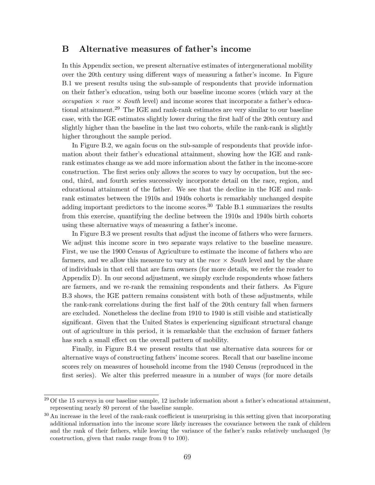### B Alternative measures of father's income

In this Appendix section, we present alternative estimates of intergenerational mobility over the 20th century using different ways of measuring a father's income. In Figure B.1 we present results using the sub-sample of respondents that provide information on their father's education, using both our baseline income scores (which vary at the occupation  $\times$  race  $\times$  South level) and income scores that incorporate a father's educational attainment.<sup>29</sup> The IGE and rank-rank estimates are very similar to our baseline case, with the IGE estimates slightly lower during the first half of the 20th century and slightly higher than the baseline in the last two cohorts, while the rank-rank is slightly higher throughout the sample period.

In Figure B.2, we again focus on the sub-sample of respondents that provide information about their father's educational attainment, showing how the IGE and rankrank estimates change as we add more information about the father in the income-score construction. The first series only allows the scores to vary by occupation, but the second, third, and fourth series successively incorporate detail on the race, region, and educational attainment of the father. We see that the decline in the IGE and rankrank estimates between the 1910s and 1940s cohorts is remarkably unchanged despite adding important predictors to the income scores.<sup>30</sup> Table B.1 summarizes the results from this exercise, quantifying the decline between the 1910s and 1940s birth cohorts using these alternative ways of measuring a father's income.

In Figure B.3 we present results that adjust the income of fathers who were farmers. We adjust this income score in two separate ways relative to the baseline measure. First, we use the 1900 Census of Agriculture to estimate the income of fathers who are farmers, and we allow this measure to vary at the race  $\times$  South level and by the share of individuals in that cell that are farm owners (for more details, we refer the reader to Appendix D). In our second adjustment, we simply exclude respondents whose fathers are farmers, and we re-rank the remaining respondents and their fathers. As Figure B.3 shows, the IGE pattern remains consistent with both of these adjustments, while the rank-rank correlations during the first half of the 20th century fall when farmers are excluded. Nonetheless the decline from 1910 to 1940 is still visible and statistically significant. Given that the United States is experiencing significant structural change out of agriculture in this period, it is remarkable that the exclusion of farmer fathers has such a small effect on the overall pattern of mobility.

Finally, in Figure B.4 we present results that use alternative data sources for or alternative ways of constructing fathers' income scores. Recall that our baseline income scores rely on measures of household income from the 1940 Census (reproduced in the first series). We alter this preferred measure in a number of ways (for more details

 $^{29}$  Of the 15 surveys in our baseline sample, 12 include information about a father's educational attainment, representing nearly 80 percent of the baseline sample.

 $30$  An increase in the level of the rank-rank coefficient is unsurprising in this setting given that incorporating additional information into the income score likely increases the covariance between the rank of children and the rank of their fathers, while leaving the variance of the father's ranks relatively unchanged (by construction, given that ranks range from 0 to 100).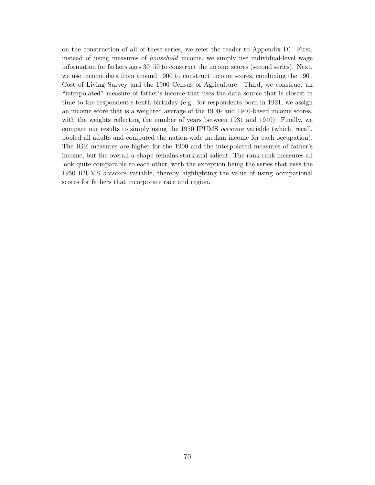on the construction of all of these series, we refer the reader to Appendix D). First, instead of using measures of household income, we simply use individual-level wage information for fathers ages 30–50 to construct the income scores (second series). Next, we use income data from around 1900 to construct income scores, combining the 1901 Cost of Living Survey and the 1900 Census of Agriculture. Third, we construct an "interpolated" measure of father's income that uses the data source that is closest in time to the respondent's tenth birthday (e.g., for respondents born in 1921, we assign an income score that is a weighted average of the 1900- and 1940-based income scores, with the weights reflecting the number of years between 1931 and 1940). Finally, we compare our results to simply using the 1950 IPUMS occscore variable (which, recall, pooled all adults and computed the nation-wide median income for each occupation). The IGE measures are higher for the 1900 and the interpolated measures of father's income, but the overall u-shape remains stark and salient. The rank-rank measures all look quite comparable to each other, with the exception being the series that uses the 1950 IPUMS occscore variable, thereby highlighting the value of using occupational scores for fathers that incorporate race and region.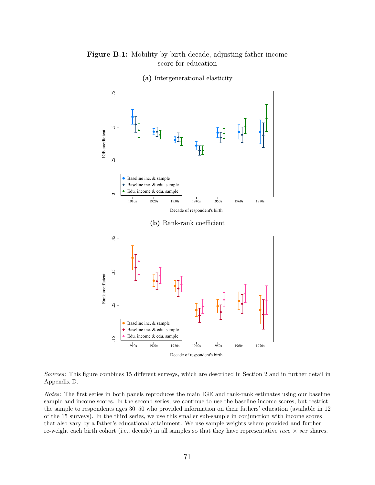### Figure B.1: Mobility by birth decade, adjusting father income score for education



(a) Intergenerational elasticity

Sources: This figure combines 15 different surveys, which are described in Section 2 and in further detail in Appendix D.

Notes: The first series in both panels reproduces the main IGE and rank-rank estimates using our baseline sample and income scores. In the second series, we continue to use the baseline income scores, but restrict the sample to respondents ages 30–50 who provided information on their fathers' education (available in 12 of the 15 surveys). In the third series, we use this smaller sub-sample in conjunction with income scores that also vary by a father's educational attainment. We use sample weights where provided and further re-weight each birth cohort (i.e., decade) in all samples so that they have representative race  $\times$  sex shares.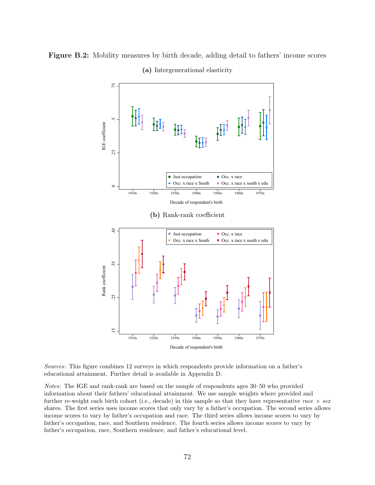

Figure B.2: Mobility measures by birth decade, adding detail to fathers' income scores

(a) Intergenerational elasticity

Sources: This figure combines 12 surveys in which respondents provide information on a father's educational attainment. Further detail is available in Appendix D.

Notes: The IGE and rank-rank are based on the sample of respondents ages 30–50 who provided information about their fathers' educational attainment. We use sample weights where provided and further re-weight each birth cohort (i.e., decade) in this sample so that they have representative race  $\times$  sex shares. The first series uses income scores that only vary by a father's occupation. The second series allows income scores to vary by father's occupation and race. The third series allows income scores to vary by father's occupation, race, and Southern residence. The fourth series allows income scores to vary by father's occupation, race, Southern residence, and father's educational level.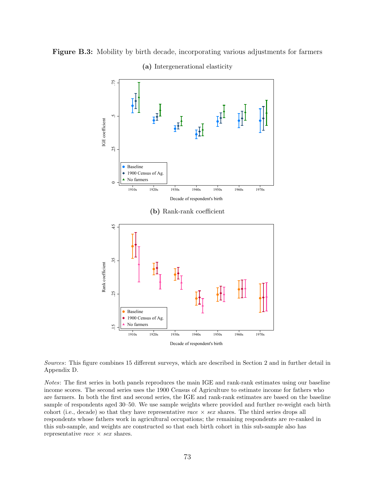

Figure B.3: Mobility by birth decade, incorporating various adjustments for farmers

### (a) Intergenerational elasticity

Sources: This figure combines 15 different surveys, which are described in Section 2 and in further detail in Appendix D.

Notes: The first series in both panels reproduces the main IGE and rank-rank estimates using our baseline income scores. The second series uses the 1900 Census of Agriculture to estimate income for fathers who are farmers. In both the first and second series, the IGE and rank-rank estimates are based on the baseline sample of respondents aged 30–50. We use sample weights where provided and further re-weight each birth cohort (i.e., decade) so that they have representative race  $\times$  sex shares. The third series drops all respondents whose fathers work in agricultural occupations; the remaining respondents are re-ranked in this sub-sample, and weights are constructed so that each birth cohort in this sub-sample also has representative *race*  $\times$  *sex* shares.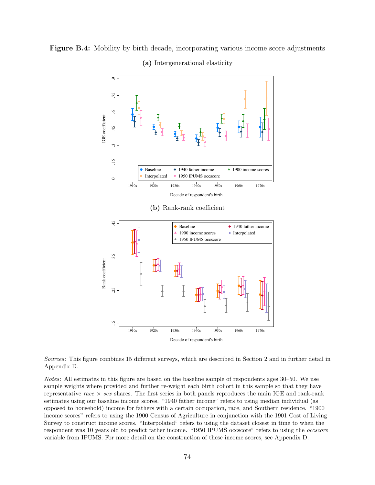

Figure B.4: Mobility by birth decade, incorporating various income score adjustments



Sources: This figure combines 15 different surveys, which are described in Section 2 and in further detail in Appendix D.

Notes: All estimates in this figure are based on the baseline sample of respondents ages 30–50. We use sample weights where provided and further re-weight each birth cohort in this sample so that they have representative race  $\times$  sex shares. The first series in both panels reproduces the main IGE and rank-rank estimates using our baseline income scores. "1940 father income" refers to using median individual (as opposed to household) income for fathers with a certain occupation, race, and Southern residence. "1900 income scores" refers to using the 1900 Census of Agriculture in conjunction with the 1901 Cost of Living Survey to construct income scores. "Interpolated" refers to using the dataset closest in time to when the respondent was 10 years old to predict father income. "1950 IPUMS occscore" refers to using the occscore variable from IPUMS. For more detail on the construction of these income scores, see Appendix D.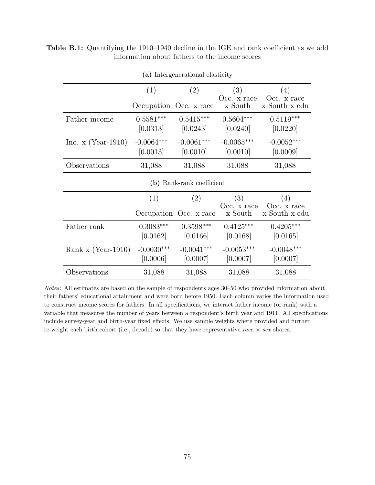|                      | -----o       |                           |                        |                              |
|----------------------|--------------|---------------------------|------------------------|------------------------------|
|                      | (1)          | (2)                       | (3)                    | (4)                          |
|                      |              | Occupation Occ. x race    | Occ. x race<br>x South | Occ. x race<br>x South x edu |
| Father income        | $0.5581***$  | $0.5415***$               | $0.5604***$            | $0.5119***$                  |
|                      | [0.0313]     | [0.0243]                  | [0.0240]               | [0.0220]                     |
| Inc. $x$ (Year-1910) | $-0.0064***$ | $-0.0061***$              | $-0.0065***$           | $-0.0052***$                 |
|                      | [0.0013]     | [0.0010]                  | [0.0010]               | [0.0009]                     |
| Observations         | 31,088       | 31,088                    | 31,088                 | 31,088                       |
|                      |              | (b) Rank-rank coefficient |                        |                              |
|                      | (1)          | (2)                       | (3)                    | (4)                          |
|                      |              | Occupation Occ. x race    | Occ. x race<br>x South | Occ. x race<br>x South x edu |
| Father rank          | $0.3083***$  | $0.3598***$               | $0.4125***$            | $0.4205***$                  |
|                      | [0.0162]     | [0.0166]                  | [0.0168]               | [0.0165]                     |
| Rank x $(Year-1910)$ | $-0.0030***$ | $-0.0041***$              | $-0.0053***$           | $-0.0048***$                 |
|                      | [0.0006]     | [0.0007]                  | [0.0007]               | [0.0007]                     |
| Observations         | 31,088       | 31,088                    | 31,088                 | 31,088                       |

Table B.1: Quantifying the 1910–1940 decline in the IGE and rank coefficient as we add information about fathers to the income scores

(a) Intergenerational elasticity

Notes: All estimates are based on the sample of respondents ages 30–50 who provided information about their fathers' educational attainment and were born before 1950. Each column varies the information used to construct income scores for fathers. In all specifications, we interact father income (or rank) with a variable that measures the number of years between a respondent's birth year and 1911. All specifications include survey-year and birth-year fixed effects. We use sample weights where provided and further re-weight each birth cohort (i.e., decade) so that they have representative race  $\times$  sex shares.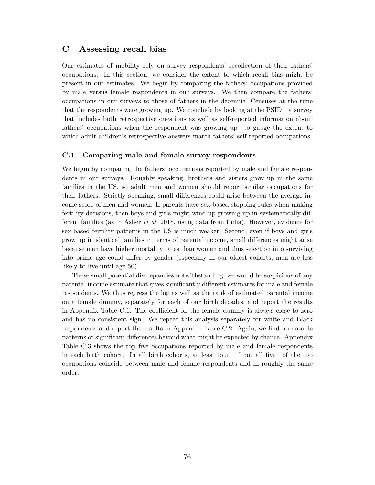## C Assessing recall bias

Our estimates of mobility rely on survey respondents' recollection of their fathers' occupations. In this section, we consider the extent to which recall bias might be present in our estimates. We begin by comparing the fathers' occupations provided by male versus female respondents in our surveys. We then compare the fathers' occupations in our surveys to those of fathers in the decennial Censuses at the time that the respondents were growing up. We conclude by looking at the PSID—a survey that includes both retrospective questions as well as self-reported information about fathers' occupations when the respondent was growing up—to gauge the extent to which adult children's retrospective answers match fathers' self-reported occupations.

## C.1 Comparing male and female survey respondents

We begin by comparing the fathers' occupations reported by male and female respondents in our surveys. Roughly speaking, brothers and sisters grow up in the same families in the US, so adult men and women should report similar occupations for their fathers. Strictly speaking, small differences could arise between the average income score of men and women. If parents have sex-based stopping rules when making fertility decisions, then boys and girls might wind up growing up in systematically different families (as in Asher et al. 2018, using data from India). However, evidence for sex-based fertility patterns in the US is much weaker. Second, even if boys and girls grow up in identical families in terms of parental income, small differences might arise because men have higher mortality rates than women and thus selection into surviving into prime age could differ by gender (especially in our oldest cohorts, men are less likely to live until age 50).

These small potential discrepancies notwithstanding, we would be suspicious of any parental income estimate that gives significantly different estimates for male and female respondents. We thus regress the log as well as the rank of estimated parental income on a female dummy, separately for each of our birth decades, and report the results in Appendix Table C.1. The coefficient on the female dummy is always close to zero and has no consistent sign. We repeat this analysis separately for white and Black respondents and report the results in Appendix Table C.2. Again, we find no notable patterns or significant differences beyond what might be expected by chance. Appendix Table C.3 shows the top five occupations reported by male and female respondents in each birth cohort. In all birth cohorts, at least four—if not all five—of the top occupations coincide between male and female respondents and in roughly the same order.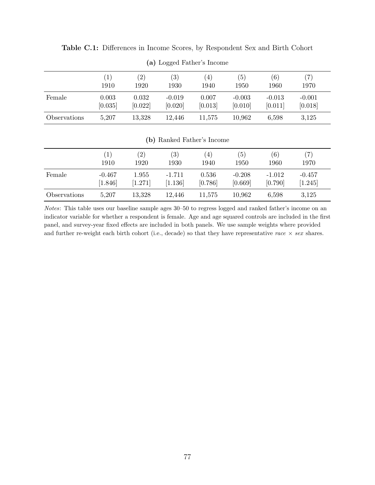|              | $\left(1\right)$ | $^{\prime}2)$ | $\left( 3\right)$ | $\left( 4\right)$ | (5)      | (6)      | 7)       |
|--------------|------------------|---------------|-------------------|-------------------|----------|----------|----------|
|              | 1910             | 1920          | 1930              | 1940              | 1950     | 1960     | 1970     |
| Female       | 0.003            | 0.032         | $-0.019$          | 0.007             | $-0.003$ | $-0.013$ | $-0.001$ |
|              | [0.035]          | [0.022]       | [0.020]           | [0.013]           | [0.010]  | [0.011]  | [0.018]  |
| Observations | 5,207            | 13,328        | 12,446            | 11,575            | 10,962   | 6,598    | 3,125    |

Table C.1: Differences in Income Scores, by Respondent Sex and Birth Cohort

(a) Logged Father's Income

## (b) Ranked Father's Income

|              | $\left(1\right)$ | $\left( 2\right)$ | $\left( 3\right)$ | (4)     | (5)      | (6)      | $^{\prime}7)$ |
|--------------|------------------|-------------------|-------------------|---------|----------|----------|---------------|
|              | 1910             | 1920              | 1930              | 1940    | 1950     | 1960     | 1970          |
| Female       | $-0.467$         | 1.955             | $-1.711$          | 0.536   | $-0.208$ | $-1.012$ | $-0.457$      |
|              | [1.846]          | [1.271]           | [1.136]           | [0.786] | [0.669]  | [0.790]  | [1.245]       |
| Observations | 5,207            | 13,328            | 12,446            | 11,575  | 10,962   | 6,598    | 3,125         |

Notes: This table uses our baseline sample ages 30–50 to regress logged and ranked father's income on an indicator variable for whether a respondent is female. Age and age squared controls are included in the first panel, and survey-year fixed effects are included in both panels. We use sample weights where provided and further re-weight each birth cohort (i.e., decade) so that they have representative race  $\times$  sex shares.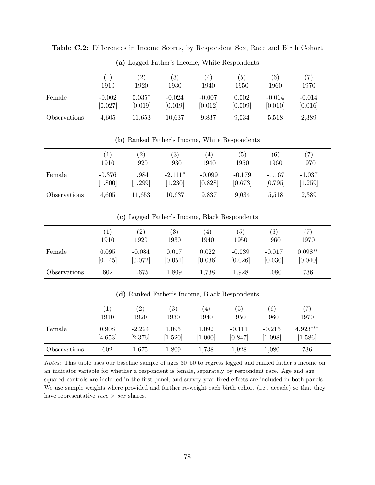|              | $\left(1\right)$ | $\left( 2\right)$ | $\left( 3\right)$ | $\left( 4\right)$ | (5)     | (6)      | $^{\prime}7)$ |
|--------------|------------------|-------------------|-------------------|-------------------|---------|----------|---------------|
|              | 1910             | 1920              | 1930              | 1940              | 1950    | 1960     | 1970          |
| Female       | $-0.002$         | $0.035*$          | $-0.024$          | $-0.007$          | 0.002   | $-0.014$ | $-0.014$      |
|              | [0.027]          | [0.019]           | [0.019]           | [0.012]           | [0.009] | [0.010]  | [0.016]       |
| Observations | 4,605            | 11,653            | 10,637            | 9,837             | 9,034   | 5,518    | 2,389         |

Table C.2: Differences in Income Scores, by Respondent Sex, Race and Birth Cohort

(a) Logged Father's Income, White Respondents

(b) Ranked Father's Income, White Respondents

|              | $\left(1\right)$ | $\left( 2\right)$ | (3)       | (4)      | $\left(5\right)$ | (6)      | (7)      |
|--------------|------------------|-------------------|-----------|----------|------------------|----------|----------|
|              | 1910             | 1920              | 1930      | 1940     | 1950             | 1960     | 1970     |
| Female       | $-0.376$         | 1.984             | $-2.111*$ | $-0.099$ | $-0.179$         | $-1.167$ | $-1.037$ |
|              | [1.800]          | [1.299]           | [1.230]   | [0.828]  | [0.673]          | [0.795]  | [1.259]  |
| Observations | 4,605            | 11,653            | 10,637    | 9,837    | 9,034            | 5,518    | 2,389    |

(c) Logged Father's Income, Black Respondents

|              | $\left(1\right)$ | $\left( 2\right)$ | (3)     | $\left( 4\right)$ | (5)      | (6)      | $7\,$     |
|--------------|------------------|-------------------|---------|-------------------|----------|----------|-----------|
|              | 1910             | 1920              | 1930    | 1940              | 1950     | 1960     | 1970      |
| Female       | 0.095            | $-0.084$          | 0.017   | 0.022             | $-0.039$ | $-0.017$ | $0.098**$ |
|              | [0.145]          | [0.072]           | [0.051] | [0.036]           | [0.026]  | [0.030]  | [0.040]   |
| Observations | 602              | $1{,}675$         | 1,809   | 1,738             | 1,928    | 1,080    | 736       |

|              | $\left  \right $ | $\left( 2\right)$ | (3)       | $\left(4\right)$ | $\left(5\right)$ | (6)      | 7          |
|--------------|------------------|-------------------|-----------|------------------|------------------|----------|------------|
|              | 1910             | 1920              | 1930      | 1940             | 1950             | 1960     | 1970       |
| Female       | 0.908            | $-2.294$          | $1.095\,$ | 1.092            | $-0.111$         | $-0.215$ | $4.923***$ |
|              | [4.653]          | [2.376]           | [1.520]   | [1.000]          | [0.847]          | [1.098]  | [1.586]    |
| Observations | 602              | 1,675             | 1,809     | 1,738            | 1,928            | 1,080    | 736        |

(d) Ranked Father's Income, Black Respondents

Notes: This table uses our baseline sample of ages 30–50 to regress logged and ranked father's income on an indicator variable for whether a respondent is female, separately by respondent race. Age and age squared controls are included in the first panel, and survey-year fixed effects are included in both panels. We use sample weights where provided and further re-weight each birth cohort (i.e., decade) so that they have representative race  $\times$  sex shares.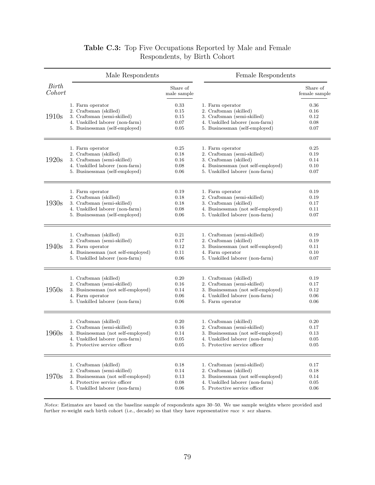|                 | Male Respondents                   |                         | Female Respondents                 |                           |
|-----------------|------------------------------------|-------------------------|------------------------------------|---------------------------|
| Birth<br>Cohort |                                    | Share of<br>male sample |                                    | Share of<br>female sample |
| 1910s           | 1. Farm operator                   | 0.33                    | 1. Farm operator                   | 0.36                      |
|                 | 2. Craftsman (skilled)             | 0.15                    | 2. Craftsman (skilled)             | 0.16                      |
|                 | 3. Craftsman (semi-skilled)        | 0.15                    | 3. Craftsman (semi-skilled)        | 0.12                      |
|                 | 4. Unskilled laborer (non-farm)    | 0.07                    | 4. Unskilled laborer (non-farm)    | 0.08                      |
|                 | 5. Businessman (self-employed)     | 0.05                    | 5. Businessman (self-employed)     | 0.07                      |
| 1920s           | 1. Farm operator                   | 0.25                    | 1. Farm operator                   | 0.25                      |
|                 | 2. Craftsman (skilled)             | 0.18                    | 2. Craftsman (semi-skilled)        | 0.19                      |
|                 | 3. Craftsman (semi-skilled)        | 0.16                    | 3. Craftsman (skilled)             | 0.14                      |
|                 | 4. Unskilled laborer (non-farm)    | 0.08                    | 4. Businessman (not self-employed) | 0.10                      |
|                 | 5. Businessman (self-employed)     | 0.06                    | 5. Unskilled laborer (non-farm)    | 0.07                      |
| 1930s           | 1. Farm operator                   | 0.19                    | 1. Farm operator                   | 0.19                      |
|                 | 2. Craftsman (skilled)             | 0.18                    | 2. Craftsman (semi-skilled)        | 0.19                      |
|                 | 3. Craftsman (semi-skilled)        | 0.18                    | 3. Craftsman (skilled)             | 0.17                      |
|                 | 4. Unskilled laborer (non-farm)    | 0.08                    | 4. Businessman (not self-employed) | 0.11                      |
|                 | 5. Businessman (self-employed)     | 0.06                    | 5. Unskilled laborer (non-farm)    | 0.07                      |
| 1940s           | 1. Craftsman (skilled)             | 0.21                    | 1. Craftsman (semi-skilled)        | 0.19                      |
|                 | 2. Craftsman (semi-skilled)        | 0.17                    | 2. Craftsman (skilled)             | 0.19                      |
|                 | 3. Farm operator                   | 0.12                    | 3. Businessman (not self-employed) | 0.11                      |
|                 | 4. Businessman (not self-employed) | 0.11                    | 4. Farm operator                   | 0.10                      |
|                 | 5. Unskilled laborer (non-farm)    | 0.06                    | 5. Unskilled laborer (non-farm)    | 0.07                      |
| 1950s           | 1. Craftsman (skilled)             | 0.20                    | 1. Craftsman (skilled)             | 0.19                      |
|                 | 2. Craftsman (semi-skilled)        | 0.16                    | 2. Craftsman (semi-skilled)        | 0.17                      |
|                 | 3. Businessman (not self-employed) | 0.14                    | 3. Businessman (not self-employed) | 0.12                      |
|                 | 4. Farm operator                   | 0.06                    | 4. Unskilled laborer (non-farm)    | 0.06                      |
|                 | 5. Unskilled laborer (non-farm)    | 0.06                    | 5. Farm operator                   | 0.06                      |
| 1960s           | 1. Craftsman (skilled)             | 0.20                    | 1. Craftsman (skilled)             | 0.20                      |
|                 | 2. Craftsman (semi-skilled)        | 0.16                    | 2. Craftsman (semi-skilled)        | 0.17                      |
|                 | 3. Businessman (not self-employed) | 0.14                    | 3. Businessman (not self-employed) | 0.13                      |
|                 | 4. Unskilled laborer (non-farm)    | 0.05                    | 4. Unskilled laborer (non-farm)    | 0.05                      |
|                 | 5. Protective service officer      | 0.05                    | 5. Protective service officer      | 0.05                      |
| 1970s           | 1. Craftsman (skilled)             | 0.18                    | 1. Craftsman (semi-skilled)        | 0.17                      |
|                 | 2. Craftsman (semi-skilled)        | 0.14                    | 2. Craftsman (skilled)             | 0.18                      |
|                 | 3. Businessman (not self-employed) | 0.13                    | 3. Businessman (not self-employed) | 0.14                      |
|                 | 4. Protective service officer      | 0.08                    | 4. Unskilled laborer (non-farm)    | 0.05                      |
|                 | 5. Unskilled laborer (non-farm)    | 0.06                    | 5. Protective service officer      | 0.06                      |

# Table C.3: Top Five Occupations Reported by Male and Female Respondents, by Birth Cohort

Notes: Estimates are based on the baseline sample of respondents ages 30–50. We use sample weights where provided and further re-weight each birth cohort (i.e., decade) so that they have representative race  $\times$  sex shares.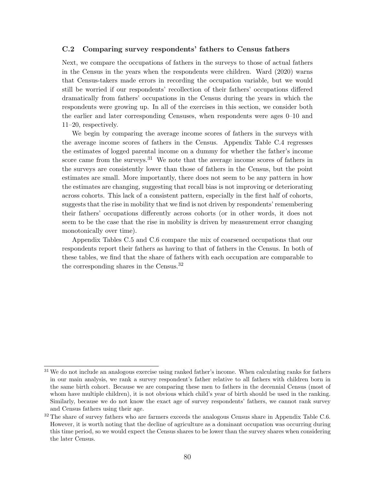#### C.2 Comparing survey respondents' fathers to Census fathers

Next, we compare the occupations of fathers in the surveys to those of actual fathers in the Census in the years when the respondents were children. Ward (2020) warns that Census-takers made errors in recording the occupation variable, but we would still be worried if our respondents' recollection of their fathers' occupations differed dramatically from fathers' occupations in the Census during the years in which the respondents were growing up. In all of the exercises in this section, we consider both the earlier and later corresponding Censuses, when respondents were ages 0–10 and 11–20, respectively.

We begin by comparing the average income scores of fathers in the surveys with the average income scores of fathers in the Census. Appendix Table C.4 regresses the estimates of logged parental income on a dummy for whether the father's income score came from the surveys.<sup>31</sup> We note that the average income scores of fathers in the surveys are consistently lower than those of fathers in the Census, but the point estimates are small. More importantly, there does not seem to be any pattern in how the estimates are changing, suggesting that recall bias is not improving or deteriorating across cohorts. This lack of a consistent pattern, especially in the first half of cohorts, suggests that the rise in mobility that we find is not driven by respondents' remembering their fathers' occupations differently across cohorts (or in other words, it does not seem to be the case that the rise in mobility is driven by measurement error changing monotonically over time).

Appendix Tables C.5 and C.6 compare the mix of coarsened occupations that our respondents report their fathers as having to that of fathers in the Census. In both of these tables, we find that the share of fathers with each occupation are comparable to the corresponding shares in the Census.<sup>32</sup>

<sup>&</sup>lt;sup>31</sup> We do not include an analogous exercise using ranked father's income. When calculating ranks for fathers in our main analysis, we rank a survey respondent's father relative to all fathers with children born in the same birth cohort. Because we are comparing these men to fathers in the decennial Census (most of whom have multiple children), it is not obvious which child's year of birth should be used in the ranking. Similarly, because we do not know the exact age of survey respondents' fathers, we cannot rank survey and Census fathers using their age.

 $32$  The share of survey fathers who are farmers exceeds the analogous Census share in Appendix Table C.6. However, it is worth noting that the decline of agriculture as a dominant occupation was occurring during this time period, so we would expect the Census shares to be lower than the survey shares when considering the later Census.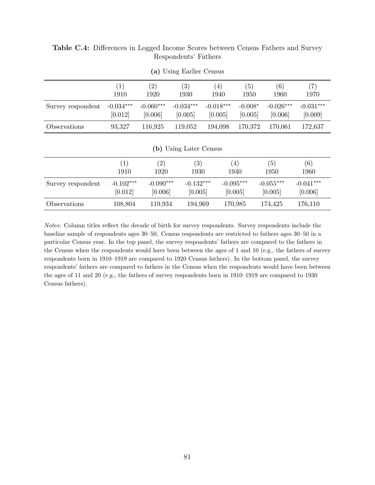| (a) Using Earlier Census |                                                                                                                                                          |                        |                        |                        |                      |                        |                        |  |  |
|--------------------------|----------------------------------------------------------------------------------------------------------------------------------------------------------|------------------------|------------------------|------------------------|----------------------|------------------------|------------------------|--|--|
|                          | (1)<br>1910                                                                                                                                              | (2)<br>1920            | (3)<br>1930            | (4)<br>1940            | (5)<br>1950          | (6)<br>1960            | (7)<br>1970            |  |  |
| Survey respondent        | $-0.034***$<br>[0.012]                                                                                                                                   | $-0.060***$<br>[0.006] | $-0.034***$<br>[0.005] | $-0.018***$<br>[0.005] | $-0.008*$<br>[0.005] | $-0.026***$<br>[0.006] | $-0.031***$<br>[0.009] |  |  |
| Observations             | 93,327                                                                                                                                                   | 116,925                | 119,052                | 194,098                | 170,372              | 170,061                | 172,637                |  |  |
|                          |                                                                                                                                                          |                        | (b) Using Later Census |                        |                      |                        |                        |  |  |
|                          | (6)<br>$\left( 2\right)$<br>(3)<br>(4)<br>(5)<br>(1)<br>1910<br>1920<br>1930<br>1940<br>1950<br>1960                                                     |                        |                        |                        |                      |                        |                        |  |  |
| Survey respondent        | $-0.102***$<br>$-0.090***$<br>$-0.132***$<br>$-0.095***$<br>$-0.055***$<br>$-0.041***$<br>[0.012]<br>[0.006]<br>[0.005]<br>[0.005]<br>[0.005]<br>[0.006] |                        |                        |                        |                      |                        |                        |  |  |
| Observations             | 108,804                                                                                                                                                  | 119,934                | 194,969                |                        | 170,985              | 174,425                | 176,110                |  |  |

## Table C.4: Differences in Logged Income Scores between Census Fathers and Survey Respondents' Fathers

Notes: Column titles reflect the decade of birth for survey respondents. Survey respondents include the baseline sample of respondents ages 30–50. Census respondents are restricted to fathers ages 30–50 in a particular Census year. In the top panel, the survey respondents' fathers are compared to the fathers in the Census when the respondents would have been between the ages of 1 and 10 (e.g., the fathers of survey respondents born in 1910–1919 are compared to 1920 Census fathers). In the bottom panel, the survey respondents' fathers are compared to fathers in the Census when the respondents would have been between the ages of 11 and 20 (e.g., the fathers of survey respondents born in 1910–1919 are compared to 1930 Census fathers).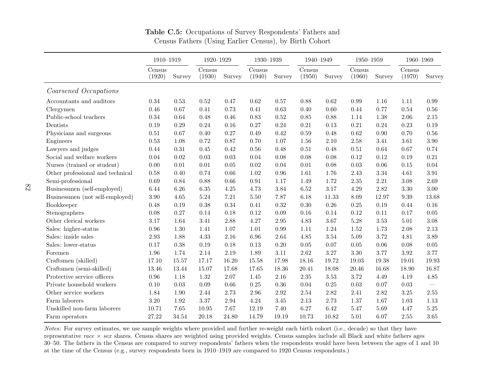|                                  | 1910-1919        |        | 1920-1929        |        | 1930-1939        |          | 1940-1949        |        | $1950 - 1959$    |          | 1960-1969        |                          |
|----------------------------------|------------------|--------|------------------|--------|------------------|----------|------------------|--------|------------------|----------|------------------|--------------------------|
|                                  | Census<br>(1920) | Survey | Census<br>(1930) | Survey | Census<br>(1940) | Survey   | Census<br>(1950) | Survey | Census<br>(1960) | Survey   | Census<br>(1970) | Survey                   |
| Coarsened Occupations            |                  |        |                  |        |                  |          |                  |        |                  |          |                  |                          |
| Accountants and auditors         | 0.34             | 0.53   | 0.52             | 0.47   | 0.62             | 0.57     | 0.88             | 0.62   | 0.99             | 1.16     | 1.11             | 0.99                     |
| Clergymen                        | 0.46             | 0.67   | 0.41             | 0.73   | 0.41             | 0.63     | 0.40             | 0.60   | 0.44             | 0.77     | 0.54             | 0.56                     |
| Public-school teachers           | 0.34             | 0.64   | 0.48             | 0.46   | 0.83             | 0.52     | 0.85             | 0.88   | 1.14             | 1.38     | 2.06             | $2.15\,$                 |
| Dentists                         | 0.19             | 0.29   | 0.24             | 0.16   | 0.27             | 0.24     | 0.21             | 0.13   | $0.21\,$         | 0.24     | 0.23             | 0.19                     |
| Physicians and surgeons          | 0.51             | 0.67   | 0.40             | 0.27   | 0.49             | 0.42     | 0.59             | 0.48   | 0.62             | 0.90     | 0.70             | 0.56                     |
| Engineers                        | 0.53             | 1.08   | 0.72             | 0.87   | 0.70             | 1.07     | 1.56             | 2.10   | 2.58             | 3.41     | 3.61             | 3.90                     |
| Lawyers and judges               | 0.44             | 0.31   | 0.45             | 0.42   | 0.56             | 0.48     | 0.51             | 0.48   | 0.51             | 0.64     | 0.67             | 0.74                     |
| Social and welfare workers       | 0.04             | 0.02   | 0.03             | 0.03   | 0.04             | 0.08     | 0.08             | 0.08   | 0.12             | $0.12\,$ | 0.19             | 0.21                     |
| Nurses (trained or student)      | 0.00             | 0.01   | 0.01             | 0.05   | 0.02             | 0.04     | 0.01             | 0.08   | 0.03             | 0.06     | 0.15             | 0.04                     |
| Other professional and technical | 0.58             | 0.40   | 0.74             | 0.66   | 1.02             | 0.96     | 1.61             | 1.76   | 2.43             | 3.34     | 4.61             | 3.91                     |
| Semi-professional                | 0.69             | 0.84   | 0.88             | 0.66   | 0.91             | 1.17     | 1.49             | 1.72   | 2.35             | 2.21     | 3.08             | 2.69                     |
| Businessmen (self-employed)      | 6.44             | 6.26   | 6.35             | 4.25   | 4.73             | 3.84     | 6.52             | 3.17   | 4.29             | 2.82     | 3.30             | 3.00                     |
| Businessmen (not self-employed)  | $3.90\,$         | 4.65   | $5.24\,$         | 7.21   | $5.50\,$         | 7.87     | 6.18             | 11.33  | 8.09             | 12.97    | 9.39             | 13.68                    |
| Bookkeeper                       | 0.48             | 0.19   | 0.38             | 0.34   | 0.41             | 0.32     | 0.30             | 0.26   | 0.25             | 0.19     | 0.44             | 0.16                     |
| Stenographers                    | 0.08             | 0.27   | 0.14             | 0.18   | 0.12             | 0.09     | 0.16             | 0.14   | 0.12             | 0.11     | 0.17             | 0.05                     |
| Other clerical workers           | 3.17             | 1.64   | 3.41             | 2.88   | 4.27             | 2.95     | 4.83             | 3.67   | 5.28             | 3.53     | 5.01             | 3.08                     |
| Sales: higher-status             | 0.96             | 1.30   | 1.41             | 1.07   | 1.01             | 0.99     | 1.11             | 1.24   | 1.52             | 1.73     | 2.08             | 2.13                     |
| Sales: inside sales              | 2.93             | 1.88   | 4.33             | 2.16   | 6.96             | 2.64     | 4.85             | 3.54   | $5.09\,$         | 3.72     | 4.81             | 3.89                     |
| Sales: lower-status              | 0.17             | 0.38   | 0.19             | 0.18   | 0.13             | 0.20     | 0.05             | 0.07   | 0.05             | 0.06     | 0.08             | 0.05                     |
| Foremen                          | 1.96             | 1.74   | 2.14             | 2.19   | 1.89             | 3.11     | 2.62             | 3.27   | 3.30             | 3.77     | 3.92             | 3.77                     |
| Craftsmen (skilled)              | 17.10            | 15.57  | 17.17            | 16.20  | 15.58            | 17.98    | 18.16            | 19.72  | 19.03            | 19.38    | 19.01            | 19.93                    |
| Craftsmen (semi-skilled)         | 13.46            | 13.44  | 15.07            | 17.68  | $17.65\,$        | 18.36    | 20.41            | 18.08  | 20.46            | 16.68    | 18.90            | 16.87                    |
| Protective service officers      | 0.96             | 1.18   | 1.32             | 2.07   | 1.45             | $2.16\,$ | 2.35             | 3.53   | 3.72             | 4.49     | 4.19             | 4.85                     |
| Private household workers        | 0.10             | 0.03   | 0.09             | 0.66   | 0.25             | $0.36\,$ | 0.04             | 0.25   | 0.03             | 0.07     | 0.03             | $\overline{\phantom{a}}$ |
| Other service workers            | 1.84             | 1.90   | $2.44\,$         | 2.73   | 2.96             | $2.92\,$ | 2.54             | 2.82   | 2.41             | $2.82\,$ | $3.25\,$         | $2.55\,$                 |
| Farm laborers                    | $3.20\,$         | 1.92   | 3.37             | 2.94   | 4.24             | 3.45     | 2.13             | 2.73   | 1.37             | 1.67     | 1.03             | 1.13                     |
| Unskilled non-farm laborers      | 10.71            | 7.65   | 10.95            | 7.67   | 12.19            | 7.40     | 6.27             | 6.42   | 5.47             | 5.69     | 4.47             | 5.25                     |
| Farm operators                   | 27.22            | 34.54  | 20.18            | 24.80  | 14.79            | 19.19    | 10.73            | 10.82  | 5.01             | 6.07     | $2.55\,$         | 3.65                     |

Table C.5: Occupations of Survey Respondents' Fathers andCensus Fathers (Using Earlier Census), by Birth Cohort

Notes: For survey estimates, we use sample weights where provided and further re-weight each birth cohort (i.e., decade) so that they haverepresentative race  $\times$  sex shares. Census shares are weighted using provided weights. Census samples include all Black and white fathers ages and the company of the company of the company of the company of the company o 30–50. The fathers in the Census are compared to survey respondents' fathers when the respondents would have been between the ages of 1 and 10at the time of the Census (e.g., survey respondents born in 1910–1919 are compared to <sup>1920</sup> Census respondents.)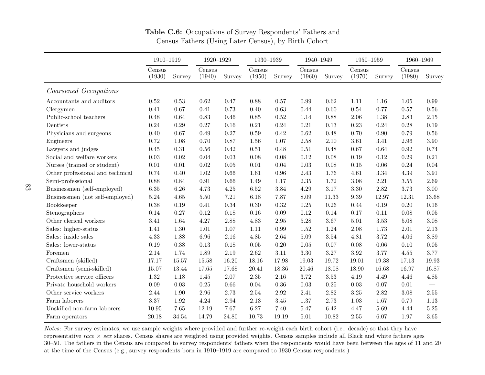|                                  | 1910-1919        |        | 1920-1929        |        | $1930 - 1939$    |          | 1940-1949        |        | 1950-1959        |        | 1960-1969        |          |
|----------------------------------|------------------|--------|------------------|--------|------------------|----------|------------------|--------|------------------|--------|------------------|----------|
|                                  | Census<br>(1930) | Survey | Census<br>(1940) | Survey | Census<br>(1950) | Survey   | Census<br>(1960) | Survey | Census<br>(1970) | Survey | Census<br>(1980) | Survey   |
| Coarsened Occupations            |                  |        |                  |        |                  |          |                  |        |                  |        |                  |          |
| Accountants and auditors         | $0.52\,$         | 0.53   | 0.62             | 0.47   | 0.88             | 0.57     | 0.99             | 0.62   | 1.11             | 1.16   | 1.05             | 0.99     |
| Clergymen                        | 0.41             | 0.67   | 0.41             | 0.73   | 0.40             | 0.63     | 0.44             | 0.60   | 0.54             | 0.77   | 0.57             | $0.56\,$ |
| Public-school teachers           | 0.48             | 0.64   | 0.83             | 0.46   | 0.85             | 0.52     | 1.14             | 0.88   | $2.06\,$         | 1.38   | 2.83             | 2.15     |
| Dentists                         | 0.24             | 0.29   | 0.27             | 0.16   | 0.21             | 0.24     | 0.21             | 0.13   | 0.23             | 0.24   | 0.28             | 0.19     |
| Physicians and surgeons          | 0.40             | 0.67   | 0.49             | 0.27   | 0.59             | 0.42     | 0.62             | 0.48   | 0.70             | 0.90   | 0.79             | 0.56     |
| Engineers                        | 0.72             | 1.08   | 0.70             | 0.87   | 1.56             | 1.07     | 2.58             | 2.10   | 3.61             | 3.41   | 2.96             | 3.90     |
| Lawyers and judges               | 0.45             | 0.31   | 0.56             | 0.42   | 0.51             | 0.48     | 0.51             | 0.48   | 0.67             | 0.64   | 0.92             | 0.74     |
| Social and welfare workers       | 0.03             | 0.02   | 0.04             | 0.03   | 0.08             | 0.08     | 0.12             | 0.08   | 0.19             | 0.12   | 0.29             | 0.21     |
| Nurses (trained or student)      | 0.01             | 0.01   | 0.02             | 0.05   | 0.01             | 0.04     | 0.03             | 0.08   | $0.15\,$         | 0.06   | 0.24             | 0.04     |
| Other professional and technical | 0.74             | 0.40   | 1.02             | 0.66   | 1.61             | 0.96     | 2.43             | 1.76   | 4.61             | 3.34   | 4.39             | 3.91     |
| Semi-professional                | 0.88             | 0.84   | 0.91             | 0.66   | 1.49             | 1.17     | $2.35\,$         | 1.72   | 3.08             | 2.21   | 3.55             | 2.69     |
| Businessmen (self-employed)      | 6.35             | 6.26   | 4.73             | 4.25   | 6.52             | 3.84     | 4.29             | 3.17   | $3.30\,$         | 2.82   | 3.73             | 3.00     |
| Businessmen (not self-employed)  | 5.24             | 4.65   | 5.50             | 7.21   | 6.18             | 7.87     | 8.09             | 11.33  | 9.39             | 12.97  | 12.31            | 13.68    |
| Bookkeeper                       | $0.38\,$         | 0.19   | 0.41             | 0.34   | 0.30             | 0.32     | 0.25             | 0.26   | 0.44             | 0.19   | $0.20\,$         | 0.16     |
| Stenographers                    | 0.14             | 0.27   | 0.12             | 0.18   | 0.16             | 0.09     | 0.12             | 0.14   | 0.17             | 0.11   | 0.08             | 0.05     |
| Other clerical workers           | 3.41             | 1.64   | 4.27             | 2.88   | 4.83             | 2.95     | 5.28             | 3.67   | $5.01\,$         | 3.53   | 5.08             | 3.08     |
| Sales: higher-status             | 1.41             | 1.30   | 1.01             | 1.07   | 1.11             | 0.99     | 1.52             | 1.24   | 2.08             | 1.73   | 2.01             | 2.13     |
| Sales: inside sales              | 4.33             | 1.88   | 6.96             | 2.16   | 4.85             | 2.64     | 5.09             | 3.54   | 4.81             | 3.72   | 4.06             | 3.89     |
| Sales: lower-status              | 0.19             | 0.38   | 0.13             | 0.18   | 0.05             | $0.20\,$ | 0.05             | 0.07   | 0.08             | 0.06   | 0.10             | 0.05     |
| Foremen                          | 2.14             | 1.74   | 1.89             | 2.19   | 2.62             | 3.11     | 3.30             | 3.27   | 3.92             | 3.77   | 4.55             | 3.77     |
| Craftsmen (skilled)              | 17.17            | 15.57  | 15.58            | 16.20  | 18.16            | 17.98    | 19.03            | 19.72  | 19.01            | 19.38  | 17.13            | 19.93    |
| Craftsmen (semi-skilled)         | 15.07            | 13.44  | 17.65            | 17.68  | 20.41            | 18.36    | 20.46            | 18.08  | 18.90            | 16.68  | 16.97            | 16.87    |
| Protective service officers      | 1.32             | 1.18   | 1.45             | 2.07   | 2.35             | $2.16\,$ | 3.72             | 3.53   | 4.19             | 4.49   | 4.46             | 4.85     |
| Private household workers        | 0.09             | 0.03   | 0.25             | 0.66   | 0.04             | 0.36     | 0.03             | 0.25   | 0.03             | 0.07   | 0.01             |          |
| Other service workers            | 2.44             | 1.90   | 2.96             | 2.73   | 2.54             | 2.92     | 2.41             | 2.82   | 3.25             | 2.82   | 3.08             | 2.55     |
| Farm laborers                    | 3.37             | 1.92   | 4.24             | 2.94   | 2.13             | 3.45     | 1.37             | 2.73   | 1.03             | 1.67   | 0.79             | 1.13     |
| Unskilled non-farm laborers      | 10.95            | 7.65   | 12.19            | 7.67   | 6.27             | 7.40     | 5.47             | 6.42   | 4.47             | 5.69   | 4.44             | 5.25     |
| Farm operators                   | 20.18            | 34.54  | 14.79            | 24.80  | 10.73            | 19.19    | 5.01             | 10.82  | $2.55\,$         | 6.07   | 1.97             | 3.65     |

Table C.6: Occupations of Survey Respondents' Fathers andCensus Fathers (Using Later Census), by Birth Cohort

Notes: For survey estimates, we use sample weights where provided and further re-weight each birth cohort (i.e., decade) so that they haverepresentative race  $\times$  sex shares. Census shares are weighted using provided weights. Census samples include all Black and white fathers ages  $20,50,$  The fathers in the Grange can compared to grange during fathers ages 30–50. The fathers in the Census are compared to survey respondents' fathers when the respondents would have been between the ages of 11 and 20at the time of the Census (e.g., survey respondents born in 1910–1919 are compared to <sup>1930</sup> Census respondents.)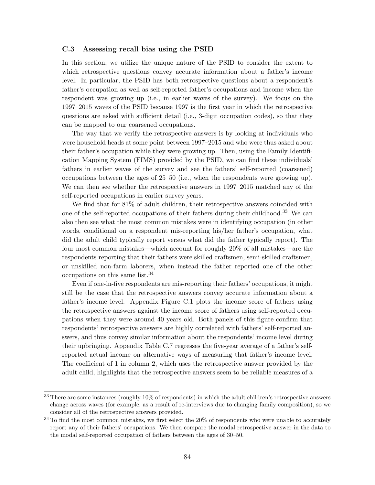#### C.3 Assessing recall bias using the PSID

In this section, we utilize the unique nature of the PSID to consider the extent to which retrospective questions convey accurate information about a father's income level. In particular, the PSID has both retrospective questions about a respondent's father's occupation as well as self-reported father's occupations and income when the respondent was growing up (i.e., in earlier waves of the survey). We focus on the 1997–2015 waves of the PSID because 1997 is the first year in which the retrospective questions are asked with sufficient detail (i.e., 3-digit occupation codes), so that they can be mapped to our coarsened occupations.

The way that we verify the retrospective answers is by looking at individuals who were household heads at some point between 1997–2015 and who were thus asked about their father's occupation while they were growing up. Then, using the Family Identification Mapping System (FIMS) provided by the PSID, we can find these individuals' fathers in earlier waves of the survey and see the fathers' self-reported (coarsened) occupations between the ages of 25–50 (i.e., when the respondents were growing up). We can then see whether the retrospective answers in 1997–2015 matched any of the self-reported occupations in earlier survey years.

We find that for 81% of adult children, their retrospective answers coincided with one of the self-reported occupations of their fathers during their childhood.<sup>33</sup> We can also then see what the most common mistakes were in identifying occupation (in other words, conditional on a respondent mis-reporting his/her father's occupation, what did the adult child typically report versus what did the father typically report). The four most common mistakes—which account for roughly 20% of all mistakes—are the respondents reporting that their fathers were skilled craftsmen, semi-skilled craftsmen, or unskilled non-farm laborers, when instead the father reported one of the other occupations on this same list.<sup>34</sup>

Even if one-in-five respondents are mis-reporting their fathers' occupations, it might still be the case that the retrospective answers convey accurate information about a father's income level. Appendix Figure C.1 plots the income score of fathers using the retrospective answers against the income score of fathers using self-reported occupations when they were around 40 years old. Both panels of this figure confirm that respondents' retrospective answers are highly correlated with fathers' self-reported answers, and thus convey similar information about the respondents' income level during their upbringing. Appendix Table C.7 regresses the five-year average of a father's selfreported actual income on alternative ways of measuring that father's income level. The coefficient of 1 in column 2, which uses the retrospective answer provided by the adult child, highlights that the retrospective answers seem to be reliable measures of a

<sup>&</sup>lt;sup>33</sup> There are some instances (roughly 10% of respondents) in which the adult children's retrospective answers change across waves (for example, as a result of re-interviews due to changing family composition), so we consider all of the retrospective answers provided.

 $34$  To find the most common mistakes, we first select the  $20\%$  of respondents who were unable to accurately report any of their fathers' occupations. We then compare the modal retrospective answer in the data to the modal self-reported occupation of fathers between the ages of 30–50.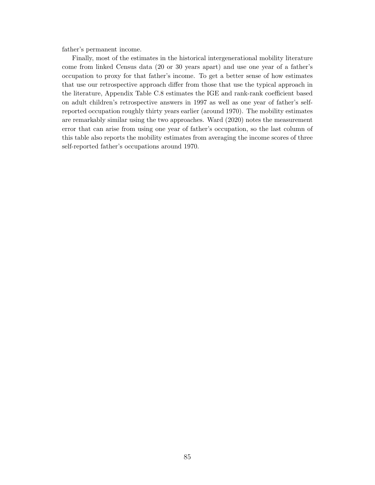father's permanent income.

Finally, most of the estimates in the historical intergenerational mobility literature come from linked Census data (20 or 30 years apart) and use one year of a father's occupation to proxy for that father's income. To get a better sense of how estimates that use our retrospective approach differ from those that use the typical approach in the literature, Appendix Table C.8 estimates the IGE and rank-rank coefficient based on adult children's retrospective answers in 1997 as well as one year of father's selfreported occupation roughly thirty years earlier (around 1970). The mobility estimates are remarkably similar using the two approaches. Ward (2020) notes the measurement error that can arise from using one year of father's occupation, so the last column of this table also reports the mobility estimates from averaging the income scores of three self-reported father's occupations around 1970.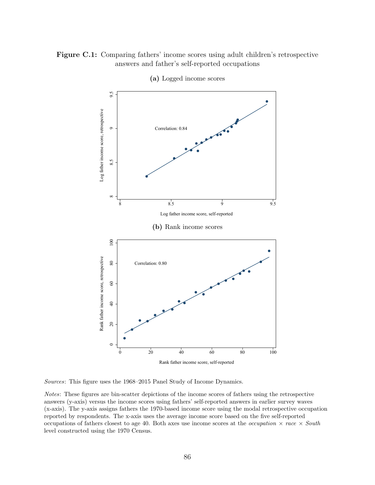



(a) Logged income scores

Sources: This figure uses the 1968–2015 Panel Study of Income Dynamics.

Notes: These figures are bin-scatter depictions of the income scores of fathers using the retrospective answers (y-axis) versus the income scores using fathers' self-reported answers in earlier survey waves (x-axis). The y-axis assigns fathers the 1970-based income score using the modal retrospective occupation reported by respondents. The x-axis uses the average income score based on the five self-reported occupations of fathers closest to age 40. Both axes use income scores at the *occupation*  $\times$  race  $\times$  South level constructed using the 1970 Census.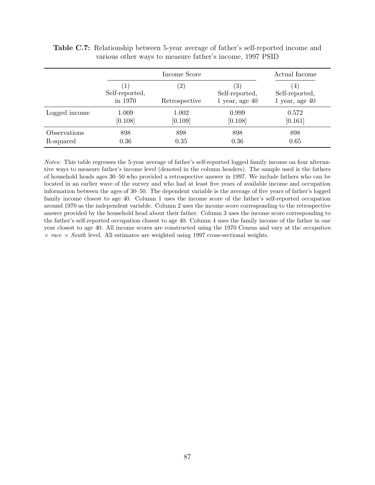|               |                                  | Income Score                   |                                                          |                                                          |  |  |  |  |
|---------------|----------------------------------|--------------------------------|----------------------------------------------------------|----------------------------------------------------------|--|--|--|--|
|               | (1)<br>Self-reported,<br>in 1970 | $^{\prime}2)$<br>Retrospective | $\left(3\right)$<br>Self-reported,<br>$1$ year, age $40$ | $\left(4\right)$<br>Self-reported,<br>$1$ year, age $40$ |  |  |  |  |
| Logged income | 1.009                            | 1.002                          | 0.999                                                    | 0.572                                                    |  |  |  |  |
|               | [0.108]                          | [0.109]                        | [0.108]                                                  | [0.161]                                                  |  |  |  |  |
| Observations  | 898                              | 898                            | 898                                                      | 898                                                      |  |  |  |  |
| R-squared     | 0.36                             | 0.35                           | 0.36                                                     | 0.65                                                     |  |  |  |  |

Table C.7: Relationship between 5-year average of father's self-reported income and various other ways to measure father's income, 1997 PSID

Notes: This table regresses the 5-year average of father's self-reported logged family income on four alternative ways to measure father's income level (denoted in the column headers). The sample used is the fathers of household heads ages 30–50 who provided a retrospective answer in 1997. We include fathers who can be located in an earlier wave of the survey and who had at least five years of available income and occupation information between the ages of 30–50. The dependent variable is the average of five years of father's logged family income closest to age 40. Column 1 uses the income score of the father's self-reported occupation around 1970 as the independent variable. Column 2 uses the income score corresponding to the retrospective answer provided by the household head about their father. Column 3 uses the income score corresponding to the father's self-reported occupation closest to age 40. Column 4 uses the family income of the father in one year closest to age 40. All income scores are constructed using the 1970 Census and vary at the occupation  $\times$  race  $\times$  South level. All estimates are weighted using 1997 cross-sectional weights.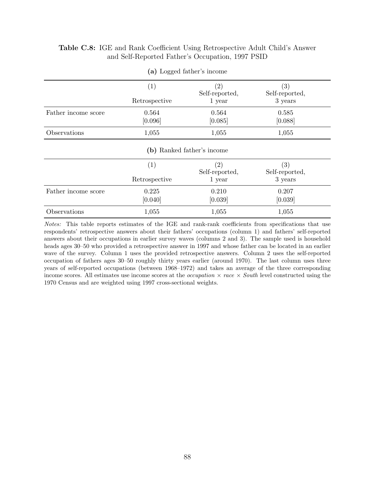## Table C.8: IGE and Rank Coefficient Using Retrospective Adult Child's Answer and Self-Reported Father's Occupation, 1997 PSID

| $(27 - 200 - 7)$    |                      |                                               |                                  |
|---------------------|----------------------|-----------------------------------------------|----------------------------------|
|                     | (1)<br>Retrospective | $\left( 2\right)$<br>Self-reported,<br>1 year | (3)<br>Self-reported,<br>3 years |
| Father income score | 0.564<br>[0.096]     | 0.564<br>[0.085]                              | 0.585<br>[0.088]                 |
| Observations        | 1,055                | 1,055                                         | 1,055                            |
|                     |                      | (b) Ranked father's income                    |                                  |
|                     | (1)<br>Retrospective | $\left( 2\right)$<br>Self-reported,<br>1 year | (3)<br>Self-reported,<br>3 years |
| Father income score | 0.225<br>[0.040]     | 0.210<br>[0.039]                              | 0.207<br>[0.039]                 |
| Observations        | 1,055                | 1,055                                         | 1,055                            |

(a) Logged father's income

Notes: This table reports estimates of the IGE and rank-rank coefficients from specifications that use respondents' retrospective answers about their fathers' occupations (column 1) and fathers' self-reported answers about their occupations in earlier survey waves (columns 2 and 3). The sample used is household heads ages 30–50 who provided a retrospective answer in 1997 and whose father can be located in an earlier wave of the survey. Column 1 uses the provided retrospective answers. Column 2 uses the self-reported occupation of fathers ages 30–50 roughly thirty years earlier (around 1970). The last column uses three years of self-reported occupations (between 1968–1972) and takes an average of the three corresponding income scores. All estimates use income scores at the *occupation*  $\times$  race  $\times$  South level constructed using the 1970 Census and are weighted using 1997 cross-sectional weights.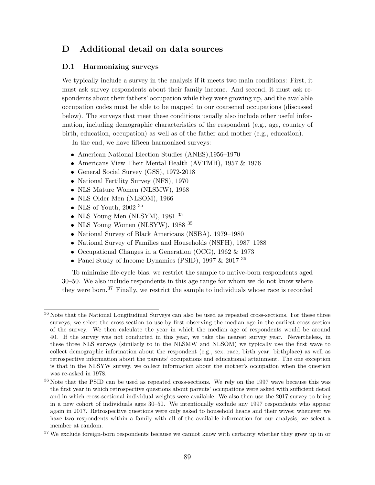## D Additional detail on data sources

### D.1 Harmonizing surveys

We typically include a survey in the analysis if it meets two main conditions: First, it must ask survey respondents about their family income. And second, it must ask respondents about their fathers' occupation while they were growing up, and the available occupation codes must be able to be mapped to our coarsened occupations (discussed below). The surveys that meet these conditions usually also include other useful information, including demographic characteristics of the respondent (e.g., age, country of birth, education, occupation) as well as of the father and mother (e.g., education).

In the end, we have fifteen harmonized surveys:

- American National Election Studies (ANES),1956–1970
- Americans View Their Mental Health (AVTMH), 1957 & 1976
- General Social Survey (GSS), 1972-2018
- National Fertility Survey (NFS), 1970
- NLS Mature Women (NLSMW), 1968
- NLS Older Men (NLSOM), 1966
- NLS of Youth,  $2002^{35}$
- NLS Young Men (NLSYM),  $1981^{35}$
- NLS Young Women (NLSYW),  $1988$ <sup>35</sup>
- National Survey of Black Americans (NSBA), 1979–1980
- National Survey of Families and Households (NSFH), 1987–1988
- Occupational Changes in a Generation (OCG), 1962  $&$  1973
- Panel Study of Income Dynamics (PSID), 1997  $& 2017<sup>36</sup>$

To minimize life-cycle bias, we restrict the sample to native-born respondents aged 30–50. We also include respondents in this age range for whom we do not know where they were born.<sup>37</sup> Finally, we restrict the sample to individuals whose race is recorded

<sup>36</sup> Note that the National Longitudinal Surveys can also be used as repeated cross-sections. For these three surveys, we select the cross-section to use by first observing the median age in the earliest cross-section of the survey. We then calculate the year in which the median age of respondents would be around 40. If the survey was not conducted in this year, we take the nearest survey year. Nevertheless, in these three NLS surveys (similarly to in the NLSMW and NLSOM) we typically use the first wave to collect demographic information about the respondent (e.g., sex, race, birth year, birthplace) as well as retrospective information about the parents' occupations and educational attainment. The one exception is that in the NLSYW survey, we collect information about the mother's occupation when the question was re-asked in 1978.

<sup>36</sup> Note that the PSID can be used as repeated cross-sections. We rely on the 1997 wave because this was the first year in which retrospective questions about parents' occupations were asked with sufficient detail and in which cross-sectional individual weights were available. We also then use the 2017 survey to bring in a new cohort of individuals ages 30–50. We intentionally exclude any 1997 respondents who appear again in 2017. Retrospective questions were only asked to household heads and their wives; whenever we have two respondents within a family with all of the available information for our analysis, we select a member at random.

<sup>&</sup>lt;sup>37</sup> We exclude foreign-born respondents because we cannot know with certainty whether they grew up in or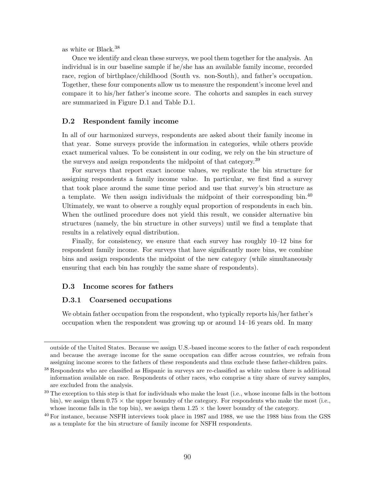as white or Black.<sup>38</sup>

Once we identify and clean these surveys, we pool them together for the analysis. An individual is in our baseline sample if he/she has an available family income, recorded race, region of birthplace/childhood (South vs. non-South), and father's occupation. Together, these four components allow us to measure the respondent's income level and compare it to his/her father's income score. The cohorts and samples in each survey are summarized in Figure D.1 and Table D.1.

### D.2 Respondent family income

In all of our harmonized surveys, respondents are asked about their family income in that year. Some surveys provide the information in categories, while others provide exact numerical values. To be consistent in our coding, we rely on the bin structure of the surveys and assign respondents the midpoint of that category.<sup>39</sup>

For surveys that report exact income values, we replicate the bin structure for assigning respondents a family income value. In particular, we first find a survey that took place around the same time period and use that survey's bin structure as a template. We then assign individuals the midpoint of their corresponding bin.<sup>40</sup> Ultimately, we want to observe a roughly equal proportion of respondents in each bin. When the outlined procedure does not yield this result, we consider alternative bin structures (namely, the bin structure in other surveys) until we find a template that results in a relatively equal distribution.

Finally, for consistency, we ensure that each survey has roughly 10–12 bins for respondent family income. For surveys that have significantly more bins, we combine bins and assign respondents the midpoint of the new category (while simultaneously ensuring that each bin has roughly the same share of respondents).

## D.3 Income scores for fathers

#### D.3.1 Coarsened occupations

We obtain father occupation from the respondent, who typically reports his/her father's occupation when the respondent was growing up or around 14–16 years old. In many

outside of the United States. Because we assign U.S.-based income scores to the father of each respondent and because the average income for the same occupation can differ across countries, we refrain from assigning income scores to the fathers of these respondents and thus exclude these father-children pairs.

<sup>38</sup> Respondents who are classified as Hispanic in surveys are re-classified as white unless there is additional information available on race. Respondents of other races, who comprise a tiny share of survey samples, are excluded from the analysis.

<sup>&</sup>lt;sup>39</sup> The exception to this step is that for individuals who make the least (i.e., whose income falls in the bottom bin), we assign them  $0.75 \times$  the upper boundry of the category. For respondents who make the most (i.e., whose income falls in the top bin), we assign them  $1.25 \times$  the lower boundry of the category.

<sup>&</sup>lt;sup>40</sup> For instance, because NSFH interviews took place in 1987 and 1988, we use the 1988 bins from the GSS as a template for the bin structure of family income for NSFH respondents.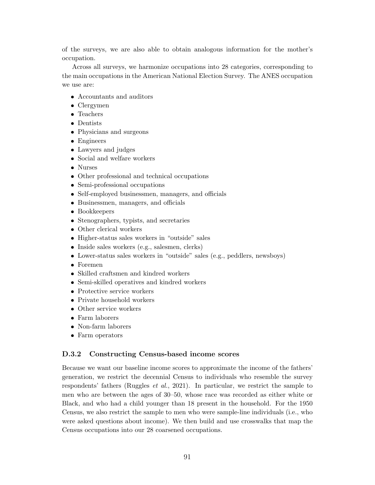of the surveys, we are also able to obtain analogous information for the mother's occupation.

Across all surveys, we harmonize occupations into 28 categories, corresponding to the main occupations in the American National Election Survey. The ANES occupation we use are:

- Accountants and auditors
- Clergymen
- Teachers
- Dentists
- Physicians and surgeons
- Engineers
- Lawyers and judges
- Social and welfare workers
- Nurses
- Other professional and technical occupations
- Semi-professional occupations
- Self-employed businessmen, managers, and officials
- Businessmen, managers, and officials
- Bookkeepers
- Stenographers, typists, and secretaries
- Other clerical workers
- Higher-status sales workers in "outside" sales
- Inside sales workers (e.g., salesmen, clerks)
- Lower-status sales workers in "outside" sales (e.g., peddlers, newsboys)
- Foremen
- Skilled craftsmen and kindred workers
- Semi-skilled operatives and kindred workers
- Protective service workers
- Private household workers
- Other service workers
- Farm laborers
- Non-farm laborers
- Farm operators

## D.3.2 Constructing Census-based income scores

Because we want our baseline income scores to approximate the income of the fathers' generation, we restrict the decennial Census to individuals who resemble the survey respondents' fathers (Ruggles et al., 2021). In particular, we restrict the sample to men who are between the ages of 30–50, whose race was recorded as either white or Black, and who had a child younger than 18 present in the household. For the 1950 Census, we also restrict the sample to men who were sample-line individuals (i.e., who were asked questions about income). We then build and use crosswalks that map the Census occupations into our 28 coarsened occupations.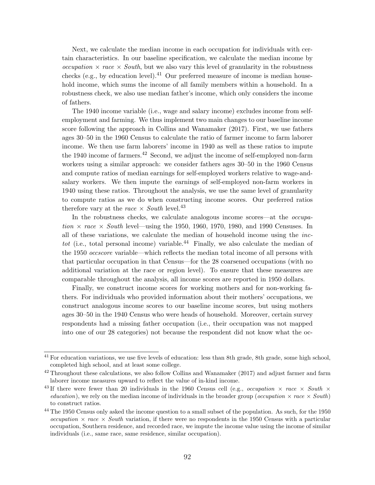Next, we calculate the median income in each occupation for individuals with certain characteristics. In our baseline specification, we calculate the median income by occupation  $\times$  race  $\times$  South, but we also vary this level of granularity in the robustness checks (e.g., by education level).<sup>41</sup> Our preferred measure of income is median household income, which sums the income of all family members within a household. In a robustness check, we also use median father's income, which only considers the income of fathers.

The 1940 income variable (i.e., wage and salary income) excludes income from selfemployment and farming. We thus implement two main changes to our baseline income score following the approach in Collins and Wanamaker (2017). First, we use fathers ages 30–50 in the 1960 Census to calculate the ratio of farmer income to farm laborer income. We then use farm laborers' income in 1940 as well as these ratios to impute the 1940 income of farmers.<sup>42</sup> Second, we adjust the income of self-employed non-farm workers using a similar approach: we consider fathers ages 30–50 in the 1960 Census and compute ratios of median earnings for self-employed workers relative to wage-andsalary workers. We then impute the earnings of self-employed non-farm workers in 1940 using these ratios. Throughout the analysis, we use the same level of granularity to compute ratios as we do when constructing income scores. Our preferred ratios therefore vary at the race  $\times$  South level.<sup>43</sup>

In the robustness checks, we calculate analogous income scores—at the *occupa* $tion \times race \times South$  level—using the 1950, 1960, 1970, 1980, and 1990 Censuses. In all of these variations, we calculate the median of household income using the inctot (i.e., total personal income) variable.<sup>44</sup> Finally, we also calculate the median of the 1950 occscore variable—which reflects the median total income of all persons with that particular occupation in that Census—for the 28 coarsened occupations (with no additional variation at the race or region level). To ensure that these measures are comparable throughout the analysis, all income scores are reported in 1950 dollars.

Finally, we construct income scores for working mothers and for non-working fathers. For individuals who provided information about their mothers' occupations, we construct analogous income scores to our baseline income scores, but using mothers ages 30–50 in the 1940 Census who were heads of household. Moreover, certain survey respondents had a missing father occupation (i.e., their occupation was not mapped into one of our 28 categories) not because the respondent did not know what the oc-

<sup>&</sup>lt;sup>41</sup> For education variations, we use five levels of education: less than 8th grade, 8th grade, some high school, completed high school, and at least some college.

 $42$  Throughout these calculations, we also follow Collins and Wanamaker (2017) and adjust farmer and farm laborer income measures upward to reflect the value of in-kind income.

<sup>&</sup>lt;sup>43</sup> If there were fewer than 20 individuals in the 1960 Census cell (e.g., *occupation*  $\times$  race  $\times$  South  $\times$ education), we rely on the median income of individuals in the broader group (*occupation*  $\times$  race  $\times$  South) to construct ratios.

<sup>44</sup> The 1950 Census only asked the income question to a small subset of the population. As such, for the 1950 occupation  $\times$  race  $\times$  South variation, if there were no respondents in the 1950 Census with a particular occupation, Southern residence, and recorded race, we impute the income value using the income of similar individuals (i.e., same race, same residence, similar occupation).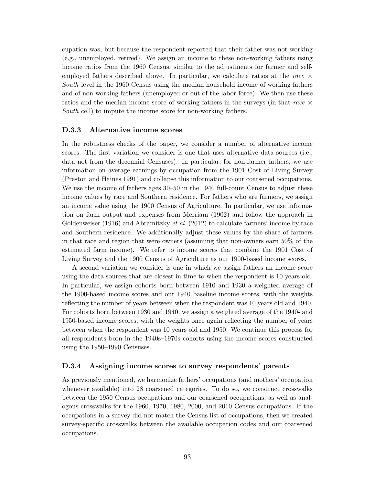cupation was, but because the respondent reported that their father was not working (e.g., unemployed, retired). We assign an income to these non-working fathers using income ratios from the 1960 Census, similar to the adjustments for farmer and selfemployed fathers described above. In particular, we calculate ratios at the race  $\times$ South level in the 1960 Census using the median household income of working fathers and of non-working fathers (unemployed or out of the labor force). We then use these ratios and the median income score of working fathers in the surveys (in that race  $\times$ South cell) to impute the income score for non-working fathers.

#### D.3.3 Alternative income scores

In the robustness checks of the paper, we consider a number of alternative income scores. The first variation we consider is one that uses alternative data sources (i.e., data not from the decennial Censuses). In particular, for non-farmer fathers, we use information on average earnings by occupation from the 1901 Cost of Living Survey (Preston and Haines 1991) and collapse this information to our coarsened occupations. We use the income of fathers ages 30–50 in the 1940 full-count Census to adjust these income values by race and Southern residence. For fathers who are farmers, we assign an income value using the 1900 Census of Agriculture. In particular, we use information on farm output and expenses from Merriam (1902) and follow the approach in Goldenweiser (1916) and Abramitzky *et al.* (2012) to calculate farmers' income by race and Southern residence. We additionally adjust these values by the share of farmers in that race and region that were owners (assuming that non-owners earn 50% of the estimated farm income). We refer to income scores that combine the 1901 Cost of Living Survey and the 1900 Census of Agriculture as our 1900-based income scores.

A second variation we consider is one in which we assign fathers an income score using the data sources that are closest in time to when the respondent is 10 years old. In particular, we assign cohorts born between 1910 and 1930 a weighted average of the 1900-based income scores and our 1940 baseline income scores, with the weights reflecting the number of years between when the respondent was 10 years old and 1940. For cohorts born between 1930 and 1940, we assign a weighted average of the 1940- and 1950-based income scores, with the weights once again reflecting the number of years between when the respondent was 10 years old and 1950. We continue this process for all respondents born in the 1940s–1970s cohorts using the income scores constructed using the 1950–1990 Censuses.

### D.3.4 Assigning income scores to survey respondents' parents

As previously mentioned, we harmonize fathers' occupations (and mothers' occupation whenever available) into 28 coarsened categories. To do so, we construct crosswalks between the 1950 Census occupations and our coarsened occupations, as well as analogous crosswalks for the 1960, 1970, 1980, 2000, and 2010 Census occupations. If the occupations in a survey did not match the Census list of occupations, then we created survey-specific crosswalks between the available occupation codes and our coarsened occupations.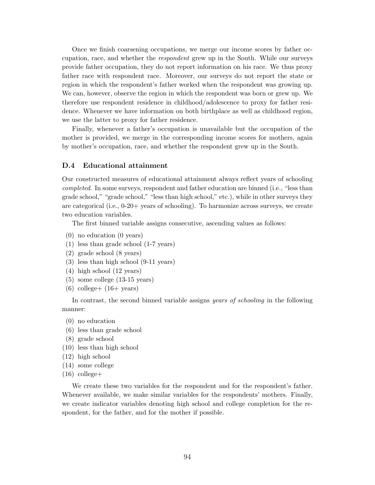Once we finish coarsening occupations, we merge our income scores by father occupation, race, and whether the respondent grew up in the South. While our surveys provide father occupation, they do not report information on his race. We thus proxy father race with respondent race. Moreover, our surveys do not report the state or region in which the respondent's father worked when the respondent was growing up. We can, however, observe the region in which the respondent was born or grew up. We therefore use respondent residence in childhood/adolescence to proxy for father residence. Whenever we have information on both birthplace as well as childhood region, we use the latter to proxy for father residence.

Finally, whenever a father's occupation is unavailable but the occupation of the mother is provided, we merge in the corresponding income scores for mothers, again by mother's occupation, race, and whether the respondent grew up in the South.

#### D.4 Educational attainment

Our constructed measures of educational attainment always reflect years of schooling completed. In some surveys, respondent and father education are binned (i.e., "less than grade school," "grade school," "less than high school," etc.), while in other surveys they are categorical (i.e., 0-20+ years of schooling). To harmonize across surveys, we create two education variables.

The first binned variable assigns consecutive, ascending values as follows:

- (0) no education (0 years)
- (1) less than grade school (1-7 years)
- (2) grade school (8 years)
- (3) less than high school (9-11 years)
- (4) high school (12 years)
- (5) some college (13-15 years)
- $(6)$  college  $(16+)$  years)

In contrast, the second binned variable assigns years of schooling in the following manner:

- (0) no education
- (6) less than grade school
- (8) grade school
- (10) less than high school
- (12) high school
- (14) some college
- $(16)$  college +

We create these two variables for the respondent and for the respondent's father. Whenever available, we make similar variables for the respondents' mothers. Finally, we create indicator variables denoting high school and college completion for the respondent, for the father, and for the mother if possible.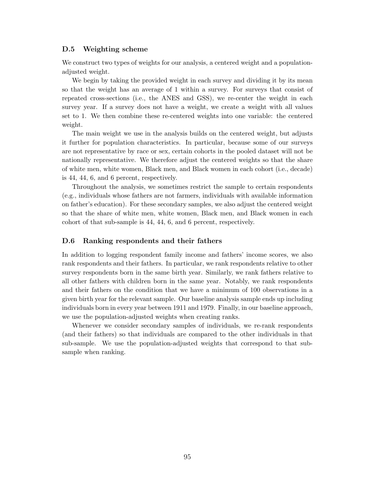#### D.5 Weighting scheme

We construct two types of weights for our analysis, a centered weight and a populationadjusted weight.

We begin by taking the provided weight in each survey and dividing it by its mean so that the weight has an average of 1 within a survey. For surveys that consist of repeated cross-sections (i.e., the ANES and GSS), we re-center the weight in each survey year. If a survey does not have a weight, we create a weight with all values set to 1. We then combine these re-centered weights into one variable: the centered weight.

The main weight we use in the analysis builds on the centered weight, but adjusts it further for population characteristics. In particular, because some of our surveys are not representative by race or sex, certain cohorts in the pooled dataset will not be nationally representative. We therefore adjust the centered weights so that the share of white men, white women, Black men, and Black women in each cohort (i.e., decade) is 44, 44, 6, and 6 percent, respectively.

Throughout the analysis, we sometimes restrict the sample to certain respondents (e.g., individuals whose fathers are not farmers, individuals with available information on father's education). For these secondary samples, we also adjust the centered weight so that the share of white men, white women, Black men, and Black women in each cohort of that sub-sample is 44, 44, 6, and 6 percent, respectively.

#### D.6 Ranking respondents and their fathers

In addition to logging respondent family income and fathers' income scores, we also rank respondents and their fathers. In particular, we rank respondents relative to other survey respondents born in the same birth year. Similarly, we rank fathers relative to all other fathers with children born in the same year. Notably, we rank respondents and their fathers on the condition that we have a minimum of 100 observations in a given birth year for the relevant sample. Our baseline analysis sample ends up including individuals born in every year between 1911 and 1979. Finally, in our baseline approach, we use the population-adjusted weights when creating ranks.

Whenever we consider secondary samples of individuals, we re-rank respondents (and their fathers) so that individuals are compared to the other individuals in that sub-sample. We use the population-adjusted weights that correspond to that subsample when ranking.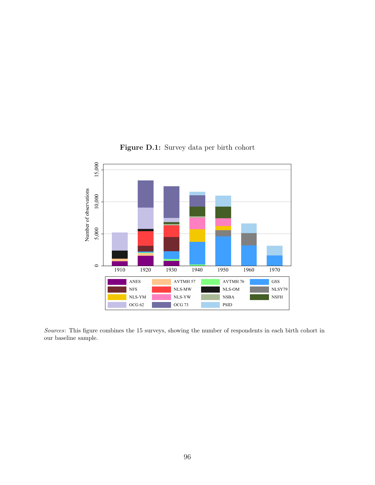![](_page_96_Figure_0.jpeg)

Figure D.1: Survey data per birth cohort

Sources: This figure combines the 15 surveys, showing the number of respondents in each birth cohort in our baseline sample.